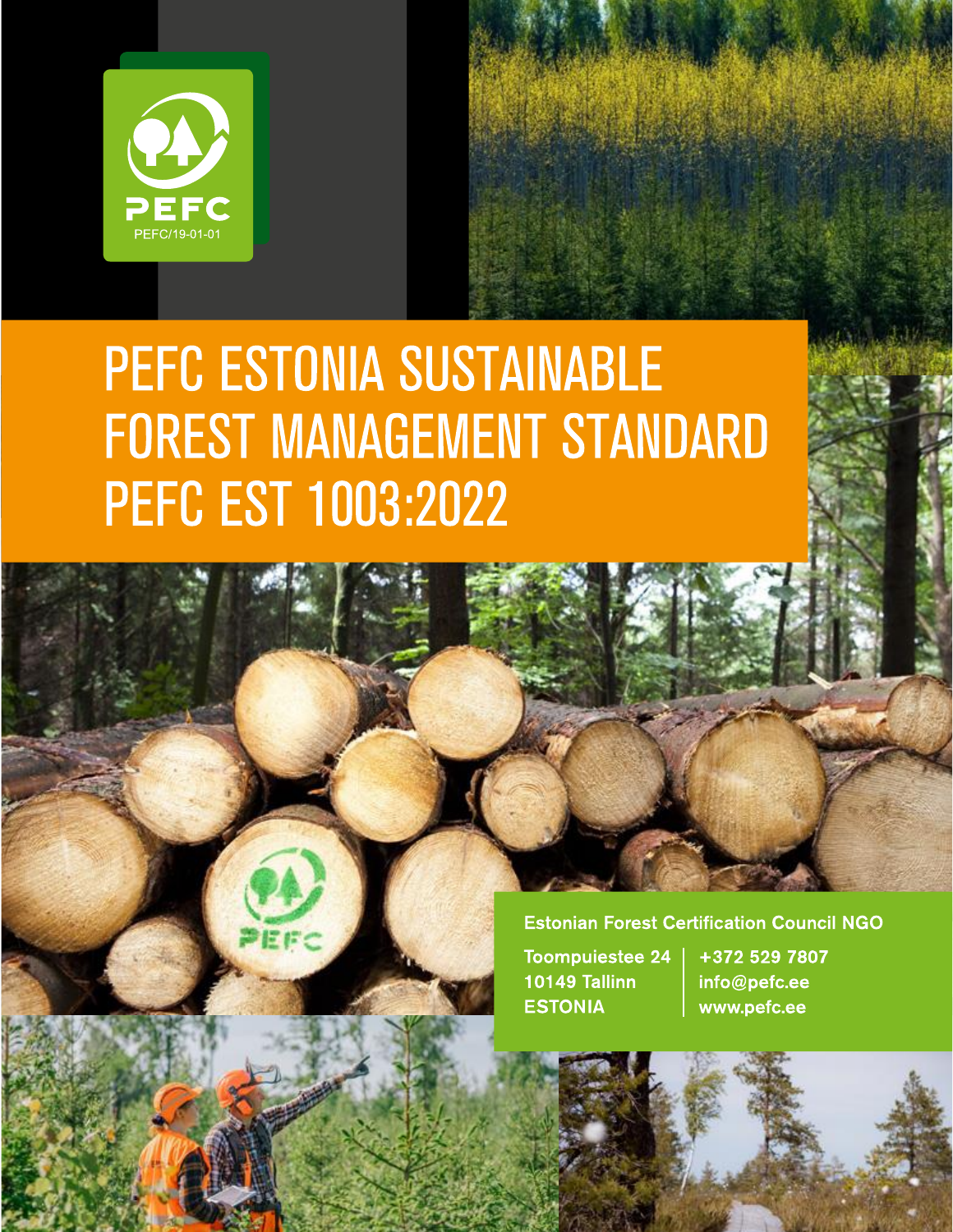

# PEFC ESTONIA SUSTAINABLE **FOREST MANAGEMENT STANDARD PEFC EST 1003:2022**

#### **Estonian Forest Certification Council NGO**

**Toompuiestee 24** 10149 Tallinn **ESTONIA** 

 $\mathcal{L} \rightarrow \mathcal{L}$ PEFC EST 1003:2022 — PEFC EST 1003:2022 — PEFC EST 1003:2022 — PEFC EST 1003:2023 — PEFC EST 1003:2023 — PEFC EST

医疟

+372 529 7807 info@pefc.ee www.pefc.ee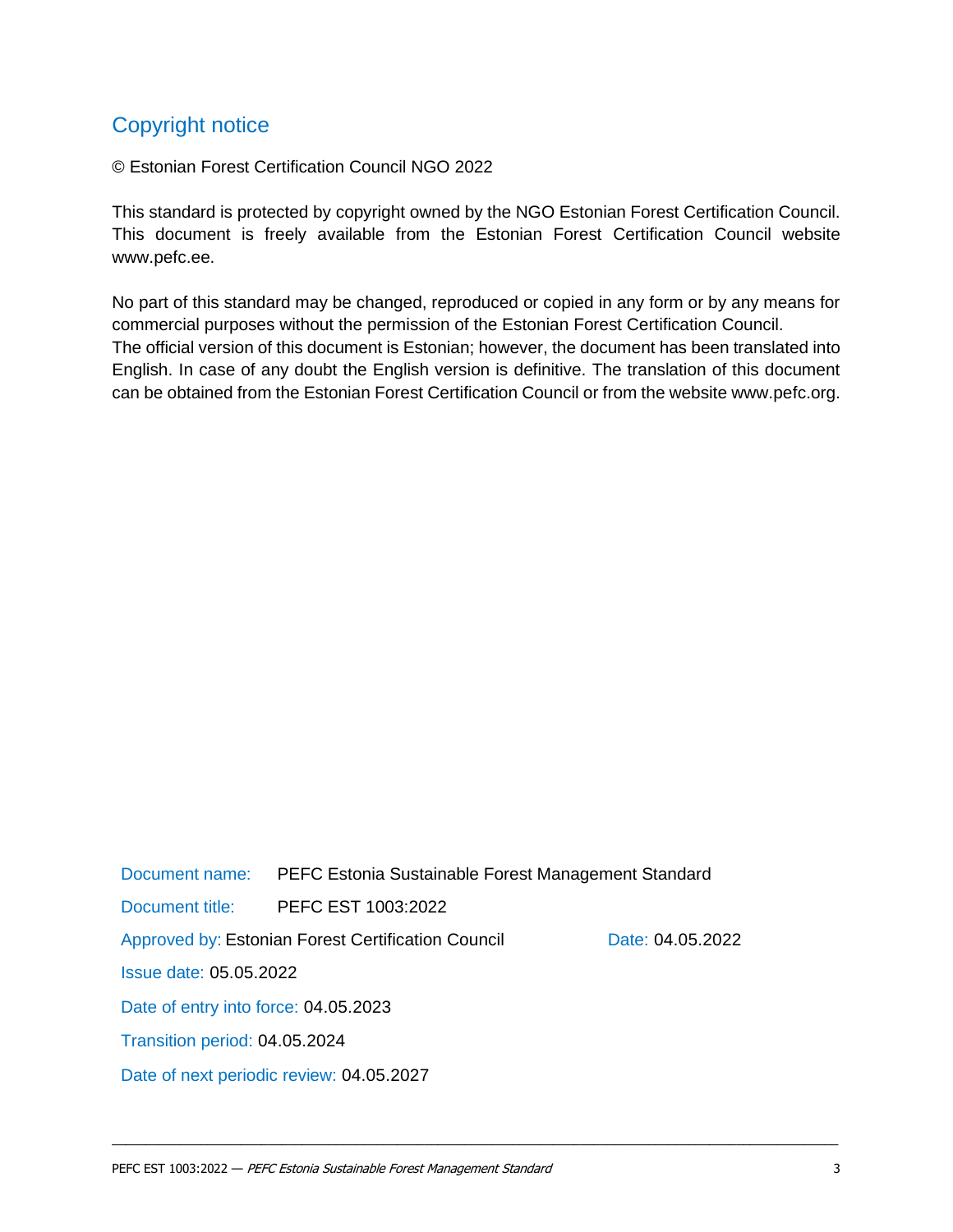# Copyright notice

© Estonian Forest Certification Council NGO 2022

This standard is protected by copyright owned by the NGO Estonian Forest Certification Council. This document is freely available from the Estonian Forest Certification Council website www.pefc.ee.

No part of this standard may be changed, reproduced or copied in any form or by any means for commercial purposes without the permission of the Estonian Forest Certification Council. The official version of this document is Estonian; however, the document has been translated into English. In case of any doubt the English version is definitive. The translation of this document can be obtained from the Estonian Forest Certification Council or from the website www.pefc.org.

Document name: PEFC Estonia Sustainable Forest Management Standard Document title: PEFC EST 1003:2022 Approved by: Estonian Forest Certification Council Date: 04.05.2022 Issue date: 05.05.2022 Date of entry into force: 04.05.2023 Transition period: 04.05.2024 Date of next periodic review: 04.05.2027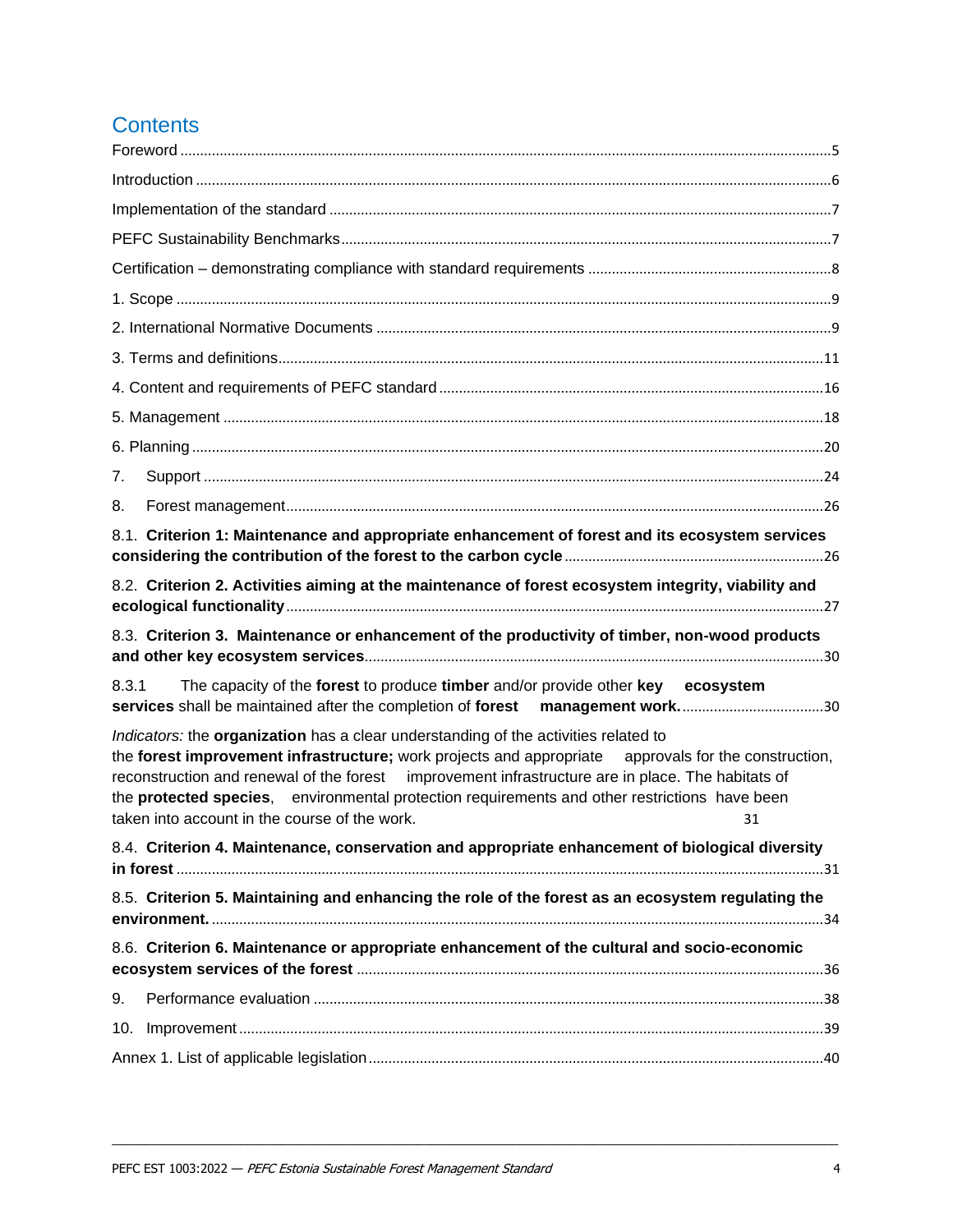# **Contents**

| 7.                                                                                                                                                                                                                                                                                                                                                                                                                                                               |  |
|------------------------------------------------------------------------------------------------------------------------------------------------------------------------------------------------------------------------------------------------------------------------------------------------------------------------------------------------------------------------------------------------------------------------------------------------------------------|--|
| 8.                                                                                                                                                                                                                                                                                                                                                                                                                                                               |  |
| 8.1. Criterion 1: Maintenance and appropriate enhancement of forest and its ecosystem services                                                                                                                                                                                                                                                                                                                                                                   |  |
| 8.2. Criterion 2. Activities aiming at the maintenance of forest ecosystem integrity, viability and                                                                                                                                                                                                                                                                                                                                                              |  |
| 8.3. Criterion 3. Maintenance or enhancement of the productivity of timber, non-wood products                                                                                                                                                                                                                                                                                                                                                                    |  |
| The capacity of the forest to produce timber and/or provide other key ecosystem<br>8.3.1<br>services shall be maintained after the completion of forest                                                                                                                                                                                                                                                                                                          |  |
| Indicators: the organization has a clear understanding of the activities related to<br>the forest improvement infrastructure; work projects and appropriate approvals for the construction,<br>reconstruction and renewal of the forest improvement infrastructure are in place. The habitats of<br>the <b>protected species</b> , environmental protection requirements and other restrictions have been<br>taken into account in the course of the work.<br>31 |  |
| 8.4. Criterion 4. Maintenance, conservation and appropriate enhancement of biological diversity                                                                                                                                                                                                                                                                                                                                                                  |  |
| 8.5. Criterion 5. Maintaining and enhancing the role of the forest as an ecosystem regulating the                                                                                                                                                                                                                                                                                                                                                                |  |
| 8.6. Criterion 6. Maintenance or appropriate enhancement of the cultural and socio-economic                                                                                                                                                                                                                                                                                                                                                                      |  |
| 9.                                                                                                                                                                                                                                                                                                                                                                                                                                                               |  |
| 10.                                                                                                                                                                                                                                                                                                                                                                                                                                                              |  |
|                                                                                                                                                                                                                                                                                                                                                                                                                                                                  |  |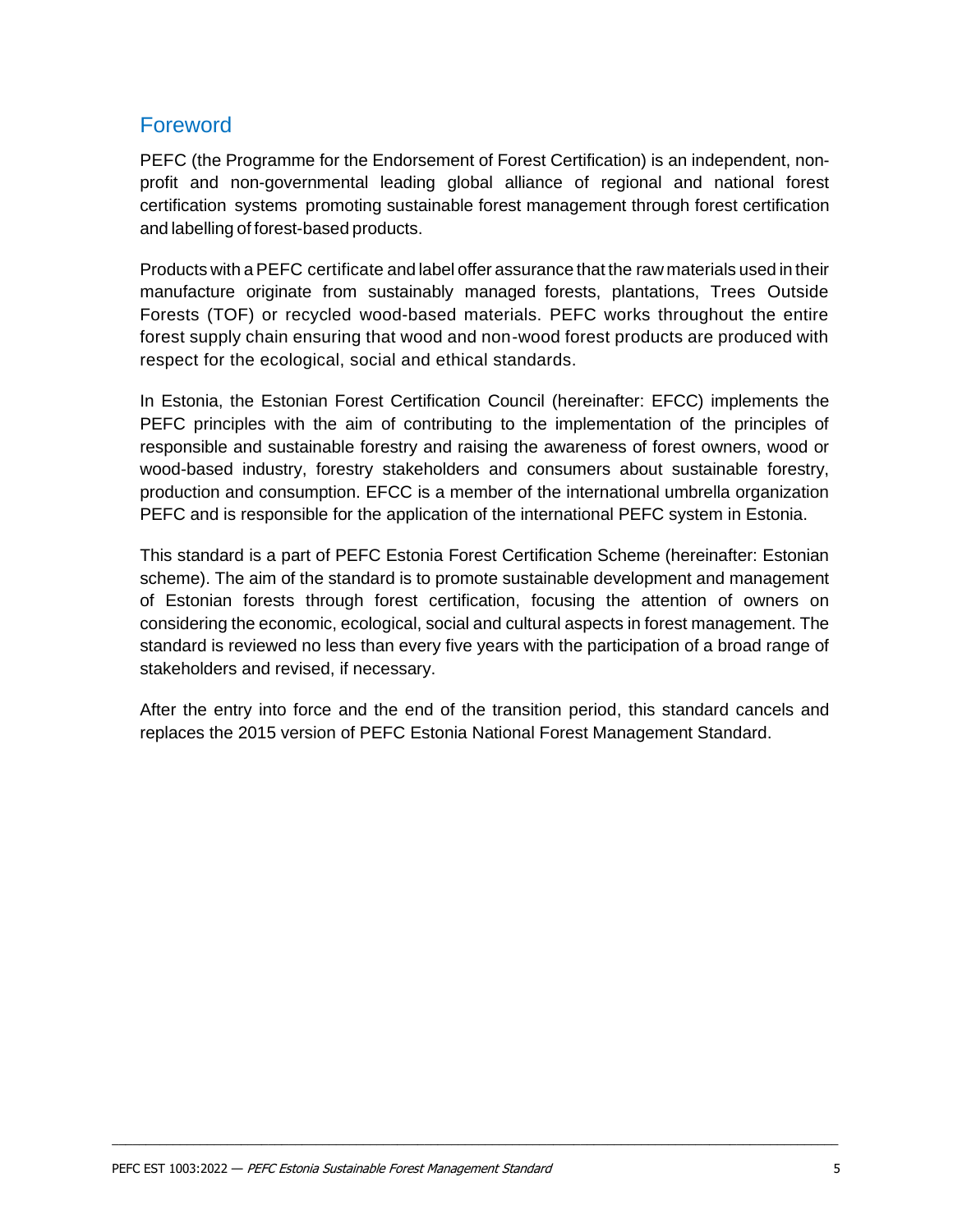## <span id="page-3-0"></span>Foreword

PEFC (the Programme for the Endorsement of Forest Certification) is an independent, nonprofit and non-governmental leading global alliance of regional and national forest certification systems promoting sustainable forest management through forest certification and labelling of forest-based products.

Products with aPEFC certificate and label offer assurance that the raw materials used in their manufacture originate from sustainably managed forests, plantations, Trees Outside Forests (TOF) or recycled wood-based materials. PEFC works throughout the entire forest supply chain ensuring that wood and non-wood forest products are produced with respect for the ecological, social and ethical standards.

In Estonia, the Estonian Forest Certification Council (hereinafter: EFCC) implements the PEFC principles with the aim of contributing to the implementation of the principles of responsible and sustainable forestry and raising the awareness of forest owners, wood or wood-based industry, forestry stakeholders and consumers about sustainable forestry, production and consumption. EFCC is a member of the international umbrella organization PEFC and is responsible for the application of the international PEFC system in Estonia.

This standard is a part of PEFC Estonia Forest Certification Scheme (hereinafter: Estonian scheme). The aim of the standard is to promote sustainable development and management of Estonian forests through forest certification, focusing the attention of owners on considering the economic, ecological, social and cultural aspects in forest management. The standard is reviewed no less than every five years with the participation of a broad range of stakeholders and revised, if necessary.

After the entry into force and the end of the transition period, this standard cancels and replaces the 2015 version of PEFC Estonia National Forest Management Standard.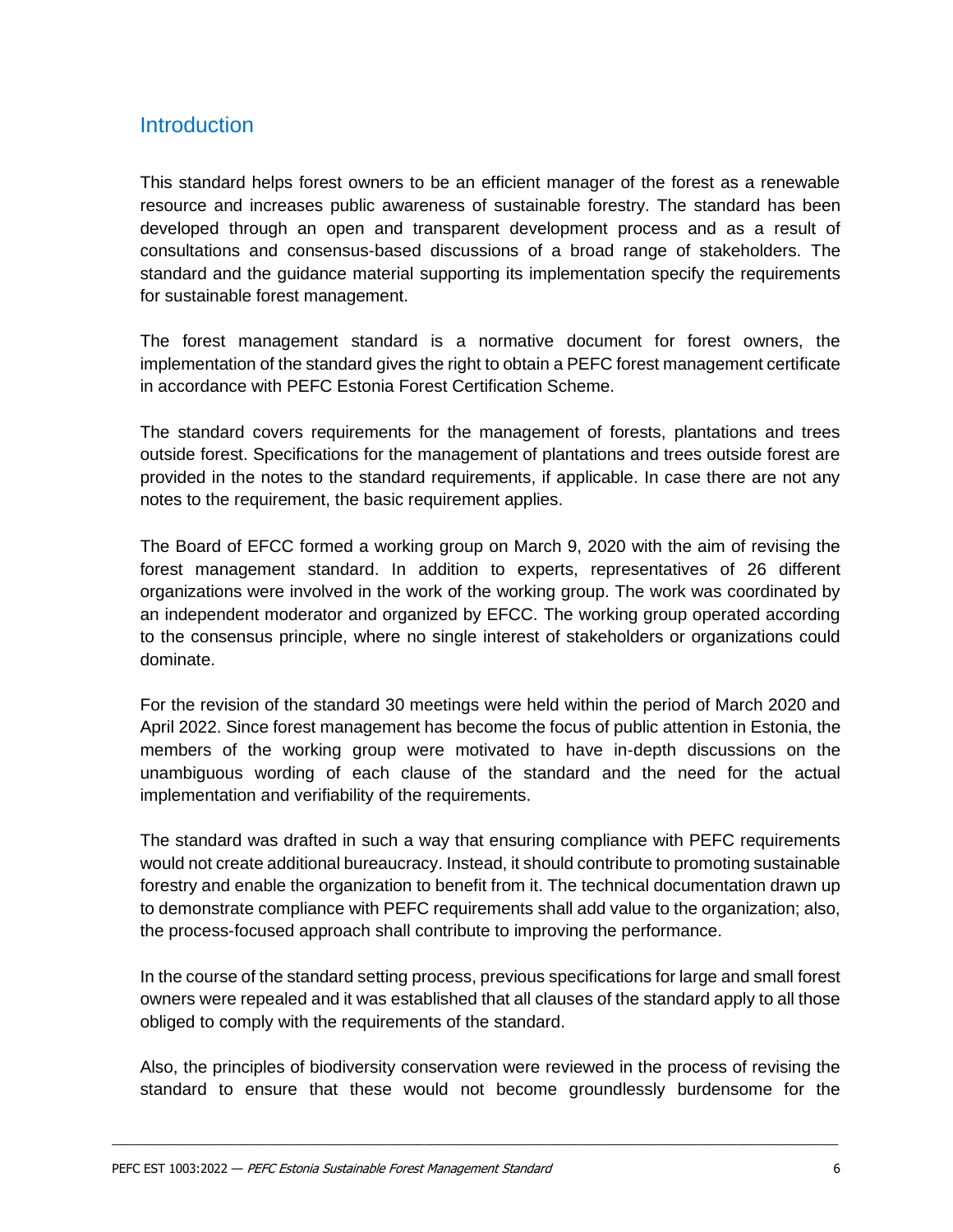## <span id="page-4-0"></span>**Introduction**

This standard helps forest owners to be an efficient manager of the forest as a renewable resource and increases public awareness of sustainable forestry. The standard has been developed through an open and transparent development process and as a result of consultations and consensus-based discussions of a broad range of stakeholders. The standard and the guidance material supporting its implementation specify the requirements for sustainable forest management.

The forest management standard is a normative document for forest owners, the implementation of the standard gives the right to obtain a PEFC forest management certificate in accordance with PEFC Estonia Forest Certification Scheme.

The standard covers requirements for the management of forests, plantations and trees outside forest. Specifications for the management of plantations and trees outside forest are provided in the notes to the standard requirements, if applicable. In case there are not any notes to the requirement, the basic requirement applies.

The Board of EFCC formed a working group on March 9, 2020 with the aim of revising the forest management standard. In addition to experts, representatives of 26 different organizations were involved in the work of the working group. The work was coordinated by an independent moderator and organized by EFCC. The working group operated according to the consensus principle, where no single interest of stakeholders or organizations could dominate.

For the revision of the standard 30 meetings were held within the period of March 2020 and April 2022. Since forest management has become the focus of public attention in Estonia, the members of the working group were motivated to have in-depth discussions on the unambiguous wording of each clause of the standard and the need for the actual implementation and verifiability of the requirements.

The standard was drafted in such a way that ensuring compliance with PEFC requirements would not create additional bureaucracy. Instead, it should contribute to promoting sustainable forestry and enable the organization to benefit from it. The technical documentation drawn up to demonstrate compliance with PEFC requirements shall add value to the organization; also, the process-focused approach shall contribute to improving the performance.

In the course of the standard setting process, previous specifications for large and small forest owners were repealed and it was established that all clauses of the standard apply to all those obliged to comply with the requirements of the standard.

Also, the principles of biodiversity conservation were reviewed in the process of revising the standard to ensure that these would not become groundlessly burdensome for the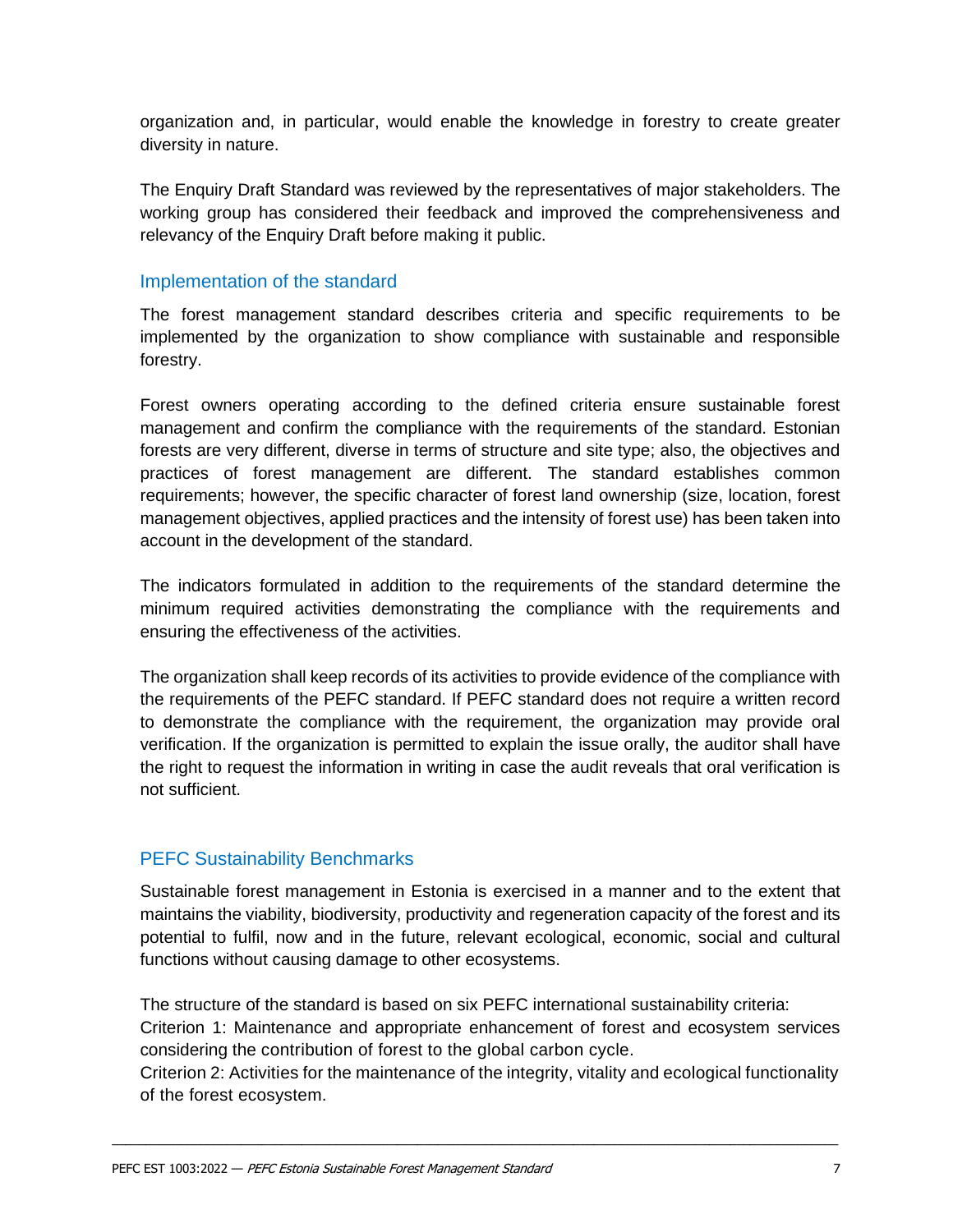organization and, in particular, would enable the knowledge in forestry to create greater diversity in nature.

The Enquiry Draft Standard was reviewed by the representatives of major stakeholders. The working group has considered their feedback and improved the comprehensiveness and relevancy of the Enquiry Draft before making it public.

#### <span id="page-5-0"></span>Implementation of the standard

The forest management standard describes criteria and specific requirements to be implemented by the organization to show compliance with sustainable and responsible forestry.

Forest owners operating according to the defined criteria ensure sustainable forest management and confirm the compliance with the requirements of the standard. Estonian forests are very different, diverse in terms of structure and site type; also, the objectives and practices of forest management are different. The standard establishes common requirements; however, the specific character of forest land ownership (size, location, forest management objectives, applied practices and the intensity of forest use) has been taken into account in the development of the standard.

The indicators formulated in addition to the requirements of the standard determine the minimum required activities demonstrating the compliance with the requirements and ensuring the effectiveness of the activities.

The organization shall keep records of its activities to provide evidence of the compliance with the requirements of the PEFC standard. If PEFC standard does not require a written record to demonstrate the compliance with the requirement, the organization may provide oral verification. If the organization is permitted to explain the issue orally, the auditor shall have the right to request the information in writing in case the audit reveals that oral verification is not sufficient.

#### <span id="page-5-1"></span>PEFC Sustainability Benchmarks

Sustainable forest management in Estonia is exercised in a manner and to the extent that maintains the viability, biodiversity, productivity and regeneration capacity of the forest and its potential to fulfil, now and in the future, relevant ecological, economic, social and cultural functions without causing damage to other ecosystems.

The structure of the standard is based on six PEFC international sustainability criteria:

Criterion 1: Maintenance and appropriate enhancement of forest and ecosystem services considering the contribution of forest to the global carbon cycle.

Criterion 2: Activities for the maintenance of the integrity, vitality and ecological functionality of the forest ecosystem.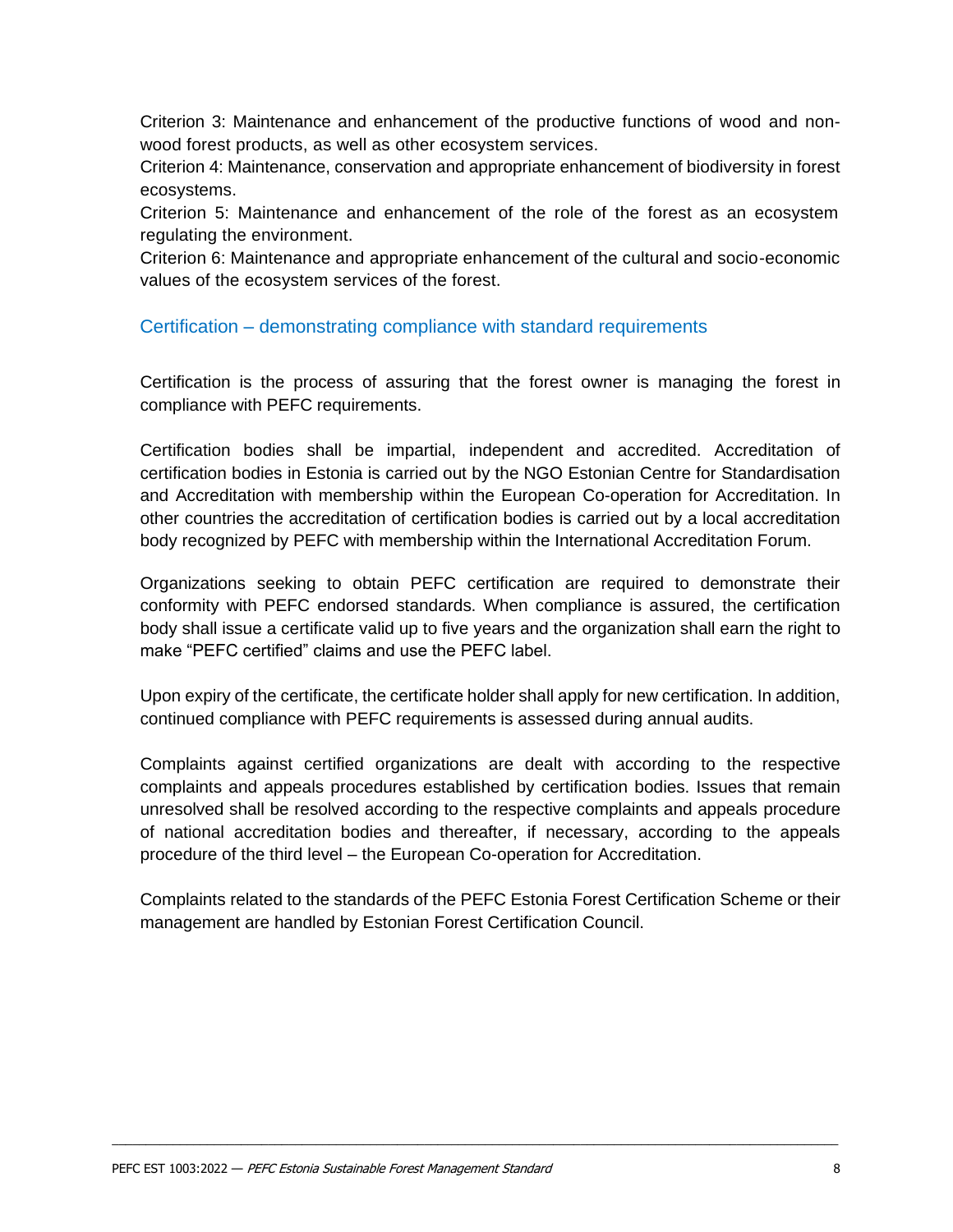Criterion 3: Maintenance and enhancement of the productive functions of wood and nonwood forest products, as well as other ecosystem services.

Criterion 4: Maintenance, conservation and appropriate enhancement of biodiversity in forest ecosystems.

Criterion 5: Maintenance and enhancement of the role of the forest as an ecosystem regulating the environment.

Criterion 6: Maintenance and appropriate enhancement of the cultural and socio-economic values of the ecosystem services of the forest.

#### <span id="page-6-0"></span>Certification – demonstrating compliance with standard requirements

Certification is the process of assuring that the forest owner is managing the forest in compliance with PEFC requirements.

Certification bodies shall be impartial, independent and accredited. Accreditation of certification bodies in Estonia is carried out by the NGO Estonian Centre for Standardisation and Accreditation with membership within the European Co-operation for Accreditation. In other countries the accreditation of certification bodies is carried out by a local accreditation body recognized by PEFC with membership within the International Accreditation Forum.

Organizations seeking to obtain PEFC certification are required to demonstrate their conformity with PEFC endorsed standards. When compliance is assured, the certification body shall issue a certificate valid up to five years and the organization shall earn the right to make "PEFC certified" claims and use the PEFC label.

Upon expiry of the certificate, the certificate holder shall apply for new certification. In addition, continued compliance with PEFC requirements is assessed during annual audits.

Complaints against certified organizations are dealt with according to the respective complaints and appeals procedures established by certification bodies. Issues that remain unresolved shall be resolved according to the respective complaints and appeals procedure of national accreditation bodies and thereafter, if necessary, according to the appeals procedure of the third level – the European Co-operation for Accreditation.

Complaints related to the standards of the PEFC Estonia Forest Certification Scheme or their management are handled by Estonian Forest Certification Council.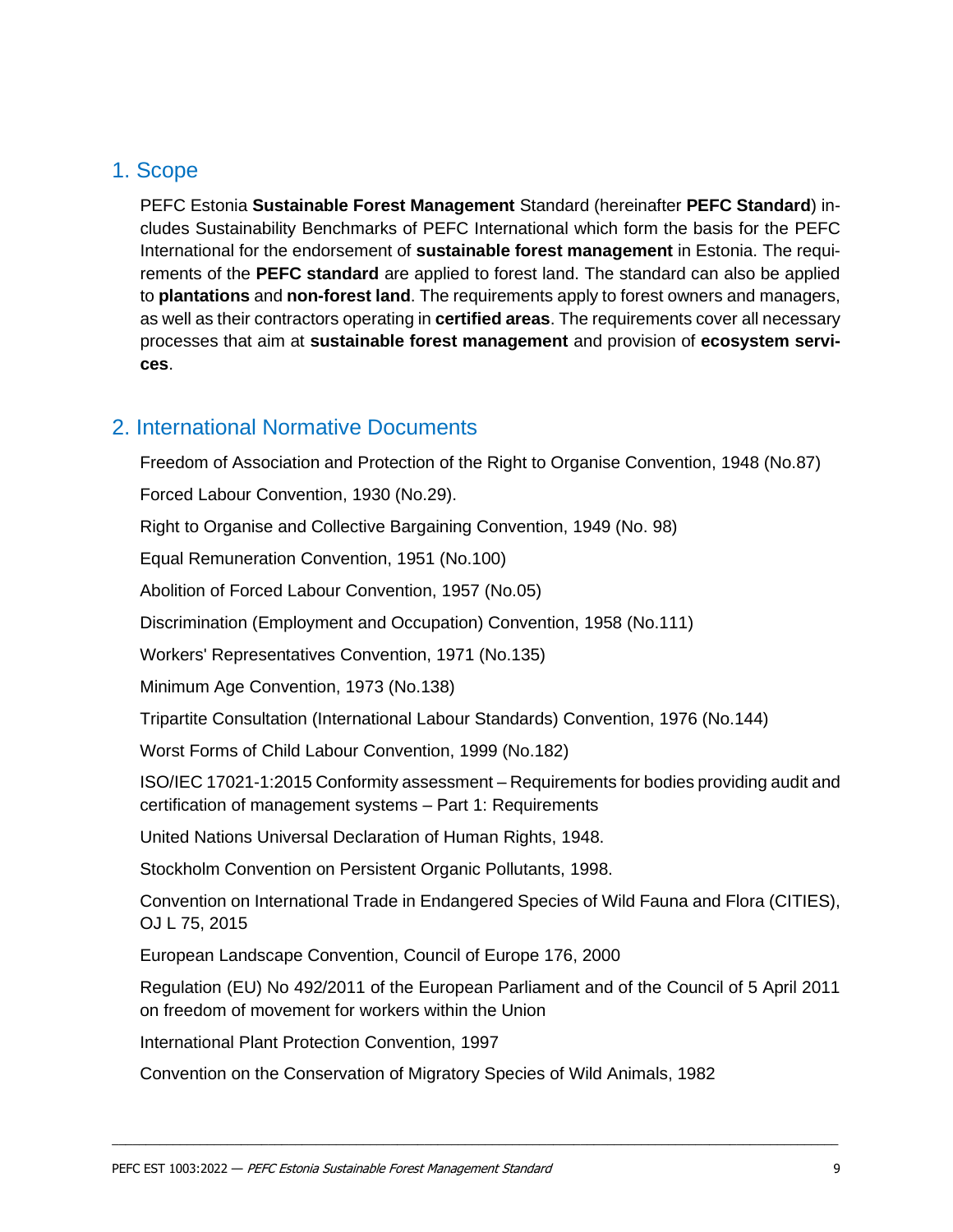## <span id="page-7-0"></span>1. Scope

PEFC Estonia **Sustainable Forest Management** Standard (hereinafter **PEFC Standard**) includes Sustainability Benchmarks of PEFC International which form the basis for the PEFC International for the endorsement of **sustainable forest management** in Estonia. The requirements of the **PEFC standard** are applied to forest land. The standard can also be applied to **plantations** and **non-forest land**. The requirements apply to forest owners and managers, as well as their contractors operating in **certified areas**. The requirements cover all necessary processes that aim at **sustainable forest management** and provision of **ecosystem services**.

## <span id="page-7-1"></span>2. International Normative Documents

[Freedom of Association and Protection of the Right to Organise Convention, 1948 \(No.87\)](https://www.ilo.org/dyn/normlex/en/f?p=NORMLEXPUB:12100:0::NO:12100:P12100_INSTRUMENT_ID:312232:NO) [Forced Labour Convention, 1930 \(No.29\).](https://www.ilo.org/dyn/normlex/en/f?p=NORMLEXPUB:12100:0::NO:12100:P12100_INSTRUMENT_ID:312174:NO) [Right to Organise and Collective Bargaining Convention, 1949 \(No. 98\)](https://www.ilo.org/dyn/normlex/en/f?p=NORMLEXPUB:12100:0::NO:12100:P12100_INSTRUMENT_ID:312243:NO) [Equal Remuneration Convention, 1951 \(No.100\)](https://www.ilo.org/dyn/normlex/en/f?p=NORMLEXPUB:12100:0::NO:12100:P12100_INSTRUMENT_ID:312245:NO) [Abolition of Forced Labour Convention, 1957](https://www.ilo.org/dyn/normlex/en/f?p=NORMLEXPUB:12100:0::NO:12100:P12100_INSTRUMENT_ID:312250:NO) (No.05) [Discrimination \(Employment and Occupation\) Convention, 1958 \(No.111\)](https://www.ilo.org/dyn/normlex/en/f?p=NORMLEXPUB:12100:0::NO:12100:P12100_INSTRUMENT_ID:312256:NO) [Workers' Representatives Convention, 1971 \(No.135\)](https://www.ilo.org/dyn/normlex/en/f?p=NORMLEXPUB:12100:0::NO:12100:P12100_INSTRUMENT_ID:312280:NO) [Minimum Age Convention, 1973 \(No.138\)](https://www.ilo.org/dyn/normlex/en/f?p=NORMLEXPUB:12100:0::NO:12100:P12100_INSTRUMENT_ID:312283:NO) [Tripartite Consultation \(International Labour Standards\) Convention, 1976 \(No.144\)](https://www.ilo.org/dyn/normlex/en/f?p=NORMLEXPUB:12100:0::NO:12100:P12100_INSTRUMENT_ID:312289:NO) [Worst Forms of Child Labour Convention, 1999 \(No.182\)](https://www.ilo.org/dyn/normlex/en/f?p=NORMLEXPUB:12100:0::NO:12100:P12100_INSTRUMENT_ID:312327:NO) ISO/IEC 17021-1:2015 Conformity assessment – Requirements for bodies providing audit and certification of management systems – Part 1: Requirements United Nations Universal Declaration of Human Rights, 1948. Stockholm Convention on Persistent Organic Pollutants, 1998. Convention on International Trade in Endangered Species of Wild Fauna and Flora (CITIES), OJ L 75, 2015 European Landscape Convention, Council of Europe 176, 2000 Regulation (EU) No 492/2011 of the European Parliament and of the Council of 5 April 2011 on freedom of movement for workers within the Union

International Plant Protection Convention, 1997

Convention on the Conservation of Migratory Species of Wild Animals, 1982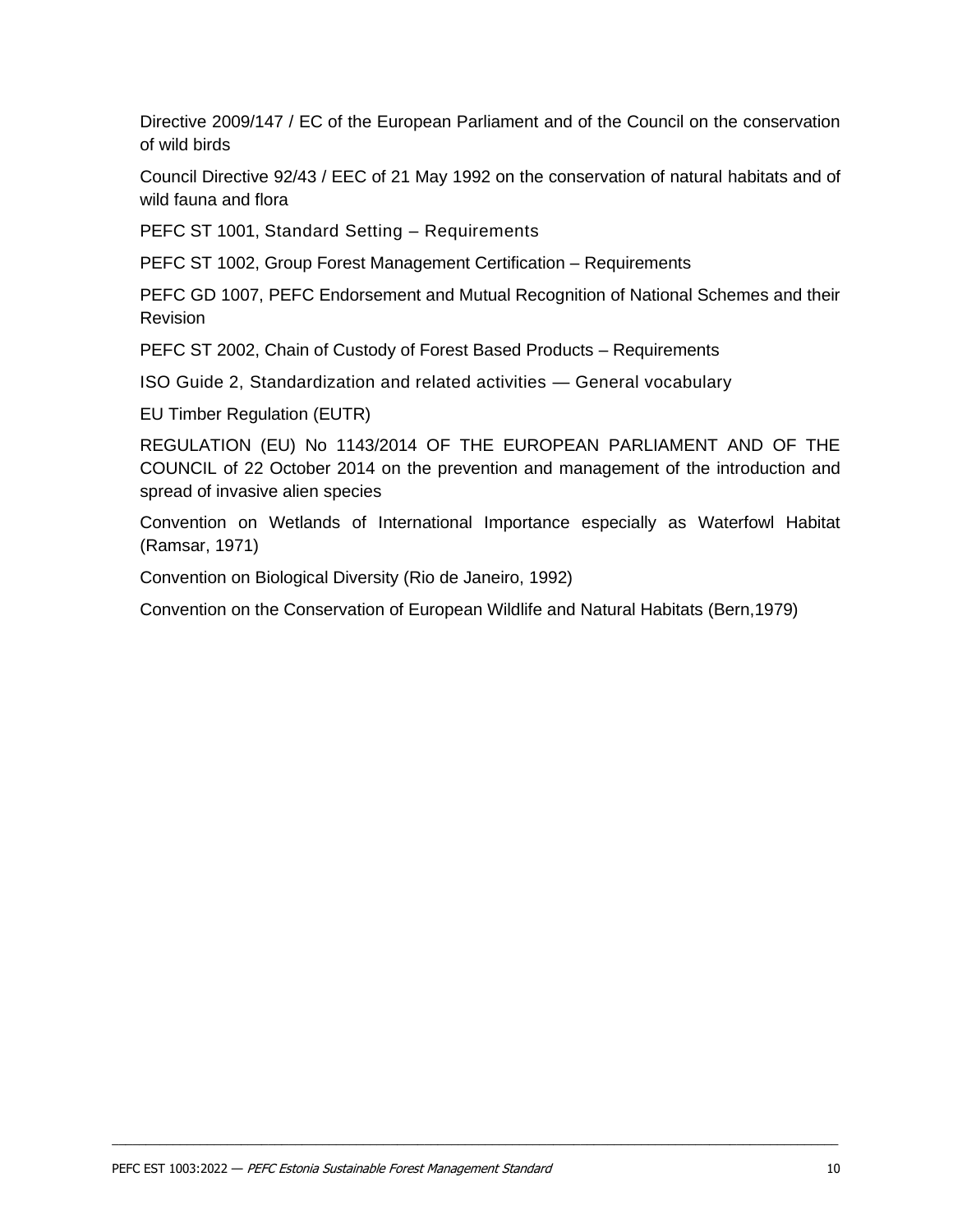Directive 2009/147 / EC of the European Parliament and of the Council on the conservation of wild birds

Council Directive 92/43 / EEC of 21 May 1992 on the conservation of natural habitats and of wild fauna and flora

PEFC ST 1001, Standard Setting – Requirements

PEFC ST 1002, Group Forest Management Certification – Requirements

PEFC GD 1007, PEFC Endorsement and Mutual Recognition of National Schemes and their Revision

PEFC ST 2002, Chain of Custody of Forest Based Products – Requirements

ISO Guide 2, Standardization and related activities — General vocabulary

EU Timber Regulation (EUTR)

REGULATION (EU) No 1143/2014 OF THE EUROPEAN PARLIAMENT AND OF THE COUNCIL of 22 October 2014 on the prevention and management of the introduction and spread of invasive alien species

Convention on Wetlands of International Importance especially as Waterfowl Habitat (Ramsar, 1971)

Convention on Biological Diversity (Rio de Janeiro, 1992)

Convention on the Conservation of European Wildlife and Natural Habitats (Bern,1979)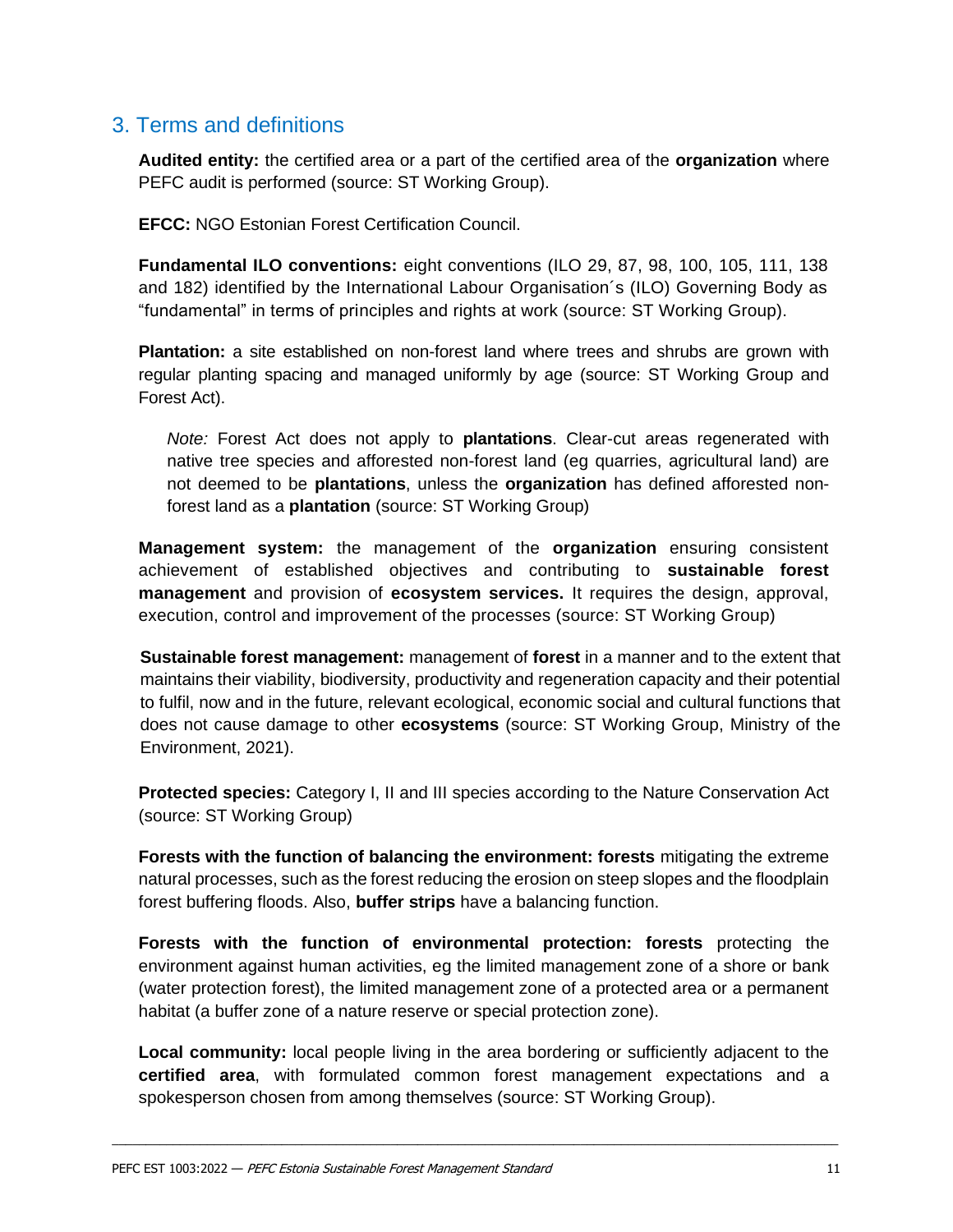## <span id="page-9-0"></span>3. Terms and definitions

**Audited entity:** the certified area or a part of the certified area of the **organization** where PEFC audit is performed (source: ST Working Group).

**EFCC:** NGO Estonian Forest Certification Council.

**Fundamental ILO conventions:** eight conventions (ILO 29, 87, 98, 100, 105, 111, 138 and 182) identified by the International Labour Organisation´s (ILO) Governing Body as "fundamental" in terms of principles and rights at work (source: ST Working Group).

**Plantation:** a site established on non-forest land where trees and shrubs are grown with regular planting spacing and managed uniformly by age (source: ST Working Group and Forest Act).

*Note:* Forest Act does not apply to **plantations**. Clear-cut areas regenerated with native tree species and afforested non-forest land (eg quarries, agricultural land) are not deemed to be **plantations**, unless the **organization** has defined afforested nonforest land as a **plantation** (source: ST Working Group)

**Management system:** the management of the **organization** ensuring consistent achievement of established objectives and contributing to **sustainable forest management** and provision of **ecosystem services.** It requires the design, approval, execution, control and improvement of the processes (source: ST Working Group)

**Sustainable forest management:** management of **forest** in a manner and to the extent that maintains their viability, biodiversity, productivity and regeneration capacity and their potential to fulfil, now and in the future, relevant ecological, economic social and cultural functions that does not cause damage to other **ecosystems** (source: ST Working Group, Ministry of the Environment, 2021).

**Protected species:** Category I, II and III species according to the Nature Conservation Act (source: ST Working Group)

**Forests with the function of balancing the environment: forests** mitigating the extreme natural processes, such as the forest reducing the erosion on steep slopes and the floodplain forest buffering floods. Also, **buffer strips** have a balancing function.

**Forests with the function of environmental protection: forests** protecting the environment against human activities, eg the limited management zone of a shore or bank (water protection forest), the limited management zone of a protected area or a permanent habitat (a buffer zone of a nature reserve or special protection zone).

**Local community:** local people living in the area bordering or sufficiently adjacent to the **certified area**, with formulated common forest management expectations and a spokesperson chosen from among themselves (source: ST Working Group).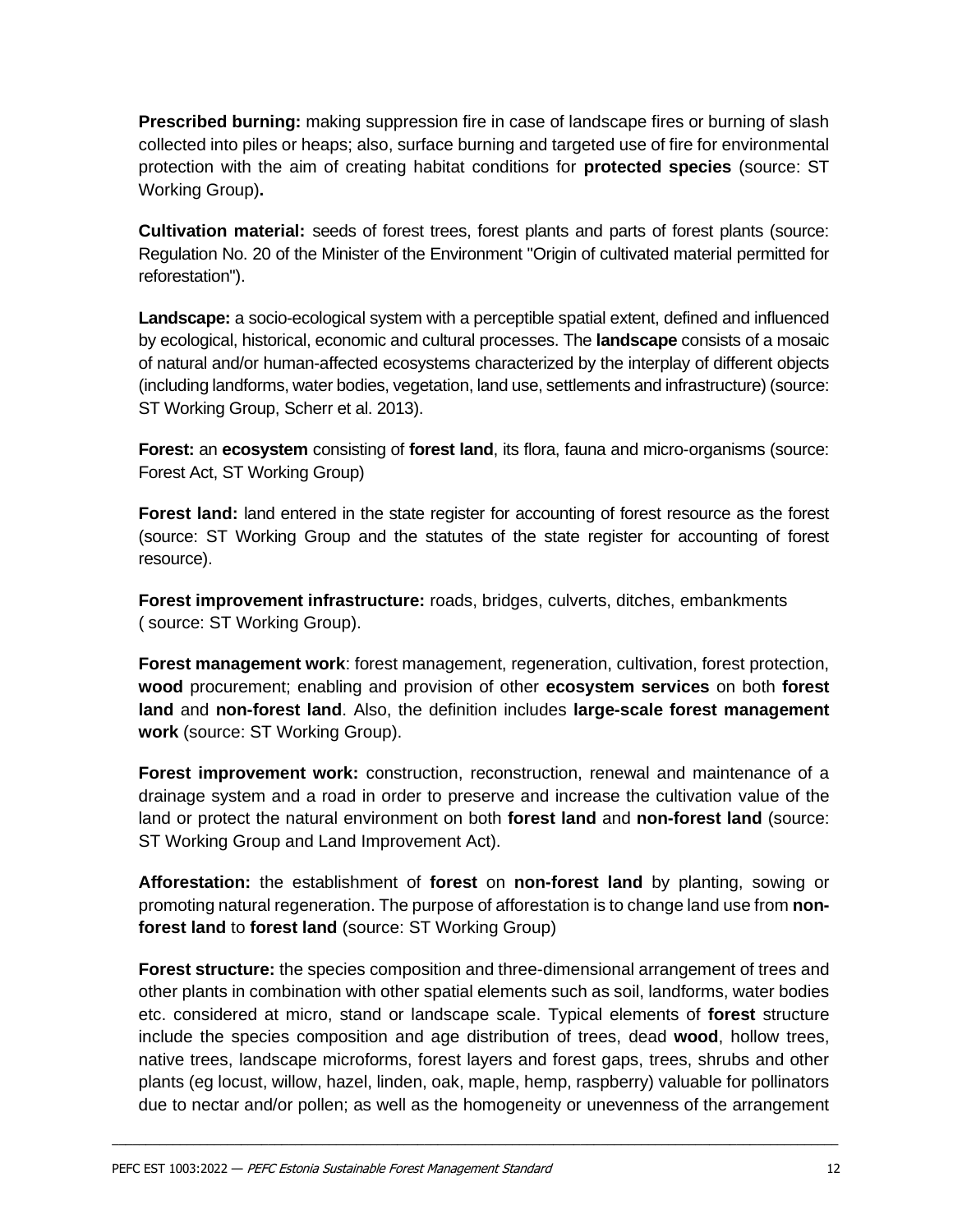**Prescribed burning:** making suppression fire in case of landscape fires or burning of slash collected into piles or heaps; also, surface burning and targeted use of fire for environmental protection with the aim of creating habitat conditions for **protected species** (source: ST Working Group)**.**

**Cultivation material:** seeds of forest trees, forest plants and parts of forest plants (source: Regulation No. 20 of the Minister of the Environment "Origin of cultivated material permitted for reforestation").

**Landscape:** a socio-ecological system with a perceptible spatial extent, defined and influenced by ecological, historical, economic and cultural processes. The **landscape** consists of a mosaic of natural and/or human-affected ecosystems characterized by the interplay of different objects (including landforms, water bodies, vegetation, land use, settlements and infrastructure) (source: ST Working Group, Scherr et al. 2013).

**Forest:** an **ecosystem** consisting of **forest land**, its flora, fauna and micro-organisms (source: Forest Act, ST Working Group)

**Forest land:** land entered in the state register for accounting of forest resource as the forest (source: ST Working Group and the statutes of the state register for accounting of forest resource).

**Forest improvement infrastructure:** roads, bridges, culverts, ditches, embankments ( source: ST Working Group).

**Forest management work**: forest management, regeneration, cultivation, forest protection, **wood** procurement; enabling and provision of other **ecosystem services** on both **forest land** and **non-forest land**. Also, the definition includes **large-scale forest management work** (source: ST Working Group).

**Forest improvement work:** construction, reconstruction, renewal and maintenance of a drainage system and a road in order to preserve and increase the cultivation value of the land or protect the natural environment on both **forest land** and **non-forest land** (source: ST Working Group and Land Improvement Act).

**Afforestation:** the establishment of **forest** on **non-forest land** by planting, sowing or promoting natural regeneration. The purpose of afforestation is to change land use from **nonforest land** to **forest land** (source: ST Working Group)

**Forest structure:** the species composition and three-dimensional arrangement of trees and other plants in combination with other spatial elements such as soil, landforms, water bodies etc. considered at micro, stand or landscape scale. Typical elements of **forest** structure include the species composition and age distribution of trees, dead **wood**, hollow trees, native trees, landscape microforms, forest layers and forest gaps, trees, shrubs and other plants (eg locust, willow, hazel, linden, oak, maple, hemp, raspberry) valuable for pollinators due to nectar and/or pollen; as well as the homogeneity or unevenness of the arrangement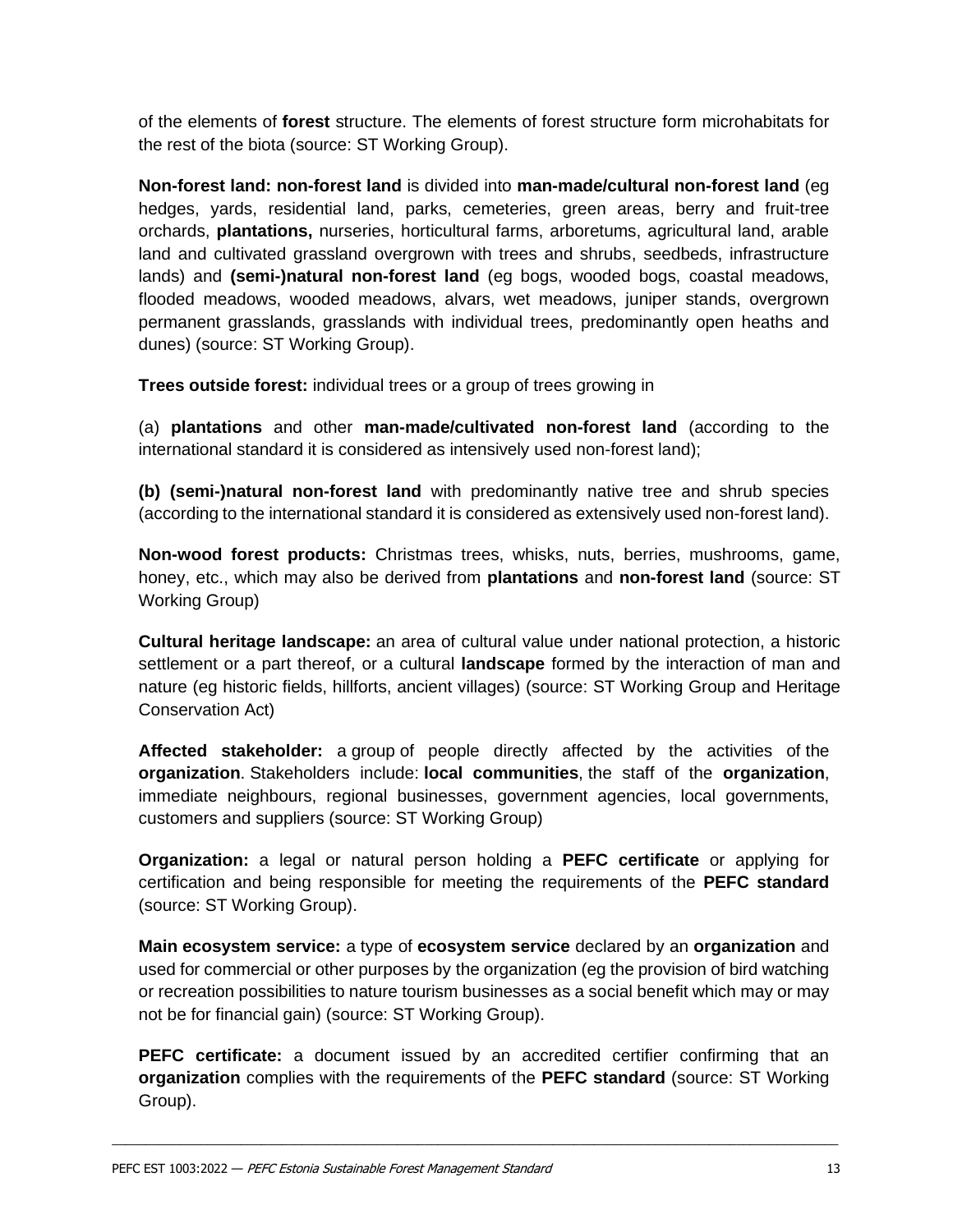of the elements of **forest** structure. The elements of forest structure form microhabitats for the rest of the biota (source: ST Working Group).

**Non-forest land: non-forest land** is divided into **man-made/cultural non-forest land** (eg hedges, yards, residential land, parks, cemeteries, green areas, berry and fruit-tree orchards, **plantations,** nurseries, horticultural farms, arboretums, agricultural land, arable land and cultivated grassland overgrown with trees and shrubs, seedbeds, infrastructure lands) and **(semi-)natural non-forest land** (eg bogs, wooded bogs, coastal meadows, flooded meadows, wooded meadows, alvars, wet meadows, juniper stands, overgrown permanent grasslands, grasslands with individual trees, predominantly open heaths and dunes) (source: ST Working Group).

**Trees outside forest:** individual trees or a group of trees growing in

(a) **plantations** and other **man-made/cultivated non-forest land** (according to the international standard it is considered as intensively used non-forest land);

**(b) (semi-)natural non-forest land** with predominantly native tree and shrub species (according to the international standard it is considered as extensively used non-forest land).

**Non-wood forest products:** Christmas trees, whisks, nuts, berries, mushrooms, game, honey, etc., which may also be derived from **plantations** and **non-forest land** (source: ST Working Group)

**Cultural heritage landscape:** an area of cultural value under national protection, a historic settlement or a part thereof, or a cultural **landscape** formed by the interaction of man and nature (eg historic fields, hillforts, ancient villages) (source: ST Working Group and Heritage Conservation Act)

**Affected stakeholder:** a group of people directly affected by the activities of the **organization**. Stakeholders include: **local communities**, the staff of the **organization**, immediate neighbours, regional businesses, government agencies, local governments, customers and suppliers (source: ST Working Group)

**Organization:** a legal or natural person holding a **PEFC certificate** or applying for certification and being responsible for meeting the requirements of the **PEFC standard** (source: ST Working Group).

**Main ecosystem service:** a type of **ecosystem service** declared by an **organization** and used for commercial or other purposes by the organization (eg the provision of bird watching or recreation possibilities to nature tourism businesses as a social benefit which may or may not be for financial gain) (source: ST Working Group).

**PEFC certificate:** a document issued by an accredited certifier confirming that an **organization** complies with the requirements of the **PEFC standard** (source: ST Working Group).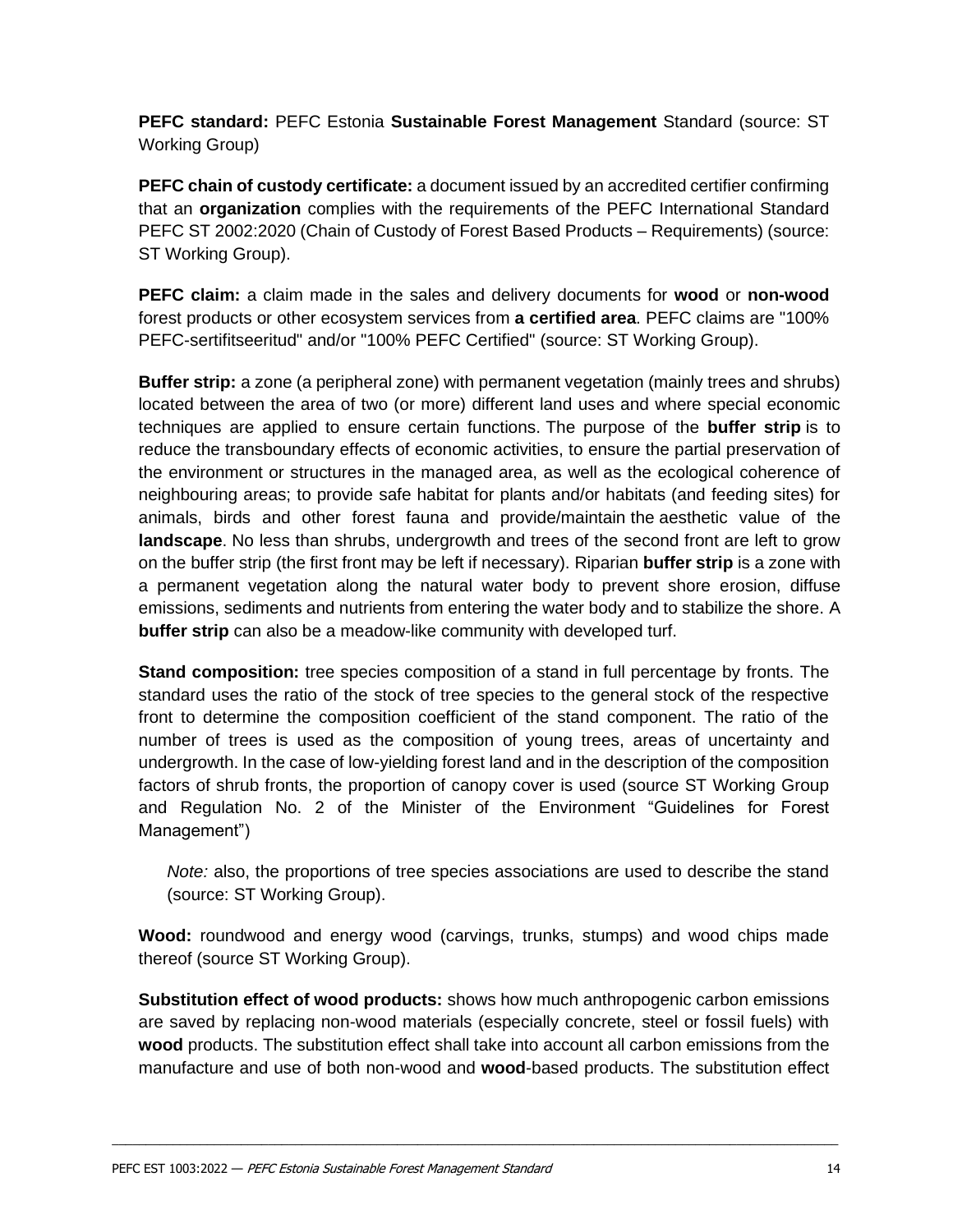**PEFC standard:** PEFC Estonia **Sustainable Forest Management** Standard (source: ST Working Group)

**PEFC chain of custody certificate:** a document issued by an accredited certifier confirming that an **organization** complies with the requirements of the PEFC International Standard PEFC ST 2002:2020 (Chain of Custody of Forest Based Products – Requirements) (source: ST Working Group).

**PEFC claim:** a claim made in the sales and delivery documents for **wood** or **non-wood** forest products or other ecosystem services from **a certified area**. PEFC claims are "100% PEFC-sertifitseeritud" and/or "100% PEFC Certified" (source: ST Working Group).

**Buffer strip:** a zone (a peripheral zone) with permanent vegetation (mainly trees and shrubs) located between the area of two (or more) different land uses and where special economic techniques are applied to ensure certain functions. The purpose of the **buffer strip** is to reduce the transboundary effects of economic activities, to ensure the partial preservation of the environment or structures in the managed area, as well as the ecological coherence of neighbouring areas; to provide safe habitat for plants and/or habitats (and feeding sites) for animals, birds and other forest fauna and provide/maintain the aesthetic value of the **landscape**. No less than shrubs, undergrowth and trees of the second front are left to grow on the buffer strip (the first front may be left if necessary). Riparian **buffer strip** is a zone with a permanent vegetation along the natural water body to prevent shore erosion, diffuse emissions, sediments and nutrients from entering the water body and to stabilize the shore. A **buffer strip** can also be a meadow-like community with developed turf.

**Stand composition:** tree species composition of a stand in full percentage by fronts. The standard uses the ratio of the stock of tree species to the general stock of the respective front to determine the composition coefficient of the stand component. The ratio of the number of trees is used as the composition of young trees, areas of uncertainty and undergrowth. In the case of low-yielding forest land and in the description of the composition factors of shrub fronts, the proportion of canopy cover is used (source ST Working Group and Regulation No. 2 of the Minister of the Environment "Guidelines for Forest Management")

*Note:* also, the proportions of tree species associations are used to describe the stand (source: ST Working Group).

**Wood:** roundwood and energy wood (carvings, trunks, stumps) and wood chips made thereof (source ST Working Group).

**Substitution effect of wood products:** shows how much anthropogenic carbon emissions are saved by replacing non-wood materials (especially concrete, steel or fossil fuels) with **wood** products. The substitution effect shall take into account all carbon emissions from the manufacture and use of both non-wood and **wood**-based products. The substitution effect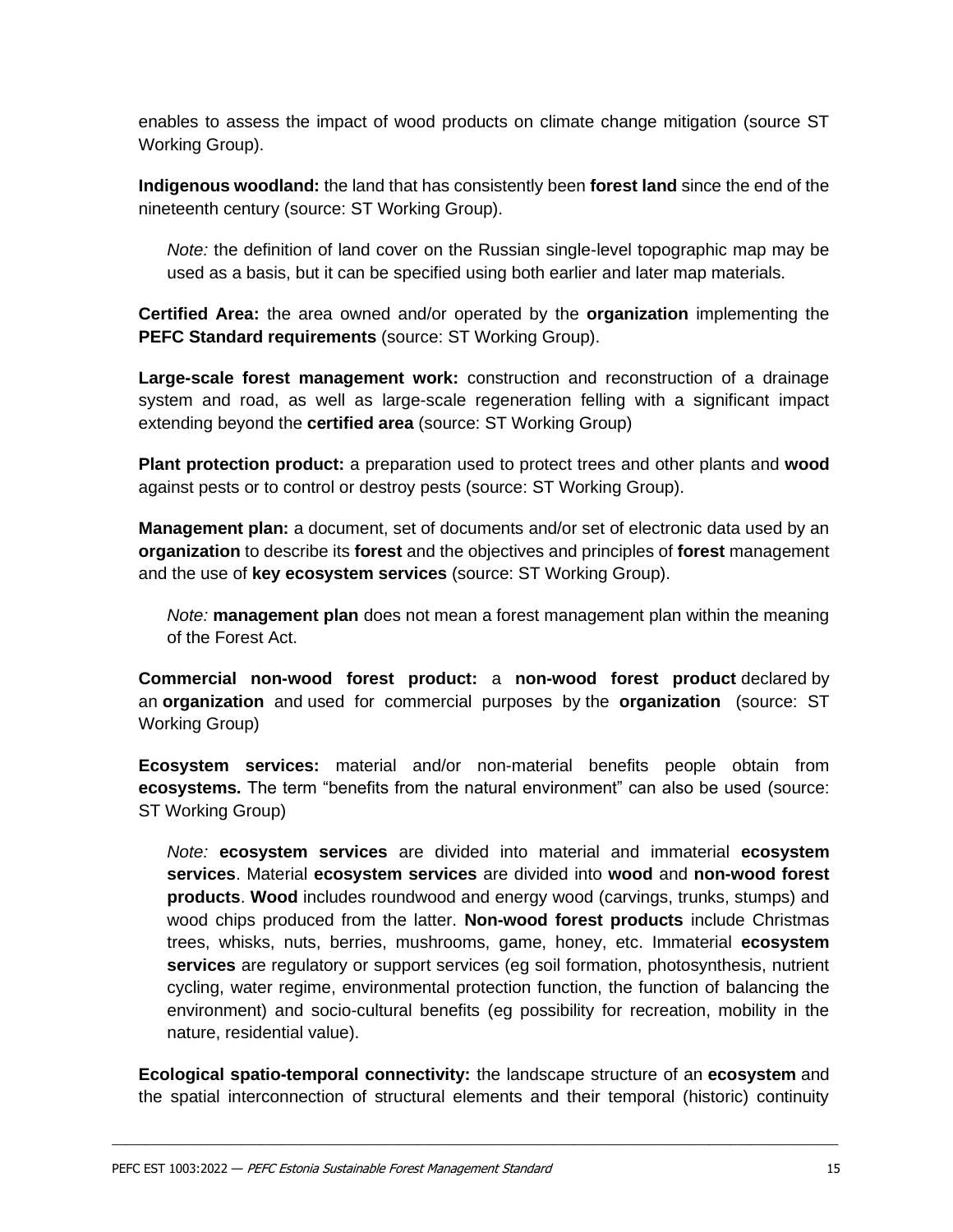enables to assess the impact of wood products on climate change mitigation (source ST Working Group).

**Indigenous woodland:** the land that has consistently been **forest land** since the end of the nineteenth century (source: ST Working Group).

*Note:* the definition of land cover on the Russian single-level topographic map may be used as a basis, but it can be specified using both earlier and later map materials.

**Certified Area:** the area owned and/or operated by the **organization** implementing the **PEFC Standard requirements** (source: ST Working Group).

**Large-scale forest management work:** construction and reconstruction of a drainage system and road, as well as large-scale regeneration felling with a significant impact extending beyond the **certified area** (source: ST Working Group)

**Plant protection product:** a preparation used to protect trees and other plants and **wood**  against pests or to control or destroy pests (source: ST Working Group).

**Management plan:** a document, set of documents and/or set of electronic data used by an **organization** to describe its **forest** and the objectives and principles of **forest** management and the use of **key ecosystem services** (source: ST Working Group).

*Note:* **management plan** does not mean a forest management plan within the meaning of the Forest Act.

**Commercial non-wood forest product:** a **non-wood forest product** declared by an **organization** and used for commercial purposes by the **organization** (source: ST Working Group)

**Ecosystem services:** material and/or non-material benefits people obtain from **ecosystems.** The term "benefits from the natural environment" can also be used (source: ST Working Group)

*Note:* **ecosystem services** are divided into material and immaterial **ecosystem services**. Material **ecosystem services** are divided into **wood** and **non-wood forest products**. **Wood** includes roundwood and energy wood (carvings, trunks, stumps) and wood chips produced from the latter. **Non-wood forest products** include Christmas trees, whisks, nuts, berries, mushrooms, game, honey, etc. Immaterial **ecosystem services** are regulatory or support services (eg soil formation, photosynthesis, nutrient cycling, water regime, environmental protection function, the function of balancing the environment) and socio-cultural benefits (eg possibility for recreation, mobility in the nature, residential value).

**Ecological spatio-temporal connectivity:** the landscape structure of an **ecosystem** and the spatial interconnection of structural elements and their temporal (historic) continuity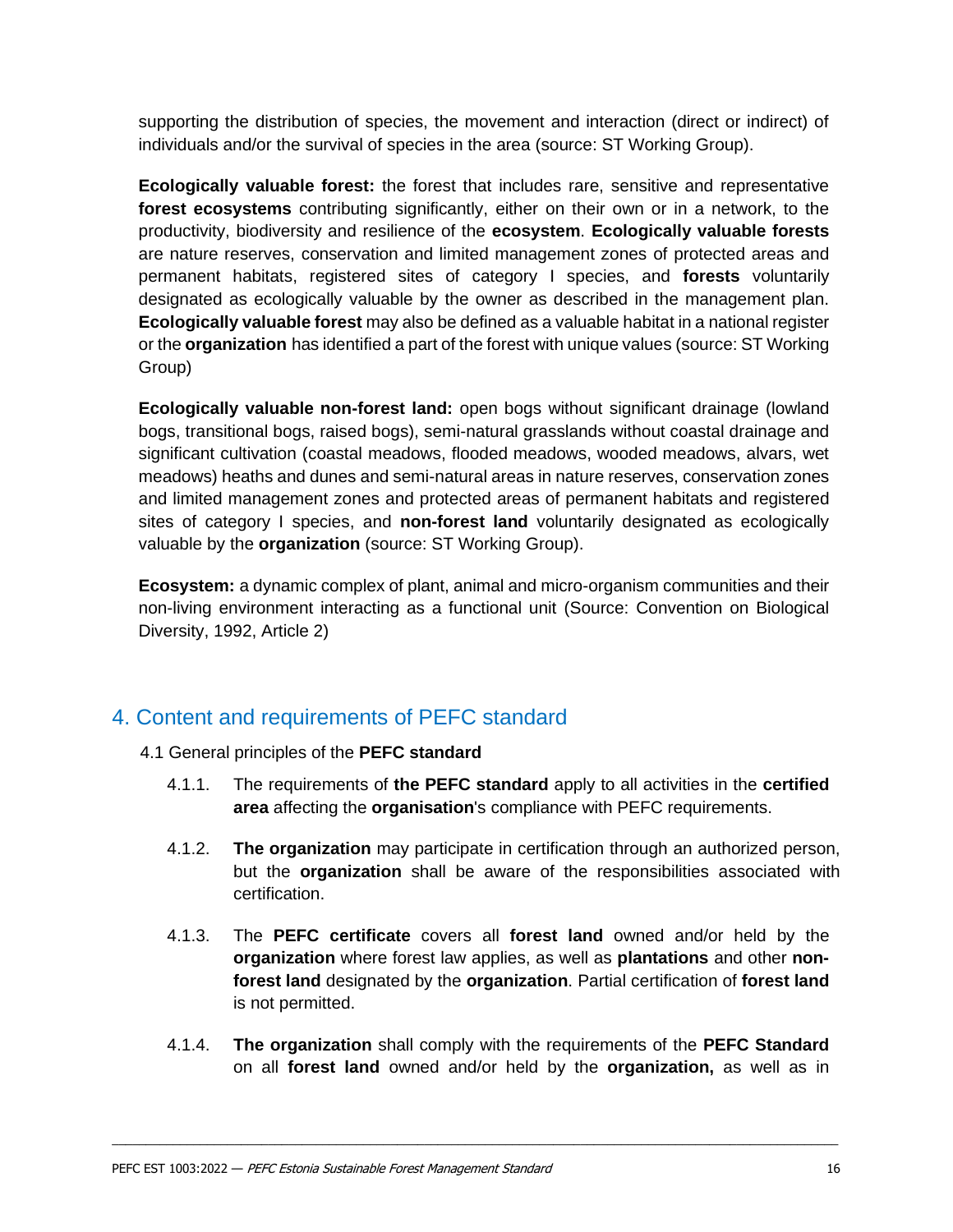supporting the distribution of species, the movement and interaction (direct or indirect) of individuals and/or the survival of species in the area (source: ST Working Group).

**Ecologically valuable forest:** the forest that includes rare, sensitive and representative **forest ecosystems** contributing significantly, either on their own or in a network, to the productivity, biodiversity and resilience of the **ecosystem**. **Ecologically valuable forests**  are nature reserves, conservation and limited management zones of protected areas and permanent habitats, registered sites of category I species, and **forests** voluntarily designated as ecologically valuable by the owner as described in the management plan. **Ecologically valuable forest** may also be defined as a valuable habitat in a national register or the **organization** has identified a part of the forest with unique values (source: ST Working Group)

**Ecologically valuable non-forest land:** open bogs without significant drainage (lowland bogs, transitional bogs, raised bogs), semi-natural grasslands without coastal drainage and significant cultivation (coastal meadows, flooded meadows, wooded meadows, alvars, wet meadows) heaths and dunes and semi-natural areas in nature reserves, conservation zones and limited management zones and protected areas of permanent habitats and registered sites of category I species, and **non-forest land** voluntarily designated as ecologically valuable by the **organization** (source: ST Working Group).

**Ecosystem:** a dynamic complex of plant, animal and micro-organism communities and their non-living environment interacting as a functional unit (Source: Convention on Biological Diversity, 1992, Article 2)

## <span id="page-14-0"></span>4. Content and requirements of PEFC standard

- 4.1 General principles of the **PEFC standard** 
	- 4.1.1. The requirements of **the PEFC standard** apply to all activities in the **certified area** affecting the **organisation**'s compliance with PEFC requirements.
	- 4.1.2. **The organization** may participate in certification through an authorized person, but the **organization** shall be aware of the responsibilities associated with certification.
	- 4.1.3. The **PEFC certificate** covers all **forest land** owned and/or held by the **organization** where forest law applies, as well as **plantations** and other **nonforest land** designated by the **organization**. Partial certification of **forest land** is not permitted.
	- 4.1.4. **The organization** shall comply with the requirements of the **PEFC Standard** on all **forest land** owned and/or held by the **organization,** as well as in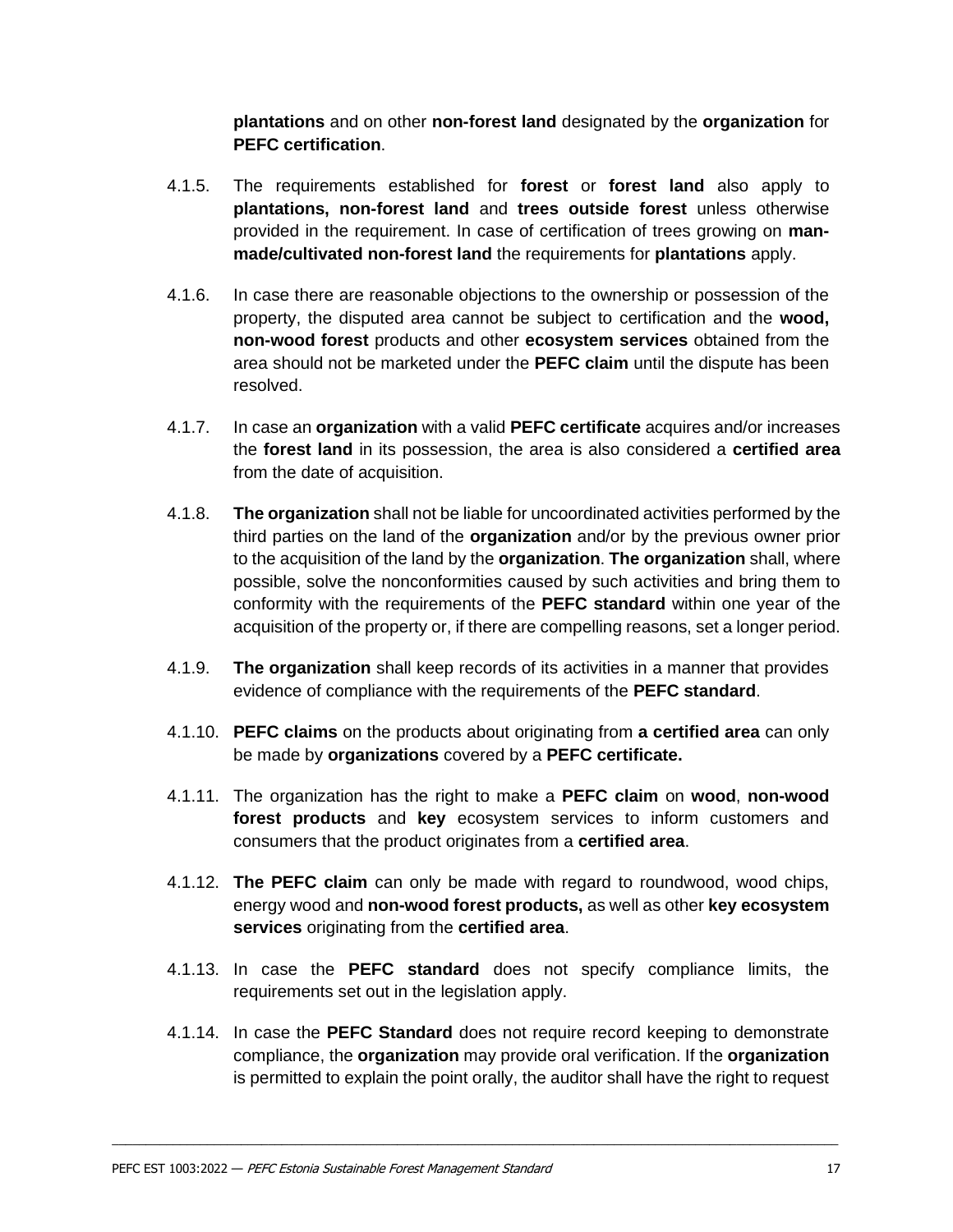**plantations** and on other **non-forest land** designated by the **organization** for **PEFC certification**.

- 4.1.5. The requirements established for **forest** or **forest land** also apply to **plantations, non-forest land** and **trees outside forest** unless otherwise provided in the requirement. In case of certification of trees growing on **manmade/cultivated non-forest land** the requirements for **plantations** apply.
- 4.1.6. In case there are reasonable objections to the ownership or possession of the property, the disputed area cannot be subject to certification and the **wood, non-wood forest** products and other **ecosystem services** obtained from the area should not be marketed under the **PEFC claim** until the dispute has been resolved.
- 4.1.7. In case an **organization** with a valid **PEFC certificate** acquires and/or increases the **forest land** in its possession, the area is also considered a **certified area**  from the date of acquisition.
- 4.1.8. **The organization** shall not be liable for uncoordinated activities performed by the third parties on the land of the **organization** and/or by the previous owner prior to the acquisition of the land by the **organization**. **The organization** shall, where possible, solve the nonconformities caused by such activities and bring them to conformity with the requirements of the **PEFC standard** within one year of the acquisition of the property or, if there are compelling reasons, set a longer period.
- 4.1.9. **The organization** shall keep records of its activities in a manner that provides evidence of compliance with the requirements of the **PEFC standard**.
- 4.1.10. **PEFC claims** on the products about originating from **a certified area** can only be made by **organizations** covered by a **PEFC certificate.**
- 4.1.11. The organization has the right to make a **PEFC claim** on **wood**, **non-wood forest products** and **key** ecosystem services to inform customers and consumers that the product originates from a **certified area**.
- 4.1.12. **The PEFC claim** can only be made with regard to roundwood, wood chips, energy wood and **non-wood forest products,** as well as other **key ecosystem services** originating from the **certified area**.
- 4.1.13. In case the **PEFC standard** does not specify compliance limits, the requirements set out in the legislation apply.
- 4.1.14. In case the **PEFC Standard** does not require record keeping to demonstrate compliance, the **organization** may provide oral verification. If the **organization**  is permitted to explain the point orally, the auditor shall have the right to request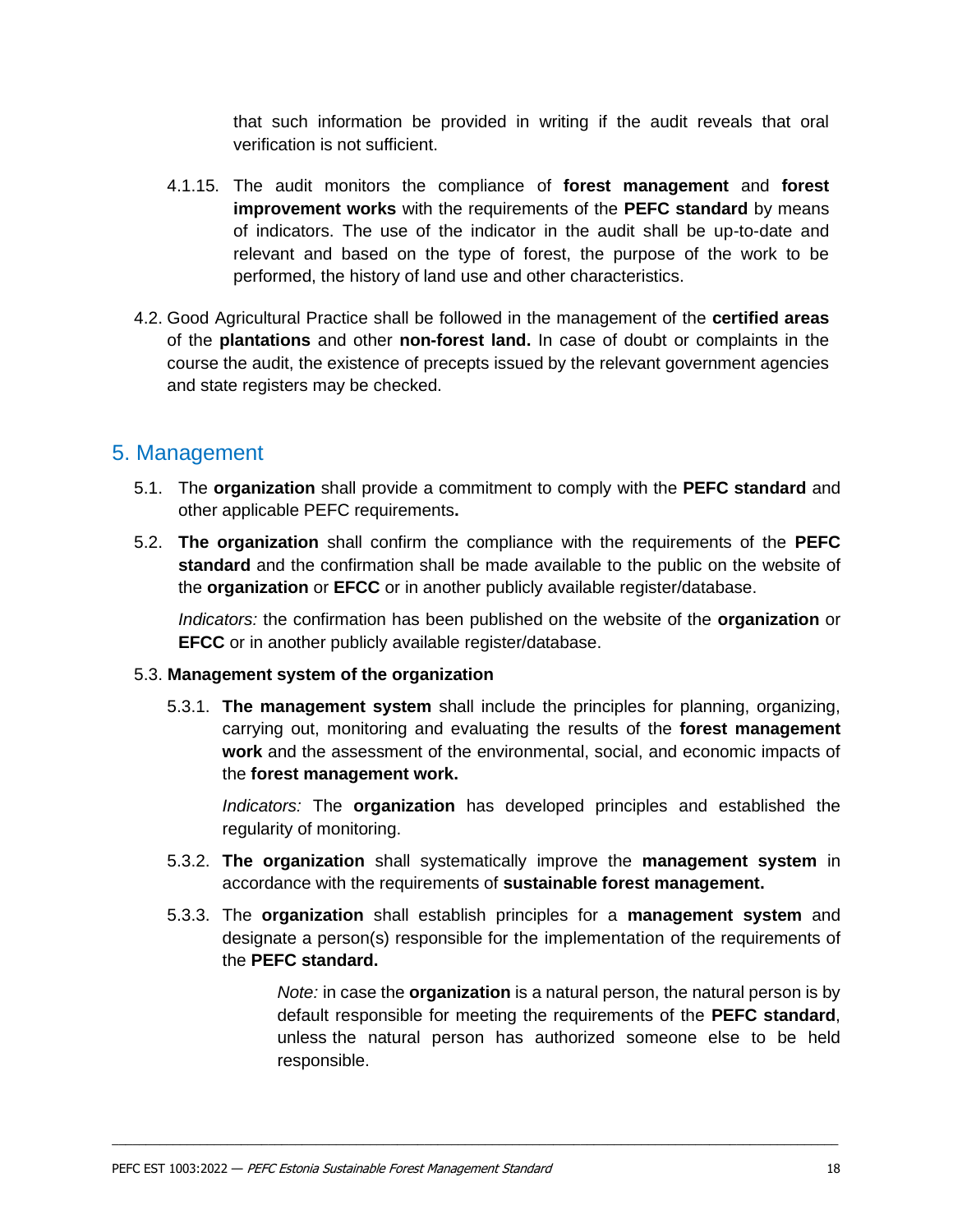that such information be provided in writing if the audit reveals that oral verification is not sufficient.

- 4.1.15. The audit monitors the compliance of **forest management** and **forest improvement works** with the requirements of the **PEFC standard** by means of indicators. The use of the indicator in the audit shall be up-to-date and relevant and based on the type of forest, the purpose of the work to be performed, the history of land use and other characteristics.
- 4.2. Good Agricultural Practice shall be followed in the management of the **certified areas** of the **plantations** and other **non-forest land.** In case of doubt or complaints in the course the audit, the existence of precepts issued by the relevant government agencies and state registers may be checked.

## <span id="page-16-0"></span>5. Management

- 5.1. The **organization** shall provide a commitment to comply with the **PEFC standard** and other applicable PEFC requirements**.**
- 5.2. **The organization** shall confirm the compliance with the requirements of the **PEFC standard** and the confirmation shall be made available to the public on the website of the **organization** or **EFCC** or in another publicly available register/database.

*Indicators:* the confirmation has been published on the website of the **organization** or **EFCC** or in another publicly available register/database.

#### 5.3. **Management system of the organization**

5.3.1. **The management system** shall include the principles for planning, organizing, carrying out, monitoring and evaluating the results of the **forest management work** and the assessment of the environmental, social, and economic impacts of the **forest management work.**

*Indicators:* The **organization** has developed principles and established the regularity of monitoring.

- 5.3.2. **The organization** shall systematically improve the **management system** in accordance with the requirements of **sustainable forest management.**
- 5.3.3. The **organization** shall establish principles for a **management system** and designate a person(s) responsible for the implementation of the requirements of the **PEFC standard.**

 $\mathcal{L}_\mathcal{L} = \{ \mathcal{L}_\mathcal{L} = \{ \mathcal{L}_\mathcal{L} = \{ \mathcal{L}_\mathcal{L} = \{ \mathcal{L}_\mathcal{L} = \{ \mathcal{L}_\mathcal{L} = \{ \mathcal{L}_\mathcal{L} = \{ \mathcal{L}_\mathcal{L} = \{ \mathcal{L}_\mathcal{L} = \{ \mathcal{L}_\mathcal{L} = \{ \mathcal{L}_\mathcal{L} = \{ \mathcal{L}_\mathcal{L} = \{ \mathcal{L}_\mathcal{L} = \{ \mathcal{L}_\mathcal{L} = \{ \mathcal{L}_\mathcal{$ 

*Note:* in case the **organization** is a natural person, the natural person is by default responsible for meeting the requirements of the **PEFC standard**, unless the natural person has authorized someone else to be held responsible.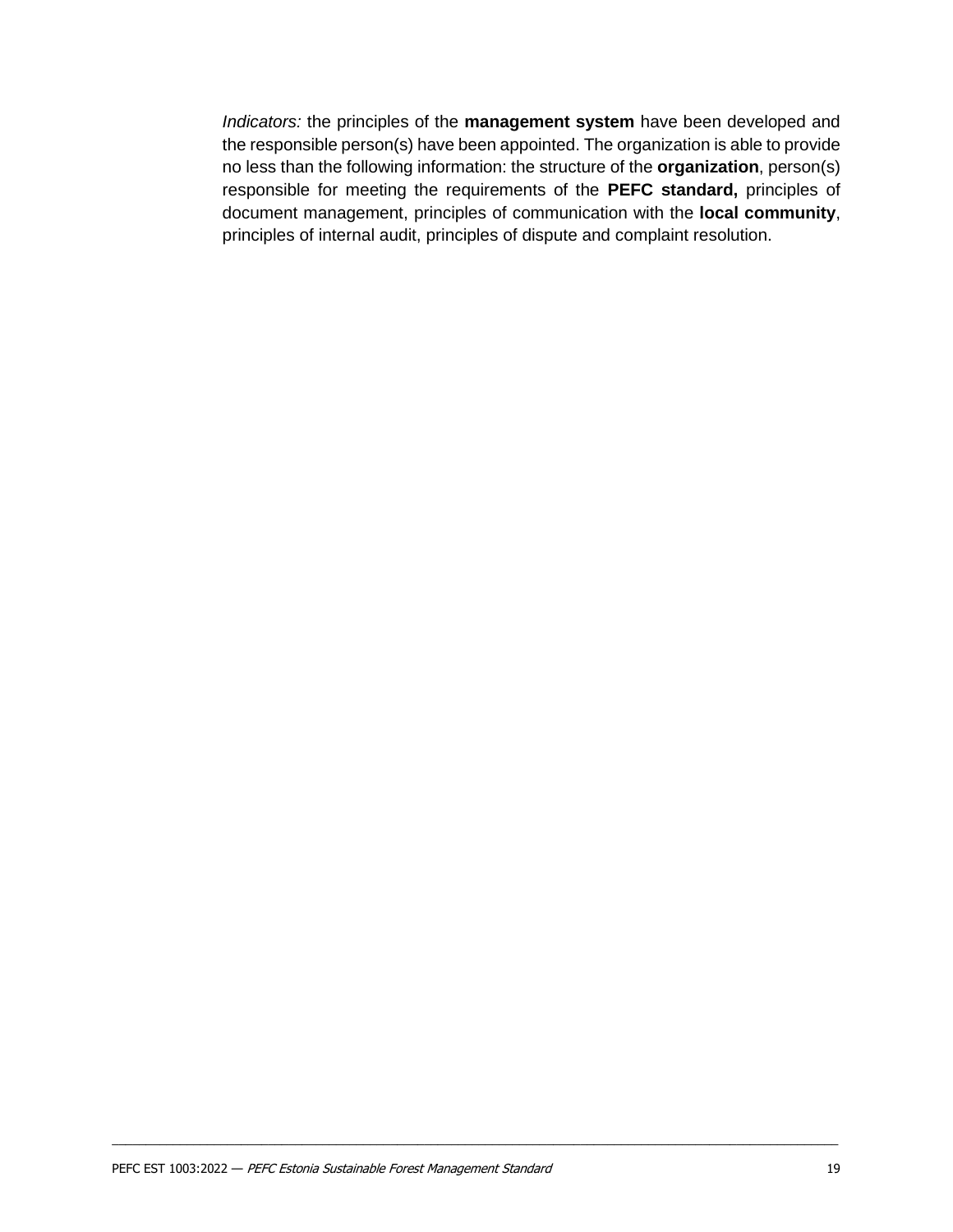*Indicators:* the principles of the **management system** have been developed and the responsible person(s) have been appointed. The organization is able to provide no less than the following information: the structure of the **organization**, person(s) responsible for meeting the requirements of the **PEFC standard,** principles of document management, principles of communication with the **local community**, principles of internal audit, principles of dispute and complaint resolution.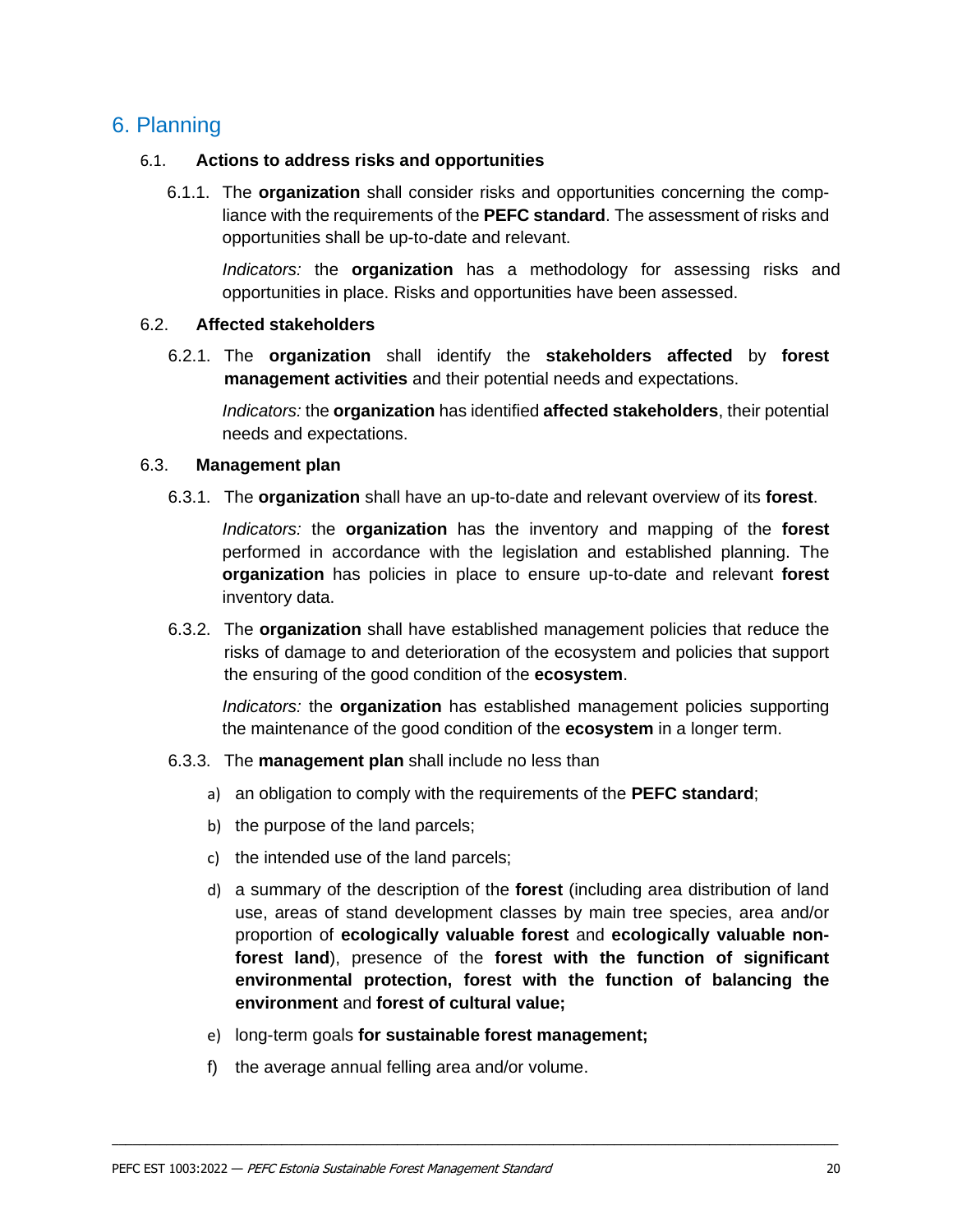## <span id="page-18-0"></span>6. Planning

#### 6.1. **Actions to address risks and opportunities**

6.1.1. The **organization** shall consider risks and opportunities concerning the compliance with the requirements of the **PEFC standard**. The assessment of risks and opportunities shall be up-to-date and relevant.

*Indicators:* the **organization** has a methodology for assessing risks and opportunities in place. Risks and opportunities have been assessed.

#### 6.2. **Affected stakeholders**

6.2.1. The **organization** shall identify the **stakeholders affected** by **forest management activities** and their potential needs and expectations.

*Indicators:* the **organization** has identified **affected stakeholders**, their potential needs and expectations.

#### 6.3. **Management plan**

6.3.1. The **organization** shall have an up-to-date and relevant overview of its **forest**.

*Indicators:* the **organization** has the inventory and mapping of the **forest**  performed in accordance with the legislation and established planning. The **organization** has policies in place to ensure up-to-date and relevant **forest**  inventory data.

6.3.2. The **organization** shall have established management policies that reduce the risks of damage to and deterioration of the ecosystem and policies that support the ensuring of the good condition of the **ecosystem**.

*Indicators:* the **organization** has established management policies supporting the maintenance of the good condition of the **ecosystem** in a longer term.

- 6.3.3. The **management plan** shall include no less than
	- a) an obligation to comply with the requirements of the **PEFC standard**;
	- b) the purpose of the land parcels;
	- c) the intended use of the land parcels;
	- d) a summary of the description of the **forest** (including area distribution of land use, areas of stand development classes by main tree species, area and/or proportion of **ecologically valuable forest** and **ecologically valuable nonforest land**), presence of the **forest with the function of significant environmental protection, forest with the function of balancing the environment** and **forest of cultural value;**
	- e) long-term goals **for sustainable forest management;**

 $\mathcal{L}_\mathcal{L} = \{ \mathcal{L}_\mathcal{L} = \{ \mathcal{L}_\mathcal{L} = \{ \mathcal{L}_\mathcal{L} = \{ \mathcal{L}_\mathcal{L} = \{ \mathcal{L}_\mathcal{L} = \{ \mathcal{L}_\mathcal{L} = \{ \mathcal{L}_\mathcal{L} = \{ \mathcal{L}_\mathcal{L} = \{ \mathcal{L}_\mathcal{L} = \{ \mathcal{L}_\mathcal{L} = \{ \mathcal{L}_\mathcal{L} = \{ \mathcal{L}_\mathcal{L} = \{ \mathcal{L}_\mathcal{L} = \{ \mathcal{L}_\mathcal{$ 

f) the average annual felling area and/or volume.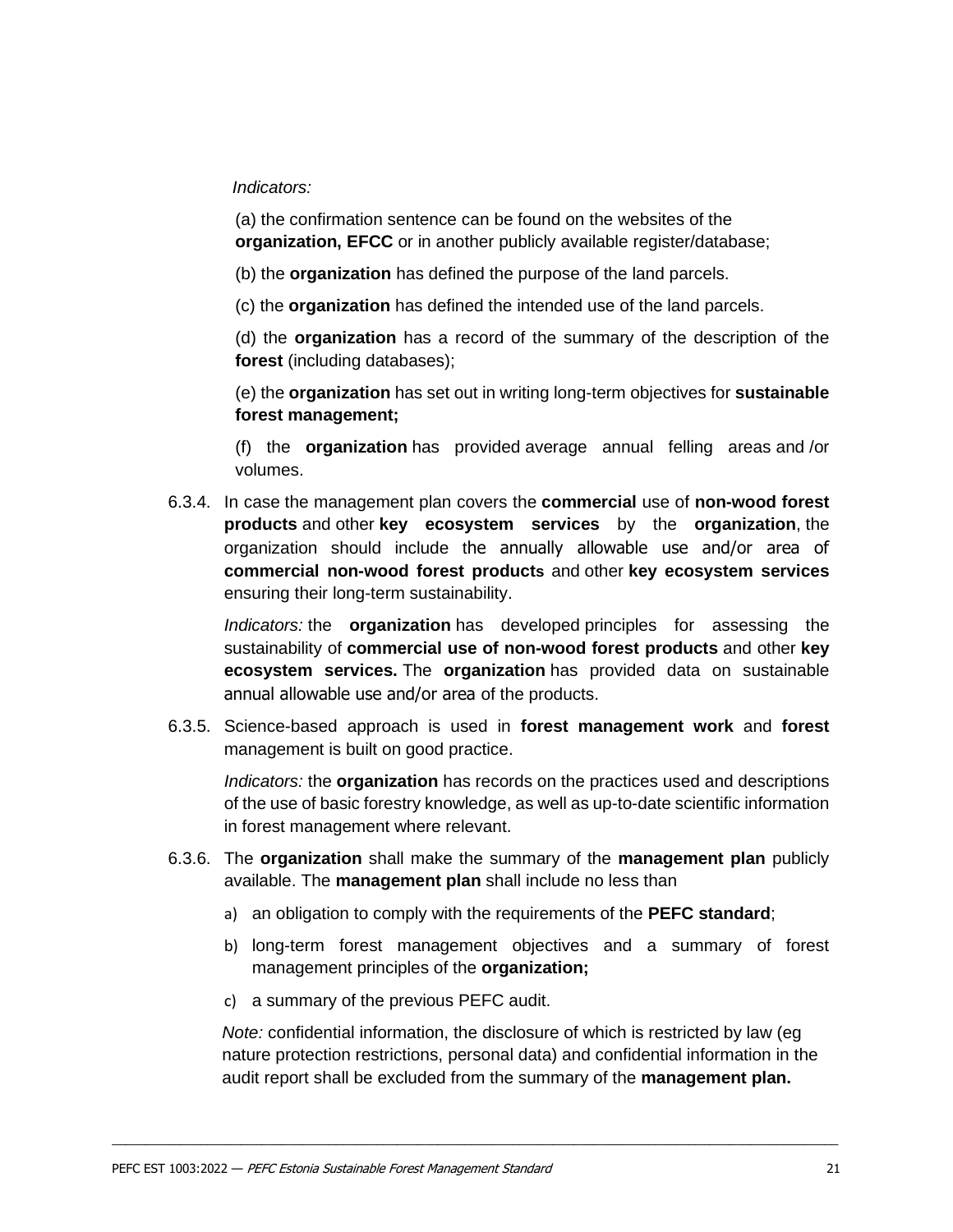#### *Indicators:*

(a) the confirmation sentence can be found on the websites of the **organization, EFCC** or in another publicly available register/database;

(b) the **organization** has defined the purpose of the land parcels.

(c) the **organization** has defined the intended use of the land parcels.

(d) the **organization** has a record of the summary of the description of the **forest** (including databases);

(e) the **organization** has set out in writing long-term objectives for **sustainable forest management;**

(f) the **organization** has provided average annual felling areas and /or volumes.

6.3.4. In case the management plan covers the **commercial** use of **non-wood forest products** and other **key ecosystem services** by the **organization**, the organization should include the annually allowable use and/or area of **commercial non-wood forest products** and other **key ecosystem services** ensuring their long-term sustainability.

*Indicators:* the **organization** has developed principles for assessing the sustainability of **commercial use of non-wood forest products** and other **key ecosystem services.** The **organization** has provided data on sustainable annual allowable use and/or area of the products.

6.3.5. Science-based approach is used in **forest management work** and **forest**  management is built on good practice.

*Indicators:* the **organization** has records on the practices used and descriptions of the use of basic forestry knowledge, as well as up-to-date scientific information in forest management where relevant.

- 6.3.6. The **organization** shall make the summary of the **management plan** publicly available. The **management plan** shall include no less than
	- a) an obligation to comply with the requirements of the **PEFC standard**;
	- b) long-term forest management objectives and a summary of forest management principles of the **organization;**
	- c) a summary of the previous PEFC audit.

*Note:* confidential information, the disclosure of which is restricted by law (eg nature protection restrictions, personal data) and confidential information in the audit report shall be excluded from the summary of the **management plan.**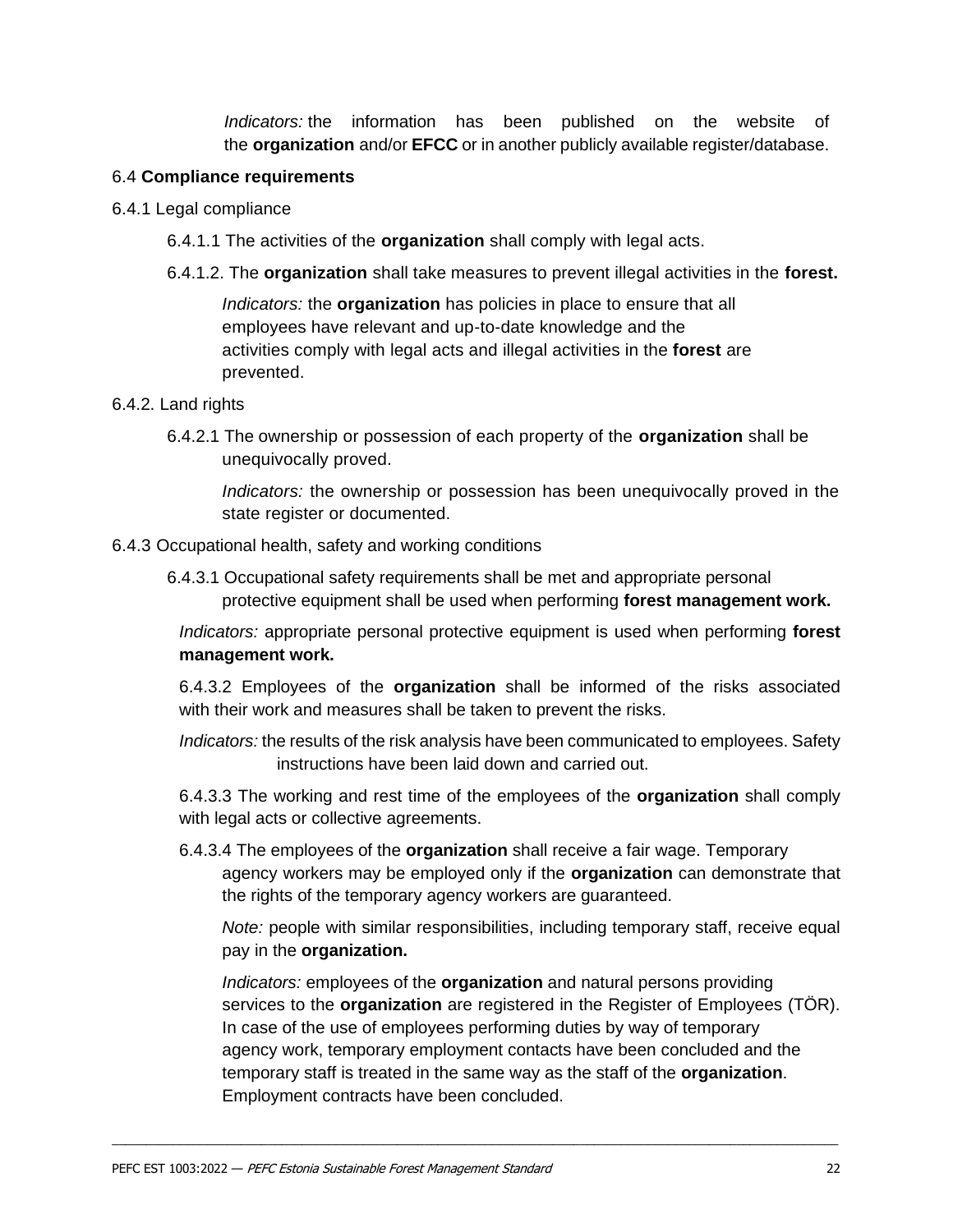*Indicators:* the information has been published on the website of the **organization** and/or **EFCC** or in another publicly available register/database.

#### 6.4 **Compliance requirements**

- 6.4.1 Legal compliance
	- 6.4.1.1 The activities of the **organization** shall comply with legal acts.
	- 6.4.1.2. The **organization** shall take measures to prevent illegal activities in the **forest.**

*Indicators:* the **organization** has policies in place to ensure that all employees have relevant and up-to-date knowledge and the activities comply with legal acts and illegal activities in the **forest** are prevented.

#### 6.4.2. Land rights

6.4.2.1 The ownership or possession of each property of the **organization** shall be unequivocally proved.

*Indicators:* the ownership or possession has been unequivocally proved in the state register or documented.

- 6.4.3 Occupational health, safety and working conditions
	- 6.4.3.1 Occupational safety requirements shall be met and appropriate personal protective equipment shall be used when performing **forest management work.**

*Indicators:* appropriate personal protective equipment is used when performing **forest management work.**

6.4.3.2 Employees of the **organization** shall be informed of the risks associated with their work and measures shall be taken to prevent the risks.

*Indicators:* the results of the risk analysis have been communicated to employees. Safety instructions have been laid down and carried out.

6.4.3.3 The working and rest time of the employees of the **organization** shall comply with legal acts or collective agreements.

6.4.3.4 The employees of the **organization** shall receive a fair wage. Temporary agency workers may be employed only if the **organization** can demonstrate that the rights of the temporary agency workers are guaranteed.

*Note:* people with similar responsibilities, including temporary staff, receive equal pay in the **organization.**

*Indicators:* employees of the **organization** and natural persons providing services to the **organization** are registered in the Register of Employees (TÖR). In case of the use of employees performing duties by way of temporary agency work, temporary employment contacts have been concluded and the temporary staff is treated in the same way as the staff of the **organization**. Employment contracts have been concluded.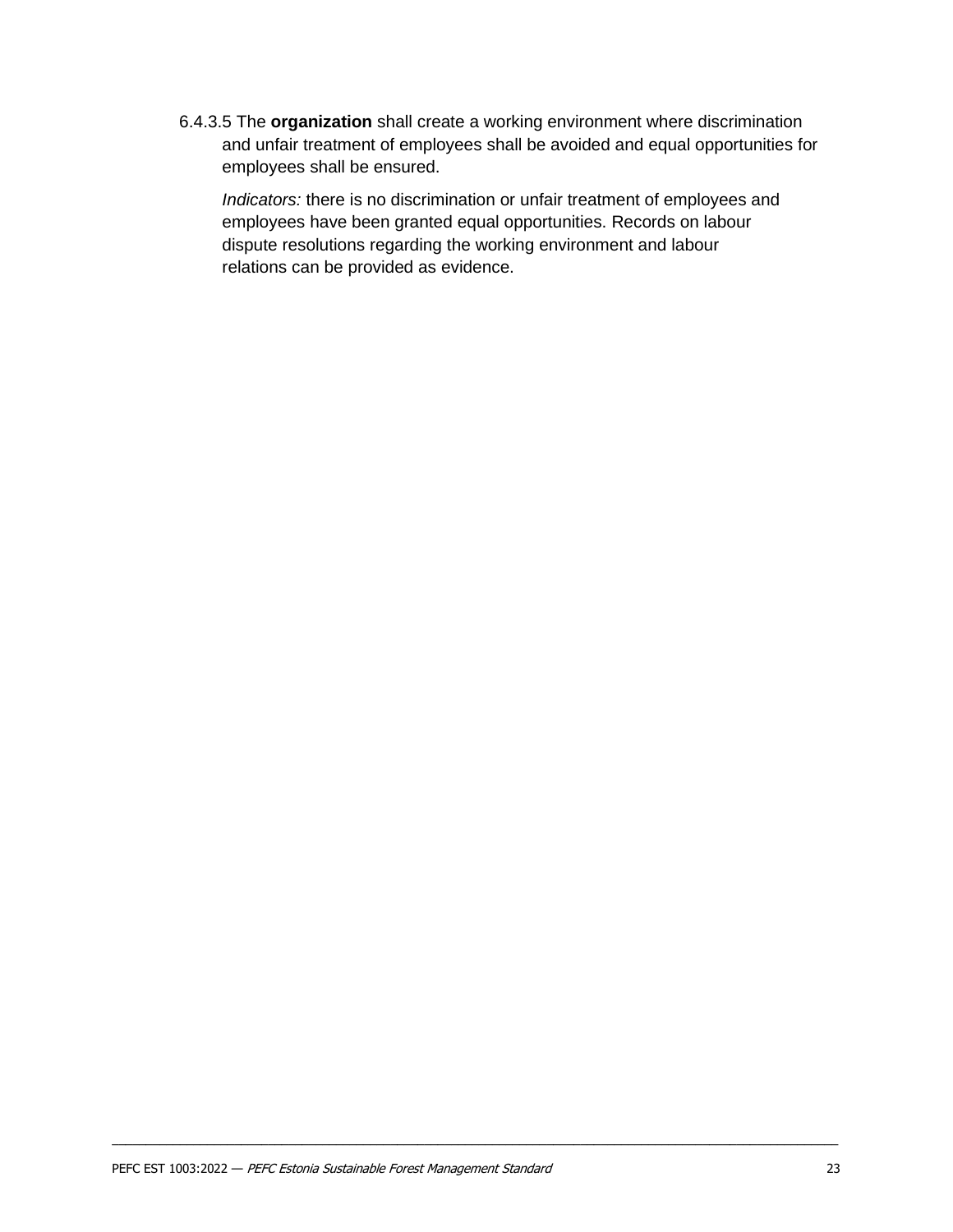6.4.3.5 The **organization** shall create a working environment where discrimination and unfair treatment of employees shall be avoided and equal opportunities for employees shall be ensured.

*Indicators:* there is no discrimination or unfair treatment of employees and employees have been granted equal opportunities. Records on labour dispute resolutions regarding the working environment and labour relations can be provided as evidence.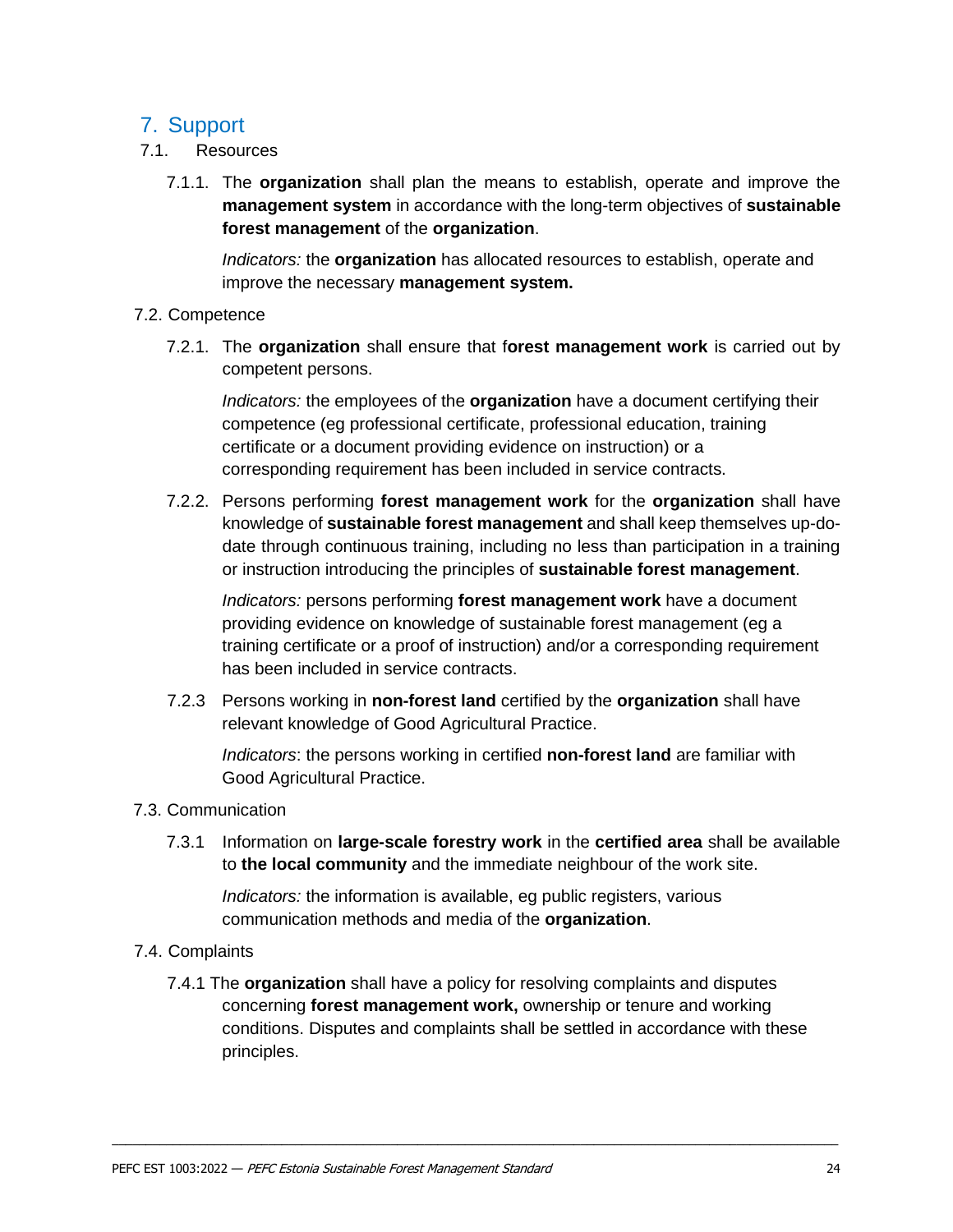## <span id="page-22-0"></span>7. Support

- 7.1. Resources
	- 7.1.1. The **organization** shall plan the means to establish, operate and improve the **management system** in accordance with the long-term objectives of **sustainable forest management** of the **organization**.

*Indicators:* the **organization** has allocated resources to establish, operate and improve the necessary **management system.**

#### 7.2. Competence

7.2.1. The **organization** shall ensure that f**orest management work** is carried out by competent persons.

*Indicators:* the employees of the **organization** have a document certifying their competence (eg professional certificate, professional education, training certificate or a document providing evidence on instruction) or a corresponding requirement has been included in service contracts.

7.2.2. Persons performing **forest management work** for the **organization** shall have knowledge of **sustainable forest management** and shall keep themselves up-dodate through continuous training, including no less than participation in a training or instruction introducing the principles of **sustainable forest management**.

*Indicators:* persons performing **forest management work** have a document providing evidence on knowledge of sustainable forest management (eg a training certificate or a proof of instruction) and/or a corresponding requirement has been included in service contracts.

7.2.3 Persons working in **non-forest land** certified by the **organization** shall have relevant knowledge of Good Agricultural Practice.

*Indicators*: the persons working in certified **non-forest land** are familiar with Good Agricultural Practice.

- 7.3. Communication
	- 7.3.1 Information on **large-scale forestry work** in the **certified area** shall be available to **the local community** and the immediate neighbour of the work site.

*Indicators:* the information is available, eg public registers, various communication methods and media of the **organization**.

- 7.4. Complaints
	- 7.4.1 The **organization** shall have a policy for resolving complaints and disputes concerning **forest management work,** ownership or tenure and working conditions. Disputes and complaints shall be settled in accordance with these principles.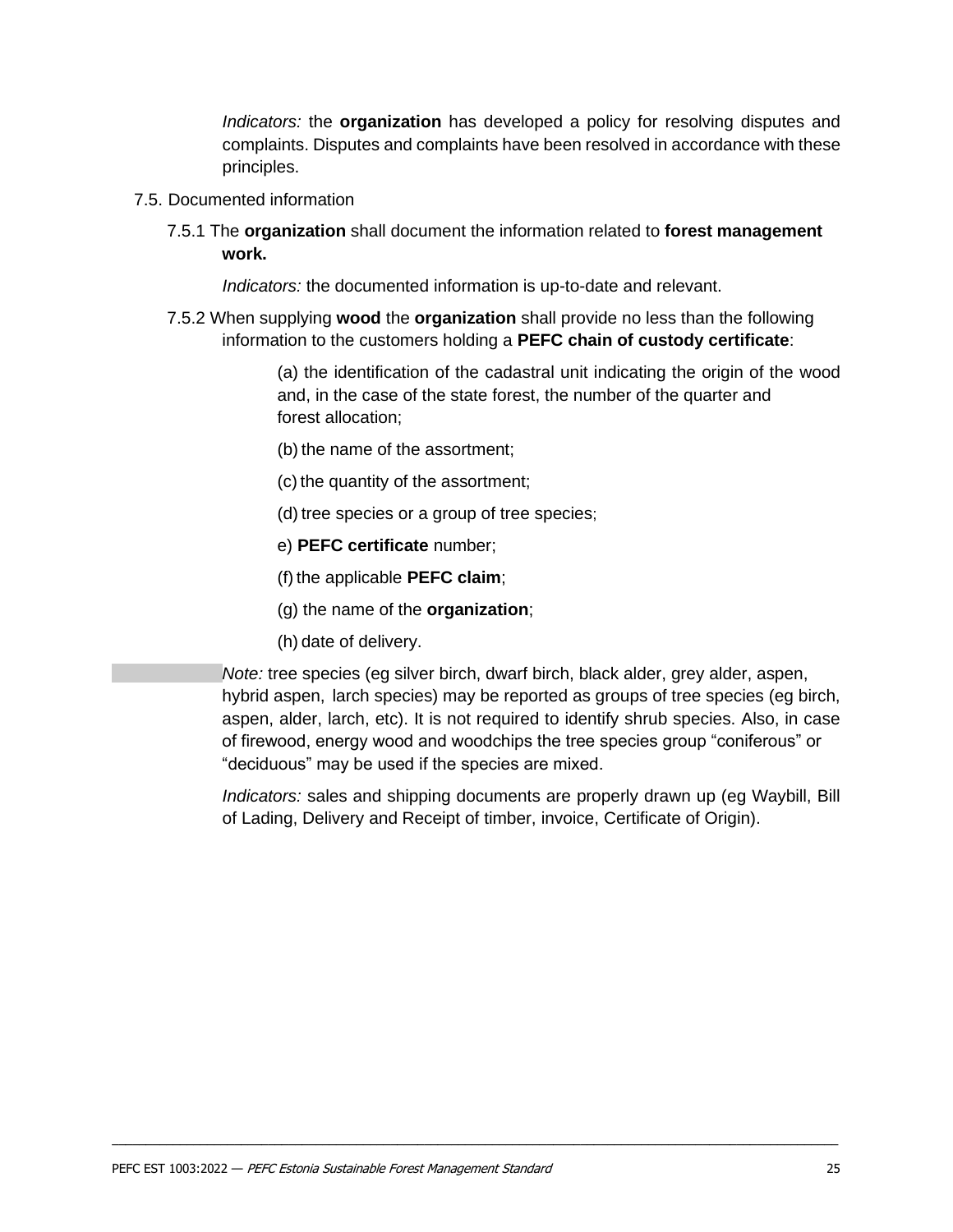*Indicators:* the **organization** has developed a policy for resolving disputes and complaints. Disputes and complaints have been resolved in accordance with these principles.

- 7.5. Documented information
	- 7.5.1 The **organization** shall document the information related to **forest management work.**

*Indicators:* the documented information is up-to-date and relevant.

7.5.2 When supplying **wood** the **organization** shall provide no less than the following information to the customers holding a **PEFC chain of custody certificate**:

> (a) the identification of the cadastral unit indicating the origin of the wood and, in the case of the state forest, the number of the quarter and forest allocation;

- (b) the name of the assortment;
- (c) the quantity of the assortment;
- (d) tree species or a group of tree species;
- e) **PEFC certificate** number;
- (f) the applicable **PEFC claim**;
- (g) the name of the **organization**;
- (h) date of delivery.

*Note:* tree species (eg silver birch, dwarf birch, black alder, grey alder, aspen, hybrid aspen, larch species) may be reported as groups of tree species (eg birch, aspen, alder, larch, etc). It is not required to identify shrub species. Also, in case of firewood, energy wood and woodchips the tree species group "coniferous" or "deciduous" may be used if the species are mixed.

*Indicators:* sales and shipping documents are properly drawn up (eg Waybill, Bill of Lading, Delivery and Receipt of timber, invoice, Certificate of Origin).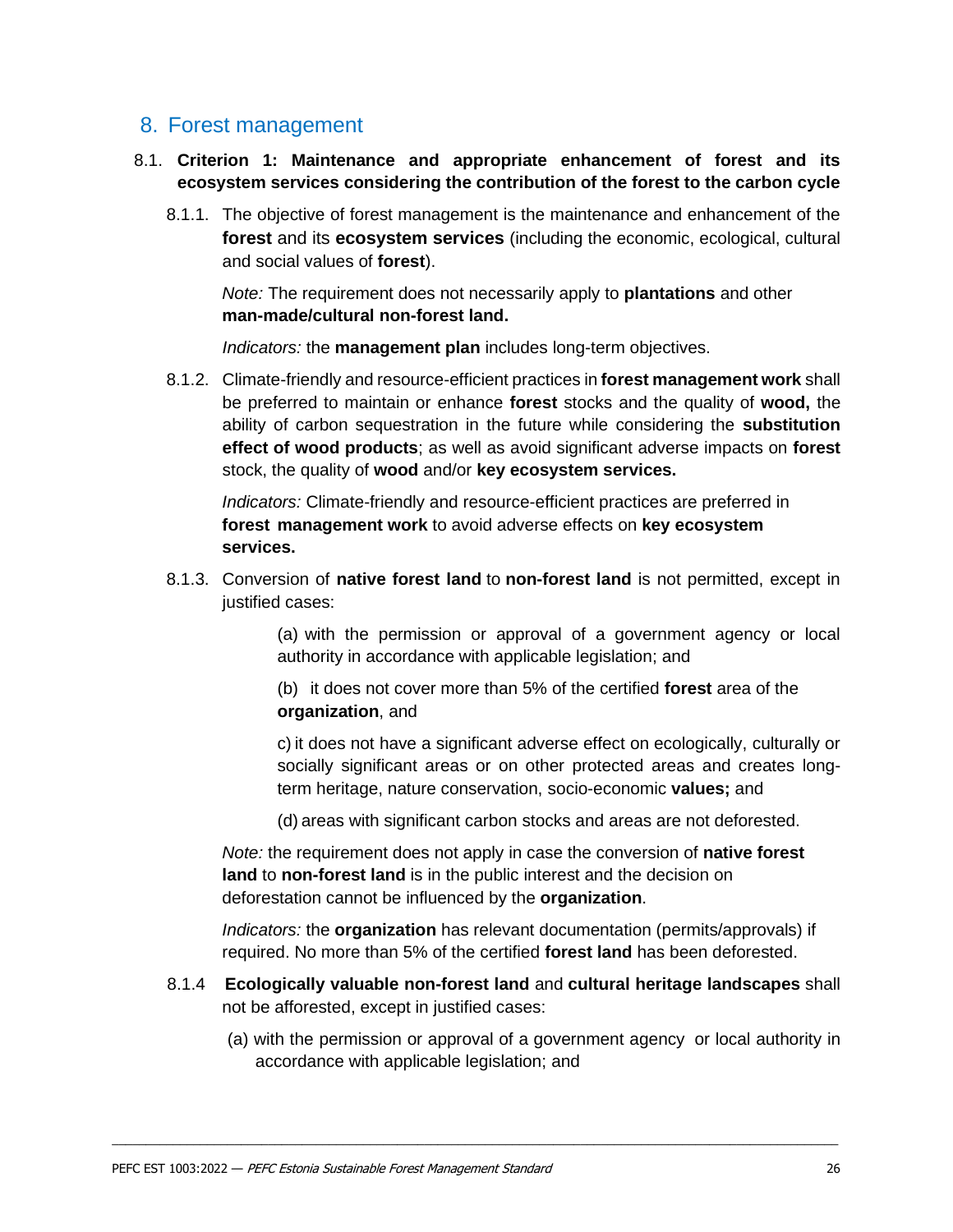## <span id="page-24-0"></span>8. Forest management

- <span id="page-24-1"></span>8.1. **Criterion 1: Maintenance and appropriate enhancement of forest and its ecosystem services considering the contribution of the forest to the carbon cycle** 
	- 8.1.1. The objective of forest management is the maintenance and enhancement of the **forest** and its **ecosystem services** (including the economic, ecological, cultural and social values of **forest**).

*Note:* The requirement does not necessarily apply to **plantations** and other **man-made/cultural non-forest land.**

*Indicators:* the **management plan** includes long-term objectives.

8.1.2. Climate-friendly and resource-efficient practices in **forest management work** shall be preferred to maintain or enhance **forest** stocks and the quality of **wood,** the ability of carbon sequestration in the future while considering the **substitution effect of wood products**; as well as avoid significant adverse impacts on **forest**  stock, the quality of **wood** and/or **key ecosystem services.**

*Indicators:* Climate-friendly and resource-efficient practices are preferred in **forest management work** to avoid adverse effects on **key ecosystem services.**

8.1.3. Conversion of **native forest land** to **non-forest land** is not permitted, except in justified cases:

> (a) with the permission or approval of a government agency or local authority in accordance with applicable legislation; and

(b) it does not cover more than 5% of the certified **forest** area of the **organization**, and

c) it does not have a significant adverse effect on ecologically, culturally or socially significant areas or on other protected areas and creates longterm heritage, nature conservation, socio-economic **values;** and

(d) areas with significant carbon stocks and areas are not deforested.

*Note:* the requirement does not apply in case the conversion of **native forest land** to **non-forest land** is in the public interest and the decision on deforestation cannot be influenced by the **organization**.

*Indicators:* the **organization** has relevant documentation (permits/approvals) if required. No more than 5% of the certified **forest land** has been deforested.

8.1.4 **Ecologically valuable non-forest land** and **cultural heritage landscapes** shall not be afforested, except in justified cases:

\_\_\_\_\_\_\_\_\_\_\_\_\_\_\_\_\_\_\_\_\_\_\_\_\_\_\_\_\_\_\_\_\_\_\_\_\_\_\_\_\_\_\_\_\_\_\_\_\_\_\_\_\_\_\_\_\_\_\_\_\_\_\_\_\_\_\_\_\_\_\_\_\_\_\_\_\_\_\_\_\_\_\_\_\_\_\_\_\_\_\_\_\_\_\_\_\_\_\_\_\_\_\_\_\_\_\_

(a) with the permission or approval of a government agency or local authority in accordance with applicable legislation; and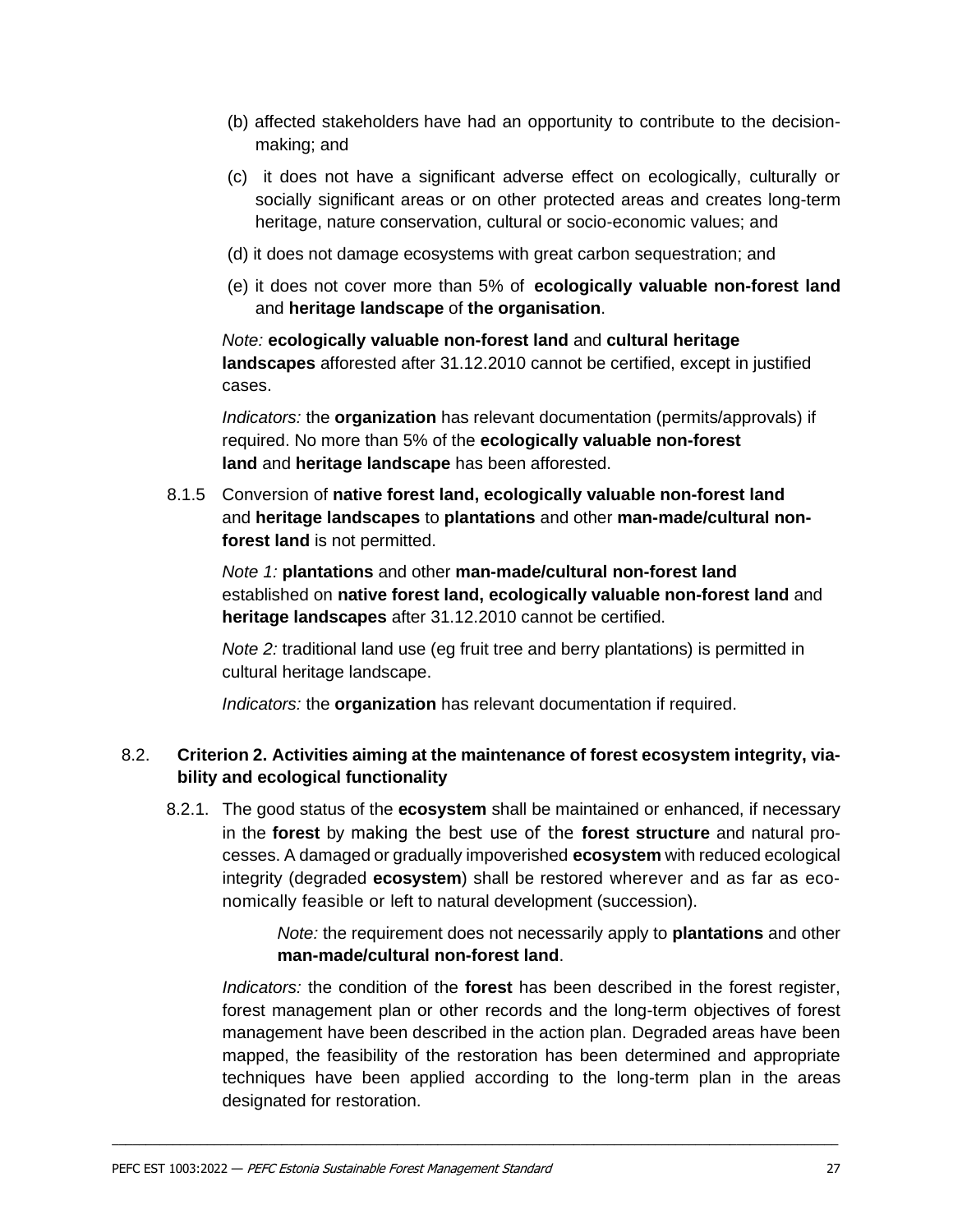- (b) affected stakeholders have had an opportunity to contribute to the decisionmaking; and
- (c) it does not have a significant adverse effect on ecologically, culturally or socially significant areas or on other protected areas and creates long-term heritage, nature conservation, cultural or socio-economic values; and
- (d) it does not damage ecosystems with great carbon sequestration; and
- (e) it does not cover more than 5% of **ecologically valuable non-forest land** and **heritage landscape** of **the organisation**.

*Note:* **ecologically valuable non-forest land** and **cultural heritage landscapes** afforested after 31.12.2010 cannot be certified, except in justified cases.

*Indicators:* the **organization** has relevant documentation (permits/approvals) if required. No more than 5% of the **ecologically valuable non-forest land** and **heritage landscape** has been afforested.

8.1.5 Conversion of **native forest land, ecologically valuable non-forest land**  and **heritage landscapes** to **plantations** and other **man-made/cultural nonforest land** is not permitted.

*Note 1:* **plantations** and other **man-made/cultural non-forest land**  established on **native forest land, ecologically valuable non-forest land** and **heritage landscapes** after 31.12.2010 cannot be certified.

*Note 2:* traditional land use (eg fruit tree and berry plantations) is permitted in cultural heritage landscape.

*Indicators:* the **organization** has relevant documentation if required.

#### <span id="page-25-0"></span>8.2. **Criterion 2. Activities aiming at the maintenance of forest ecosystem integrity, viability and ecological functionality**

8.2.1. The good status of the **ecosystem** shall be maintained or enhanced, if necessary in the **forest** by making the best use of the **forest structure** and natural processes. A damaged or gradually impoverished **ecosystem** with reduced ecological integrity (degraded **ecosystem**) shall be restored wherever and as far as economically feasible or left to natural development (succession).

> *Note:* the requirement does not necessarily apply to **plantations** and other **man-made/cultural non-forest land**.

*Indicators:* the condition of the **forest** has been described in the forest register, forest management plan or other records and the long-term objectives of forest management have been described in the action plan. Degraded areas have been mapped, the feasibility of the restoration has been determined and appropriate techniques have been applied according to the long-term plan in the areas designated for restoration.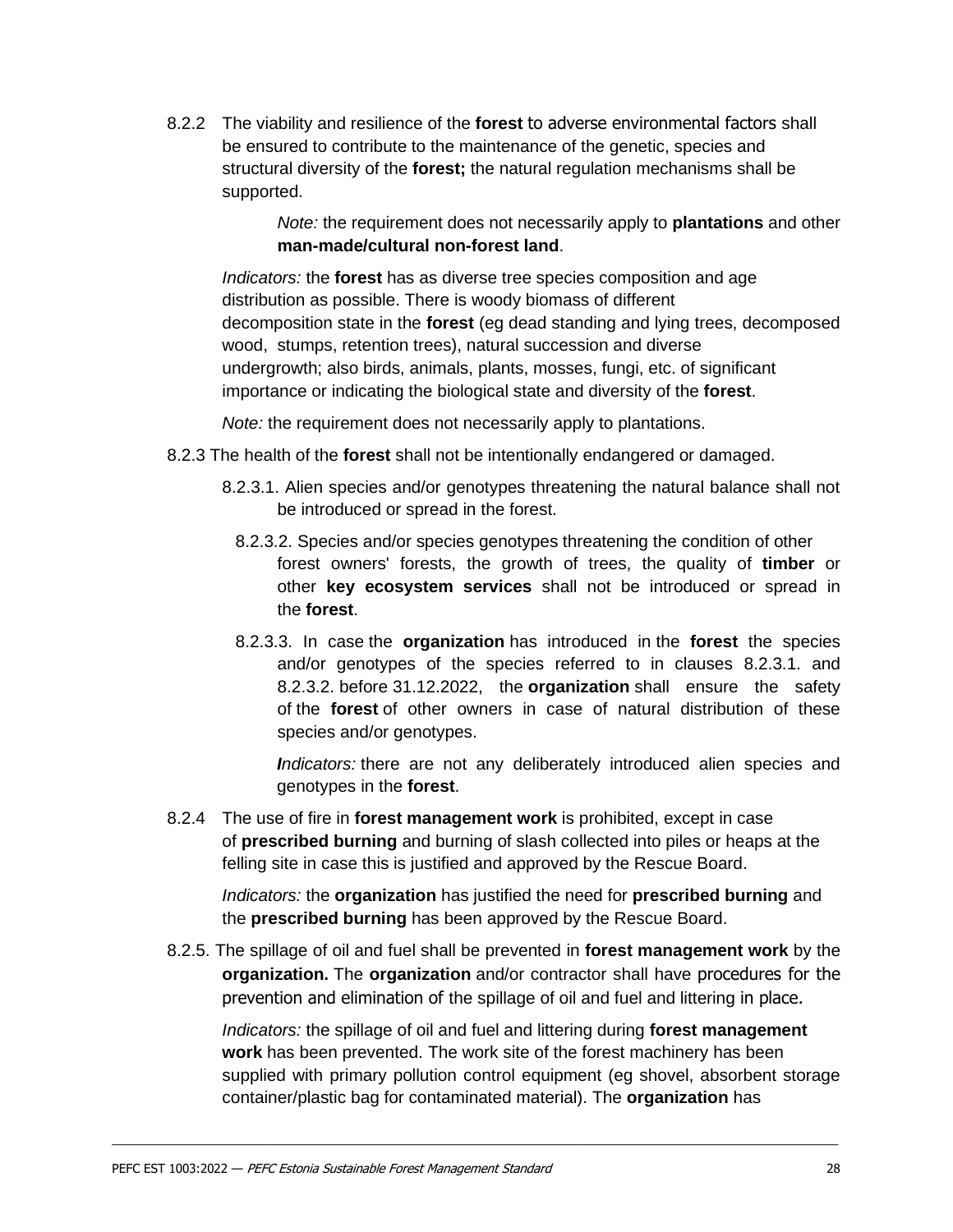8.2.2 The viability and resilience of the **forest** to adverse environmental factors shall be ensured to contribute to the maintenance of the genetic, species and structural diversity of the **forest;** the natural regulation mechanisms shall be supported.

> *Note:* the requirement does not necessarily apply to **plantations** and other **man-made/cultural non-forest land**.

*Indicators:* the **forest** has as diverse tree species composition and age distribution as possible. There is woody biomass of different decomposition state in the **forest** (eg dead standing and lying trees, decomposed wood, stumps, retention trees), natural succession and diverse undergrowth; also birds, animals, plants, mosses, fungi, etc. of significant importance or indicating the biological state and diversity of the **forest**.

*Note:* the requirement does not necessarily apply to plantations.

- 8.2.3 The health of the **forest** shall not be intentionally endangered or damaged.
	- 8.2.3.1. Alien species and/or genotypes threatening the natural balance shall not be introduced or spread in the forest.
		- 8.2.3.2. Species and/or species genotypes threatening the condition of other forest owners' forests, the growth of trees, the quality of **timber** or other **key ecosystem services** shall not be introduced or spread in the **forest**.
		- 8.2.3.3. In case the **organization** has introduced in the **forest** the species and/or genotypes of the species referred to in clauses 8.2.3.1. and 8.2.3.2. before 31.12.2022, the **organization** shall ensure the safety of the **forest** of other owners in case of natural distribution of these species and/or genotypes.

*Indicators:* there are not any deliberately introduced alien species and genotypes in the **forest**.

8.2.4 The use of fire in **forest management work** is prohibited, except in case of **prescribed burning** and burning of slash collected into piles or heaps at the felling site in case this is justified and approved by the Rescue Board.

*Indicators:* the **organization** has justified the need for **prescribed burning** and the **prescribed burning** has been approved by the Rescue Board.

8.2.5. The spillage of oil and fuel shall be prevented in **forest management work** by the **organization.** The **organization** and/or contractor shall have procedures for the prevention and elimination of the spillage of oil and fuel and littering in place.

\_\_\_\_\_\_\_\_\_\_\_\_\_\_\_\_\_\_\_\_\_\_\_\_\_\_\_\_\_\_\_\_\_\_\_\_\_\_\_\_\_\_\_\_\_\_\_\_\_\_\_\_\_\_\_\_\_\_\_\_\_\_\_\_\_\_\_\_\_\_\_\_\_\_\_\_\_\_\_\_\_\_\_\_\_\_\_\_\_\_\_\_\_\_\_\_\_\_\_\_\_\_\_\_\_\_\_

*Indicators:* the spillage of oil and fuel and littering during **forest management work** has been prevented. The work site of the forest machinery has been supplied with primary pollution control equipment (eg shovel, absorbent storage container/plastic bag for contaminated material). The **organization** has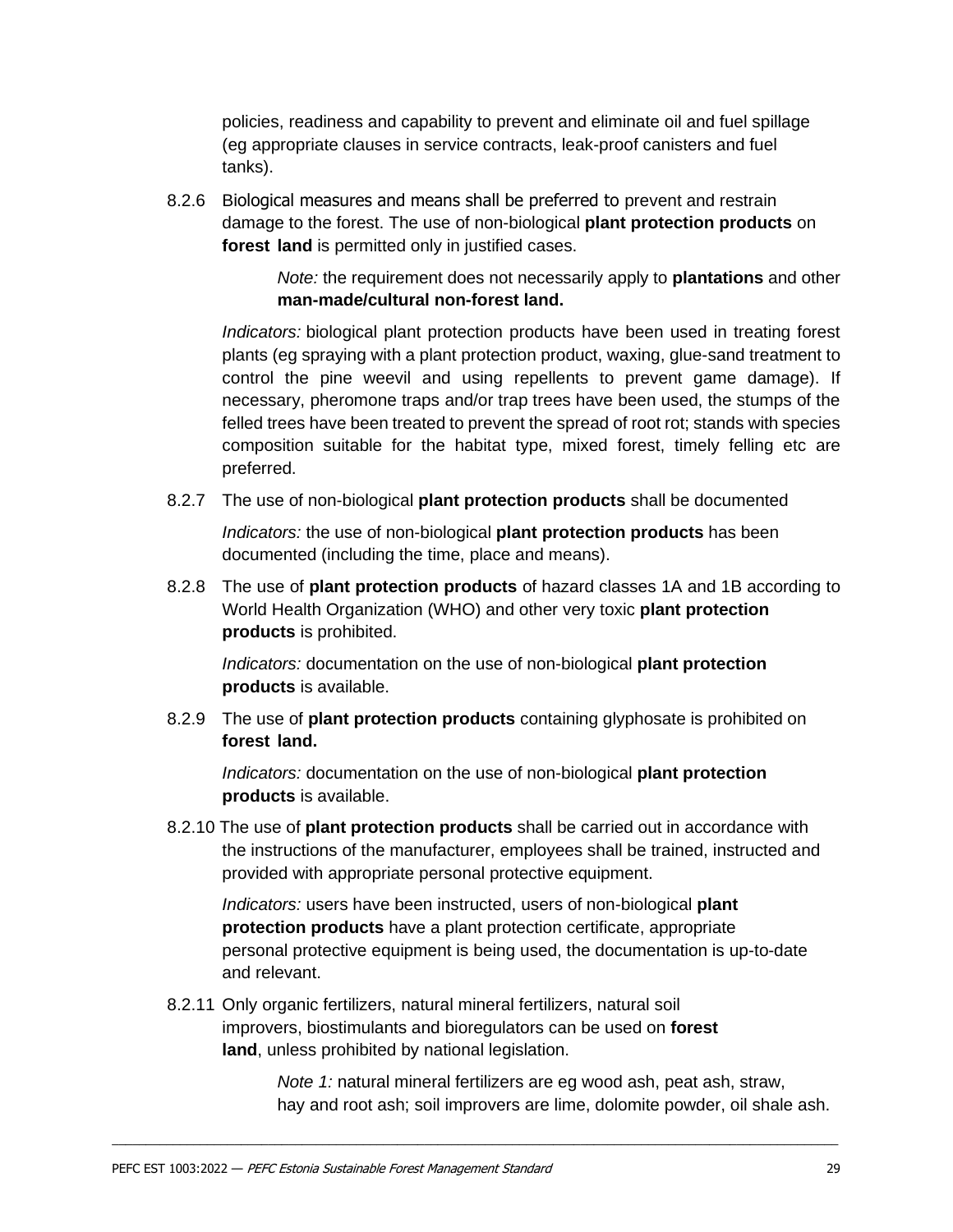policies, readiness and capability to prevent and eliminate oil and fuel spillage (eg appropriate clauses in service contracts, leak-proof canisters and fuel tanks).

8.2.6 Biological measures and means shall be preferred to prevent and restrain damage to the forest. The use of non-biological **plant protection products** on **forest land** is permitted only in justified cases.

> *Note:* the requirement does not necessarily apply to **plantations** and other **man-made/cultural non-forest land.**

*Indicators:* biological plant protection products have been used in treating forest plants (eg spraying with a plant protection product, waxing, glue-sand treatment to control the pine weevil and using repellents to prevent game damage). If necessary, pheromone traps and/or trap trees have been used, the stumps of the felled trees have been treated to prevent the spread of root rot; stands with species composition suitable for the habitat type, mixed forest, timely felling etc are preferred.

8.2.7 The use of non-biological **plant protection products** shall be documented

*Indicators:* the use of non-biological **plant protection products** has been documented (including the time, place and means).

8.2.8 The use of **plant protection products** of hazard classes 1A and 1B according to World Health Organization (WHO) and other very toxic **plant protection products** is prohibited.

*Indicators:* documentation on the use of non-biological **plant protection products** is available.

8.2.9 The use of **plant protection products** containing glyphosate is prohibited on **forest land.**

*Indicators:* documentation on the use of non-biological **plant protection products** is available.

8.2.10 The use of **plant protection products** shall be carried out in accordance with the instructions of the manufacturer, employees shall be trained, instructed and provided with appropriate personal protective equipment.

*Indicators:* users have been instructed, users of non-biological **plant protection products** have a plant protection certificate, appropriate personal protective equipment is being used, the documentation is up-to-date and relevant.

8.2.11 Only organic fertilizers, natural mineral fertilizers, natural soil improvers, biostimulants and bioregulators can be used on **forest land**, unless prohibited by national legislation.

\_\_\_\_\_\_\_\_\_\_\_\_\_\_\_\_\_\_\_\_\_\_\_\_\_\_\_\_\_\_\_\_\_\_\_\_\_\_\_\_\_\_\_\_\_\_\_\_\_\_\_\_\_\_\_\_\_\_\_\_\_\_\_\_\_\_\_\_\_\_\_\_\_\_\_\_\_\_\_\_\_\_\_\_\_\_\_\_\_\_\_\_\_\_\_\_\_\_\_\_\_\_\_\_\_\_\_

*Note 1:* natural mineral fertilizers are eg wood ash, peat ash, straw, hay and root ash; soil improvers are lime, dolomite powder, oil shale ash.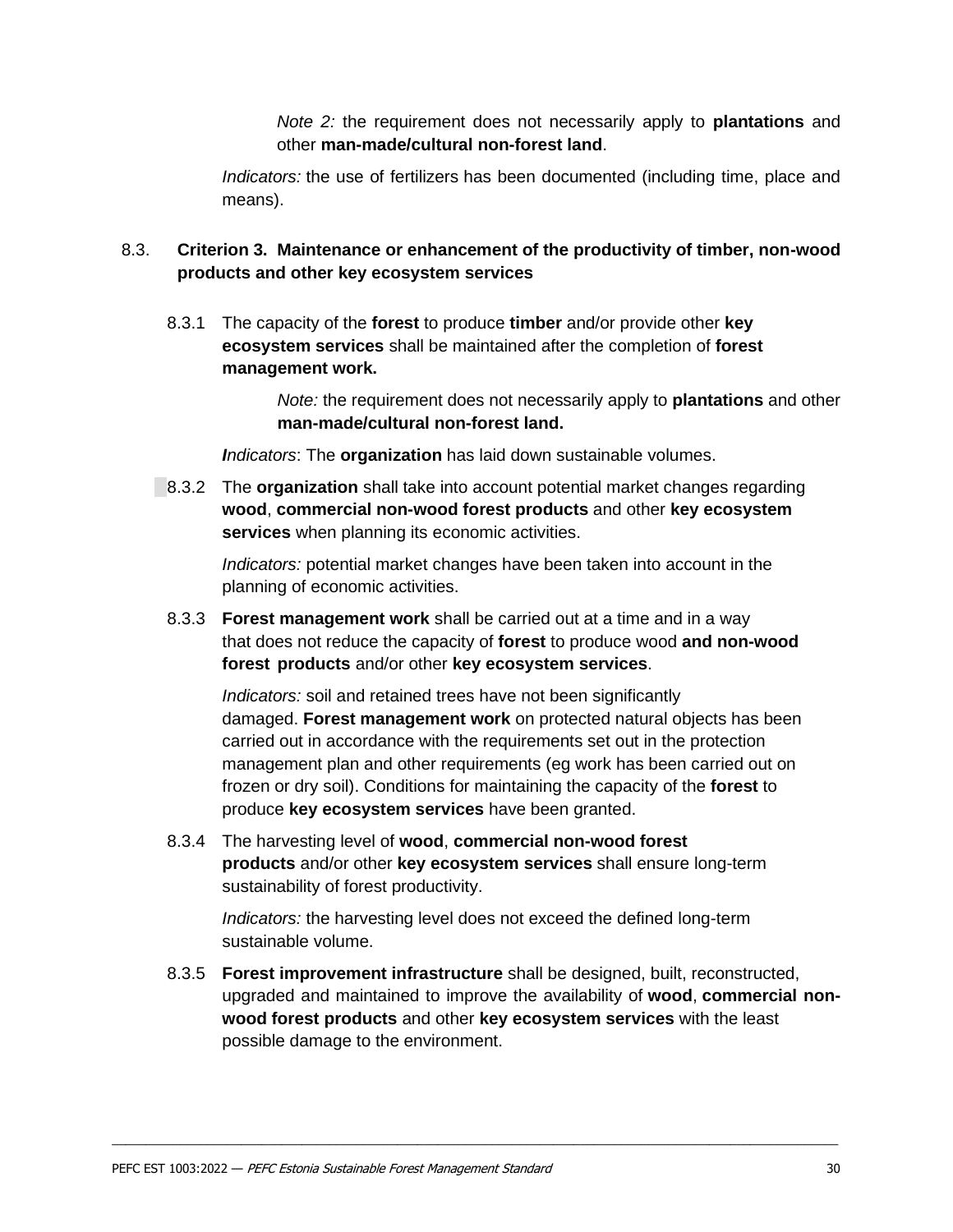*Note 2:* the requirement does not necessarily apply to **plantations** and other **man-made/cultural non-forest land**.

*Indicators:* the use of fertilizers has been documented (including time, place and means).

#### <span id="page-28-0"></span>8.3. **Criterion 3. Maintenance or enhancement of the productivity of timber, non-wood products and other key ecosystem services**

<span id="page-28-1"></span>8.3.1 The capacity of the **forest** to produce **timber** and/or provide other **key ecosystem services** shall be maintained after the completion of **forest management work.**

> *Note:* the requirement does not necessarily apply to **plantations** and other **man-made/cultural non-forest land.**

*Indicators*: The **organization** has laid down sustainable volumes.

8.3.2 The **organization** shall take into account potential market changes regarding **wood**, **commercial non-wood forest products** and other **key ecosystem services** when planning its economic activities.

> *Indicators:* potential market changes have been taken into account in the planning of economic activities.

8.3.3 **Forest management work** shall be carried out at a time and in a way that does not reduce the capacity of **forest** to produce wood **and non-wood forest products** and/or other **key ecosystem services**.

*Indicators:* soil and retained trees have not been significantly damaged. **Forest management work** on protected natural objects has been carried out in accordance with the requirements set out in the protection management plan and other requirements (eg work has been carried out on frozen or dry soil). Conditions for maintaining the capacity of the **forest** to produce **key ecosystem services** have been granted.

8.3.4 The harvesting level of **wood**, **commercial non-wood forest products** and/or other **key ecosystem services** shall ensure long-term sustainability of forest productivity.

*Indicators:* the harvesting level does not exceed the defined long-term sustainable volume.

8.3.5 **Forest improvement infrastructure** shall be designed, built, reconstructed, upgraded and maintained to improve the availability of **wood**, **commercial nonwood forest products** and other **key ecosystem services** with the least possible damage to the environment.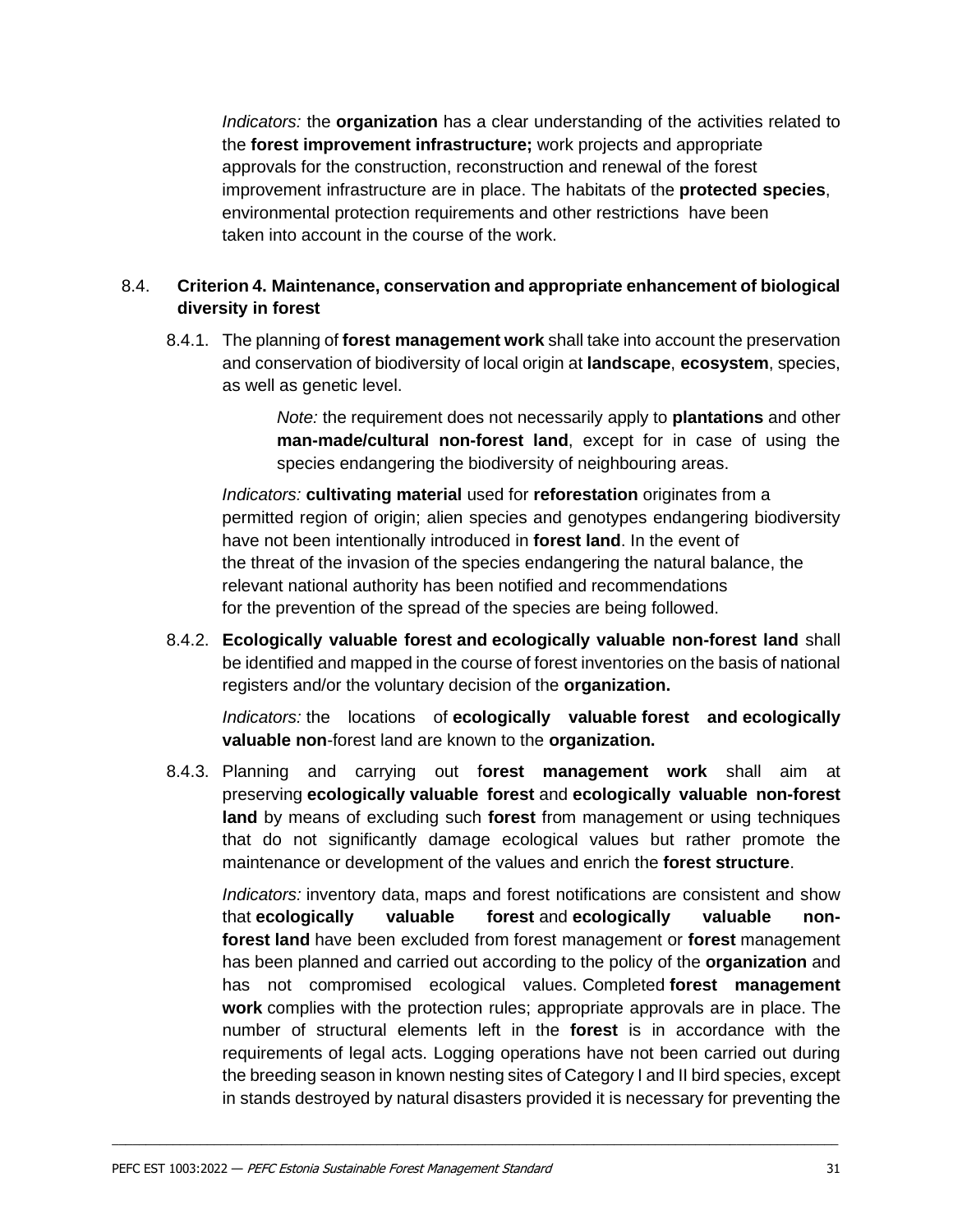<span id="page-29-0"></span>*Indicators:* the **organization** has a clear understanding of the activities related to the **forest improvement infrastructure;** work projects and appropriate approvals for the construction, reconstruction and renewal of the forest improvement infrastructure are in place. The habitats of the **protected species**, environmental protection requirements and other restrictions have been taken into account in the course of the work.

### <span id="page-29-1"></span>8.4. **Criterion 4. Maintenance, conservation and appropriate enhancement of biological diversity in forest**

8.4.1. The planning of **forest management work** shall take into account the preservation and conservation of biodiversity of local origin at **landscape**, **ecosystem**, species, as well as genetic level.

> *Note:* the requirement does not necessarily apply to **plantations** and other **man-made/cultural non-forest land**, except for in case of using the species endangering the biodiversity of neighbouring areas.

*Indicators:* **cultivating material** used for **reforestation** originates from a permitted region of origin; alien species and genotypes endangering biodiversity have not been intentionally introduced in **forest land**. In the event of the threat of the invasion of the species endangering the natural balance, the relevant national authority has been notified and recommendations for the prevention of the spread of the species are being followed.

8.4.2. **Ecologically valuable forest and ecologically valuable non-forest land** shall be identified and mapped in the course of forest inventories on the basis of national registers and/or the voluntary decision of the **organization.**

*Indicators:* the locations of **ecologically valuable forest and ecologically valuable non**-forest land are known to the **organization.**

8.4.3. Planning and carrying out f**orest management work** shall aim at preserving **ecologically valuable forest** and **ecologically valuable non-forest land** by means of excluding such **forest** from management or using techniques that do not significantly damage ecological values but rather promote the maintenance or development of the values and enrich the **forest structure**.

*Indicators:* inventory data, maps and forest notifications are consistent and show that **ecologically valuable forest** and **ecologically valuable nonforest land** have been excluded from forest management or **forest** management has been planned and carried out according to the policy of the **organization** and has not compromised ecological values. Completed **forest management work** complies with the protection rules; appropriate approvals are in place. The number of structural elements left in the **forest** is in accordance with the requirements of legal acts. Logging operations have not been carried out during the breeding season in known nesting sites of Category I and II bird species, except in stands destroyed by natural disasters provided it is necessary for preventing the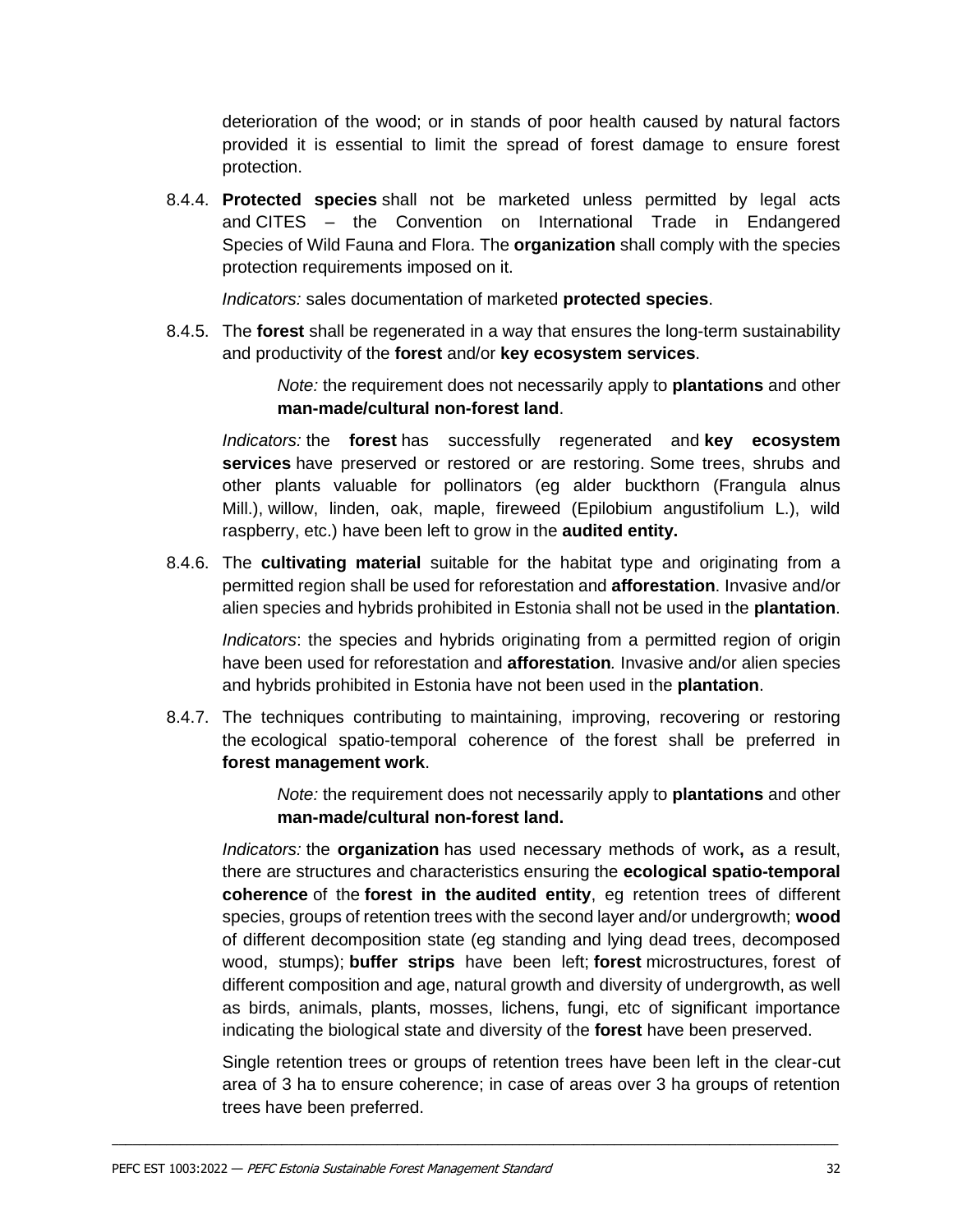deterioration of the wood; or in stands of poor health caused by natural factors provided it is essential to limit the spread of forest damage to ensure forest protection.

8.4.4. **Protected species** shall not be marketed unless permitted by legal acts and CITES – the Convention on International Trade in Endangered Species of Wild Fauna and Flora. The **organization** shall comply with the species protection requirements imposed on it.

*Indicators:* sales documentation of marketed **protected species**.

8.4.5. The **forest** shall be regenerated in a way that ensures the long-term sustainability and productivity of the **forest** and/or **key ecosystem services**.

> *Note:* the requirement does not necessarily apply to **plantations** and other **man-made/cultural non-forest land**.

*Indicators:* the **forest** has successfully regenerated and **key ecosystem services** have preserved or restored or are restoring. Some trees, shrubs and other plants valuable for pollinators (eg alder buckthorn (Frangula alnus Mill.), willow, linden, oak, maple, fireweed (Epilobium angustifolium L.), wild raspberry, etc.) have been left to grow in the **audited entity.**

8.4.6. The **cultivating material** suitable for the habitat type and originating from a permitted region shall be used for reforestation and **afforestation**. Invasive and/or alien species and hybrids prohibited in Estonia shall not be used in the **plantation**.

*Indicators*: the species and hybrids originating from a permitted region of origin have been used for reforestation and **afforestation***.* Invasive and/or alien species and hybrids prohibited in Estonia have not been used in the **plantation**.

8.4.7. The techniques contributing to maintaining, improving, recovering or restoring the ecological spatio-temporal coherence of the forest shall be preferred in **forest management work**.

> *Note:* the requirement does not necessarily apply to **plantations** and other **man-made/cultural non-forest land.**

*Indicators:* the **organization** has used necessary methods of work**,** as a result, there are structures and characteristics ensuring the **ecological spatio-temporal coherence** of the **forest in the audited entity**, eg retention trees of different species, groups of retention trees with the second layer and/or undergrowth; **wood**  of different decomposition state (eg standing and lying dead trees, decomposed wood, stumps); **buffer strips** have been left; **forest** microstructures, forest of different composition and age, natural growth and diversity of undergrowth, as well as birds, animals, plants, mosses, lichens, fungi, etc of significant importance indicating the biological state and diversity of the **forest** have been preserved.

Single retention trees or groups of retention trees have been left in the clear-cut area of 3 ha to ensure coherence; in case of areas over 3 ha groups of retention trees have been preferred.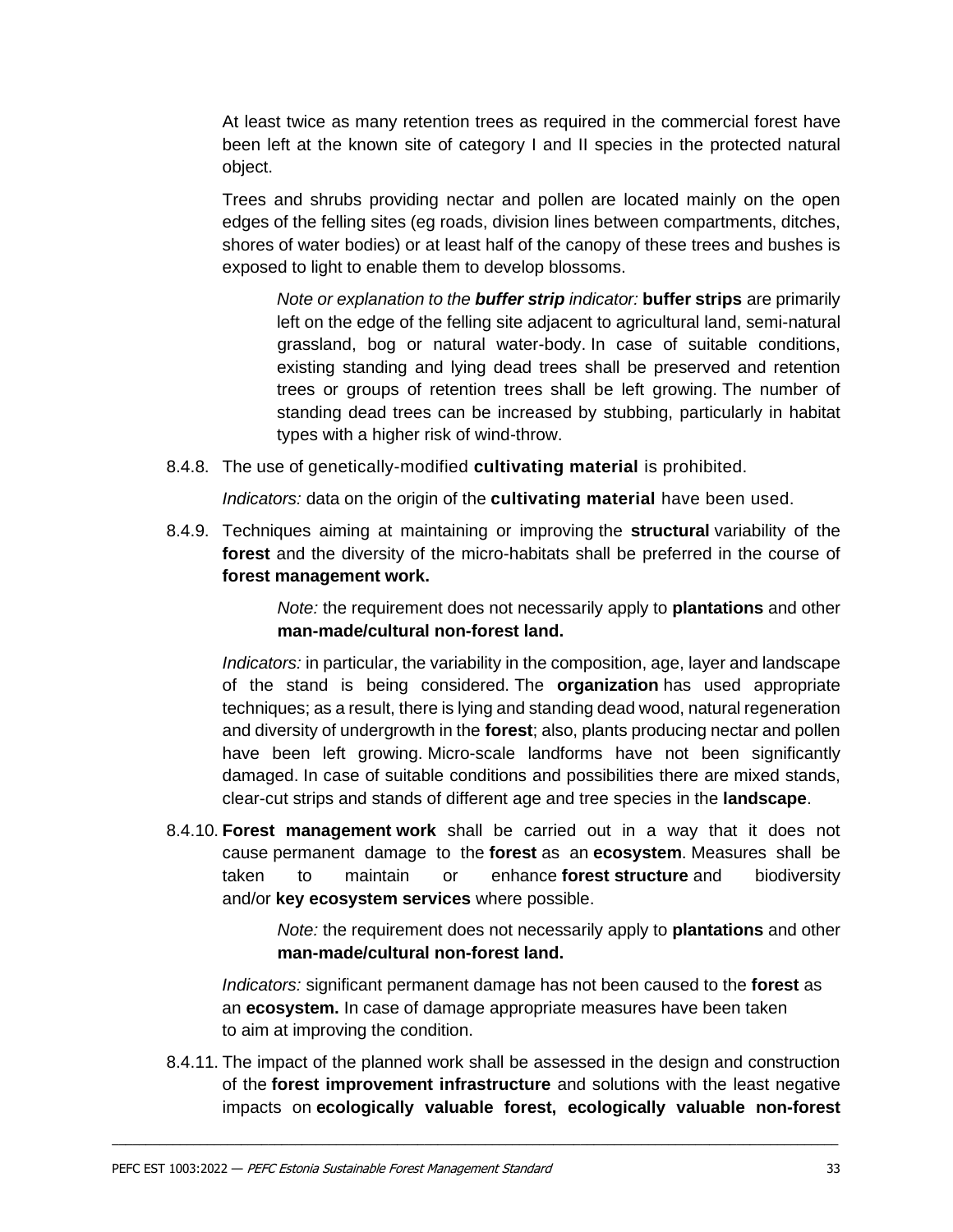At least twice as many retention trees as required in the commercial forest have been left at the known site of category I and II species in the protected natural object.

Trees and shrubs providing nectar and pollen are located mainly on the open edges of the felling sites (eg roads, division lines between compartments, ditches, shores of water bodies) or at least half of the canopy of these trees and bushes is exposed to light to enable them to develop blossoms.

*Note or explanation to the buffer strip indicator:* **buffer strips** are primarily left on the edge of the felling site adjacent to agricultural land, semi-natural grassland, bog or natural water-body. In case of suitable conditions, existing standing and lying dead trees shall be preserved and retention trees or groups of retention trees shall be left growing. The number of standing dead trees can be increased by stubbing, particularly in habitat types with a higher risk of wind-throw.

8.4.8. The use of genetically-modified **cultivating material** is prohibited.

*Indicators:* data on the origin of the **cultivating material** have been used.

8.4.9. Techniques aiming at maintaining or improving the **structural** variability of the **forest** and the diversity of the micro-habitats shall be preferred in the course of **forest management work.**

> *Note:* the requirement does not necessarily apply to **plantations** and other **man-made/cultural non-forest land.**

*Indicators:* in particular, the variability in the composition, age, layer and landscape of the stand is being considered. The **organization** has used appropriate techniques; as a result, there is lying and standing dead wood, natural regeneration and diversity of undergrowth in the **forest**; also, plants producing nectar and pollen have been left growing. Micro-scale landforms have not been significantly damaged. In case of suitable conditions and possibilities there are mixed stands, clear-cut strips and stands of different age and tree species in the **landscape**.

8.4.10. **Forest management work** shall be carried out in a way that it does not cause permanent damage to the **forest** as an **ecosystem**. Measures shall be taken to maintain or enhance **forest structure** and biodiversity and/or **key ecosystem services** where possible.

> *Note:* the requirement does not necessarily apply to **plantations** and other **man-made/cultural non-forest land.**

*Indicators:* significant permanent damage has not been caused to the **forest** as an **ecosystem.** In case of damage appropriate measures have been taken to aim at improving the condition.

8.4.11. The impact of the planned work shall be assessed in the design and construction of the **forest improvement infrastructure** and solutions with the least negative impacts on **ecologically valuable forest, ecologically valuable non-forest**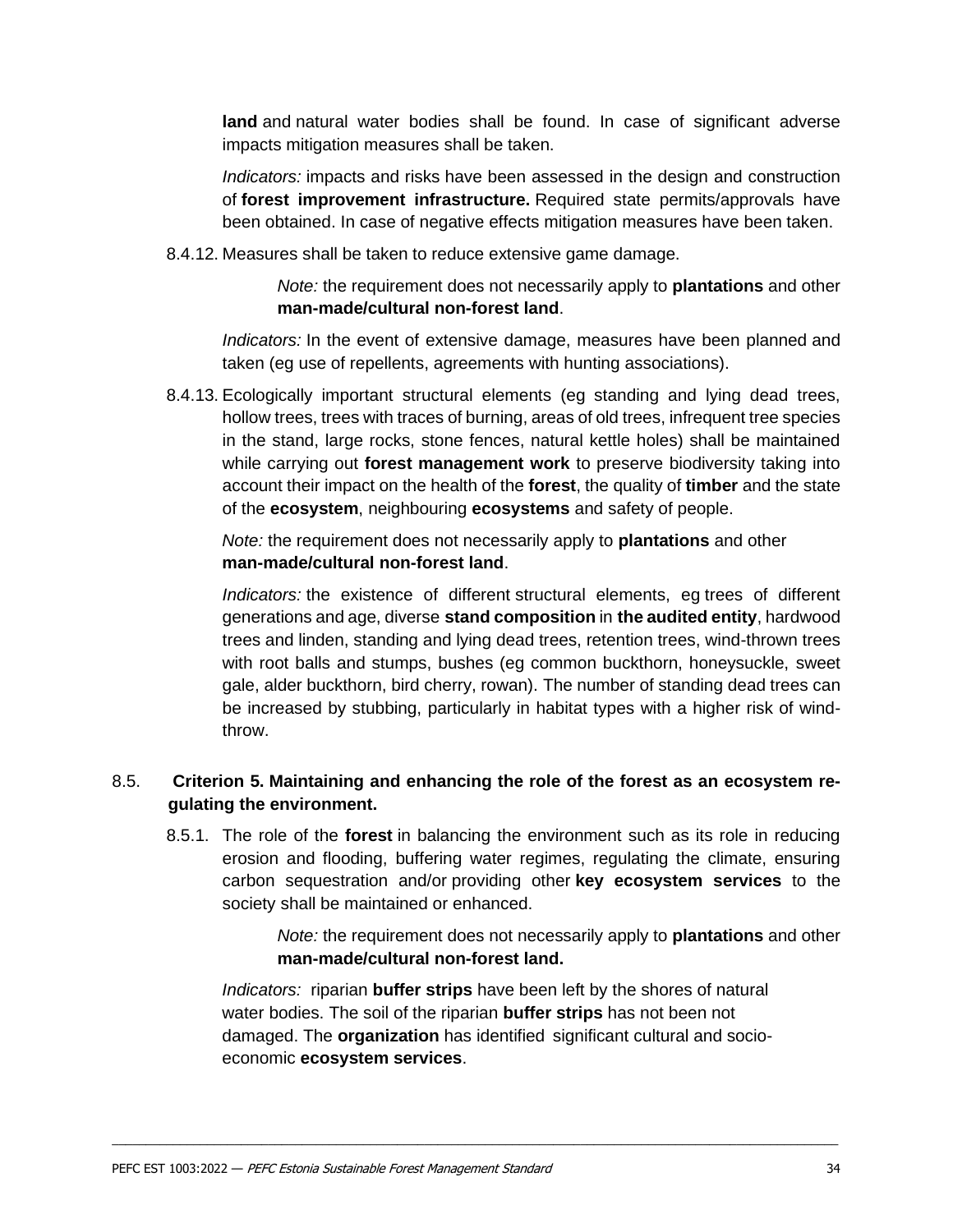**land** and natural water bodies shall be found. In case of significant adverse impacts mitigation measures shall be taken.

*Indicators:* impacts and risks have been assessed in the design and construction of **forest improvement infrastructure.** Required state permits/approvals have been obtained. In case of negative effects mitigation measures have been taken.

8.4.12. Measures shall be taken to reduce extensive game damage.

*Note:* the requirement does not necessarily apply to **plantations** and other **man-made/cultural non-forest land**.

*Indicators:* In the event of extensive damage, measures have been planned and taken (eg use of repellents, agreements with hunting associations).

8.4.13. Ecologically important structural elements (eg standing and lying dead trees, hollow trees, trees with traces of burning, areas of old trees, infrequent tree species in the stand, large rocks, stone fences, natural kettle holes) shall be maintained while carrying out **forest management work** to preserve biodiversity taking into account their impact on the health of the **forest**, the quality of **timber** and the state of the **ecosystem**, neighbouring **ecosystems** and safety of people.

*Note:* the requirement does not necessarily apply to **plantations** and other **man-made/cultural non-forest land**.

*Indicators:* the existence of different structural elements, eg trees of different generations and age, diverse **stand composition** in **the audited entity**, hardwood trees and linden, standing and lying dead trees, retention trees, wind-thrown trees with root balls and stumps, bushes (eg common buckthorn, honeysuckle, sweet gale, alder buckthorn, bird cherry, rowan). The number of standing dead trees can be increased by stubbing, particularly in habitat types with a higher risk of windthrow.

#### <span id="page-32-0"></span>8.5. **Criterion 5. Maintaining and enhancing the role of the forest as an ecosystem regulating the environment.**

8.5.1. The role of the **forest** in balancing the environment such as its role in reducing erosion and flooding, buffering water regimes, regulating the climate, ensuring carbon sequestration and/or providing other **key ecosystem services** to the society shall be maintained or enhanced.

> *Note:* the requirement does not necessarily apply to **plantations** and other **man-made/cultural non-forest land.**

*Indicators:* riparian **buffer strips** have been left by the shores of natural water bodies. The soil of the riparian **buffer strips** has not been not damaged. The **organization** has identified significant cultural and socioeconomic **ecosystem services**.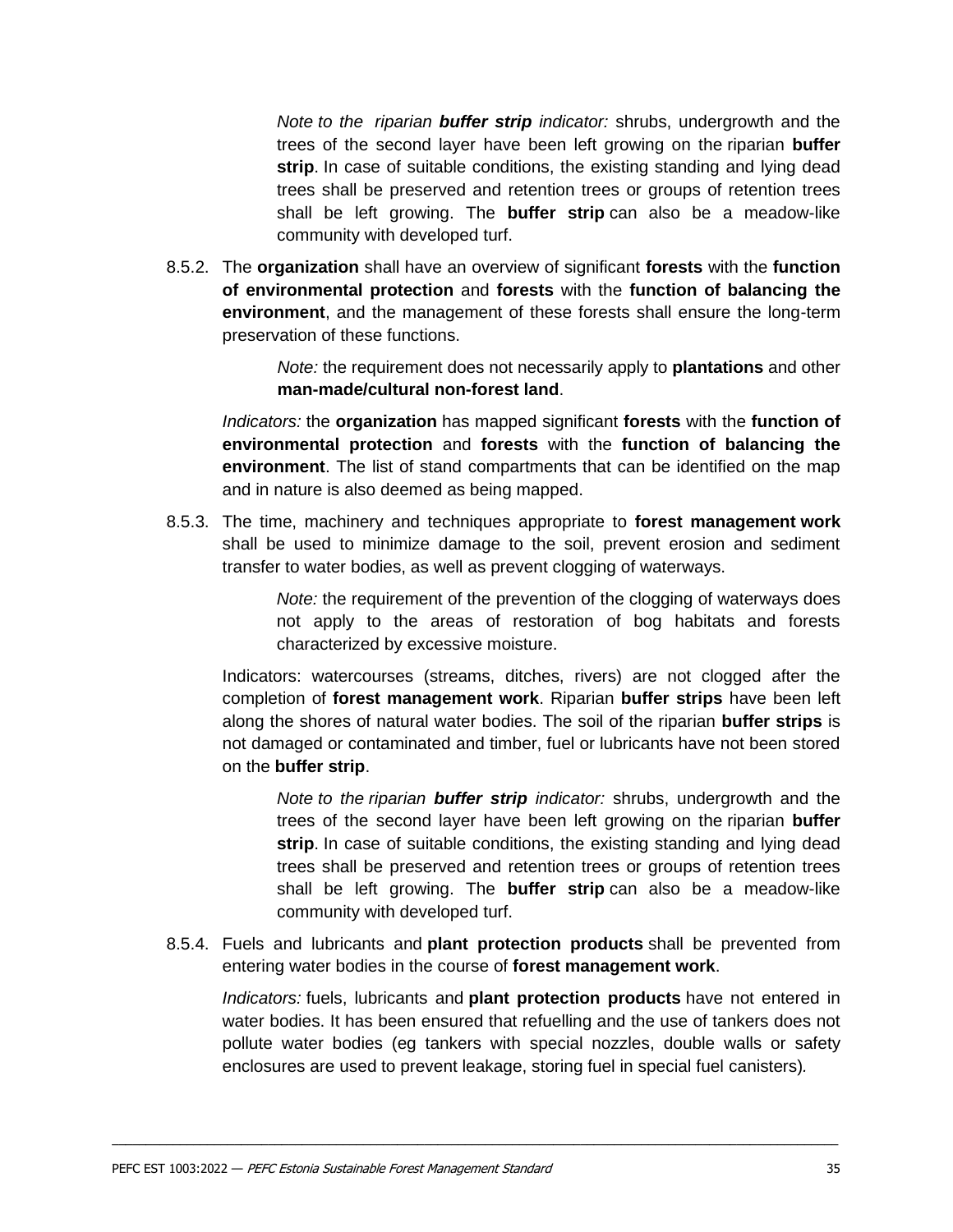*Note to the riparian buffer strip indicator:* shrubs, undergrowth and the trees of the second layer have been left growing on the riparian **buffer strip**. In case of suitable conditions, the existing standing and lying dead trees shall be preserved and retention trees or groups of retention trees shall be left growing. The **buffer strip** can also be a meadow-like community with developed turf.

8.5.2. The **organization** shall have an overview of significant **forests** with the **function of environmental protection** and **forests** with the **function of balancing the environment**, and the management of these forests shall ensure the long-term preservation of these functions.

> *Note:* the requirement does not necessarily apply to **plantations** and other **man-made/cultural non-forest land**.

*Indicators:* the **organization** has mapped significant **forests** with the **function of environmental protection** and **forests** with the **function of balancing the environment**. The list of stand compartments that can be identified on the map and in nature is also deemed as being mapped.

8.5.3. The time, machinery and techniques appropriate to **forest management work**  shall be used to minimize damage to the soil, prevent erosion and sediment transfer to water bodies, as well as prevent clogging of waterways.

> *Note:* the requirement of the prevention of the clogging of waterways does not apply to the areas of restoration of bog habitats and forests characterized by excessive moisture.

Indicators: watercourses (streams, ditches, rivers) are not clogged after the completion of **forest management work**. Riparian **buffer strips** have been left along the shores of natural water bodies. The soil of the riparian **buffer strips** is not damaged or contaminated and timber, fuel or lubricants have not been stored on the **buffer strip**.

*Note to the riparian buffer strip indicator:* shrubs, undergrowth and the trees of the second layer have been left growing on the riparian **buffer strip**. In case of suitable conditions, the existing standing and lying dead trees shall be preserved and retention trees or groups of retention trees shall be left growing. The **buffer strip** can also be a meadow-like community with developed turf.

8.5.4. Fuels and lubricants and **plant protection products** shall be prevented from entering water bodies in the course of **forest management work**.

\_\_\_\_\_\_\_\_\_\_\_\_\_\_\_\_\_\_\_\_\_\_\_\_\_\_\_\_\_\_\_\_\_\_\_\_\_\_\_\_\_\_\_\_\_\_\_\_\_\_\_\_\_\_\_\_\_\_\_\_\_\_\_\_\_\_\_\_\_\_\_\_\_\_\_\_\_\_\_\_\_\_\_\_\_\_\_\_\_\_\_\_\_\_\_\_\_\_\_\_\_\_\_\_\_\_\_

*Indicators:* fuels, lubricants and **plant protection products** have not entered in water bodies. It has been ensured that refuelling and the use of tankers does not pollute water bodies (eg tankers with special nozzles, double walls or safety enclosures are used to prevent leakage, storing fuel in special fuel canisters)*.*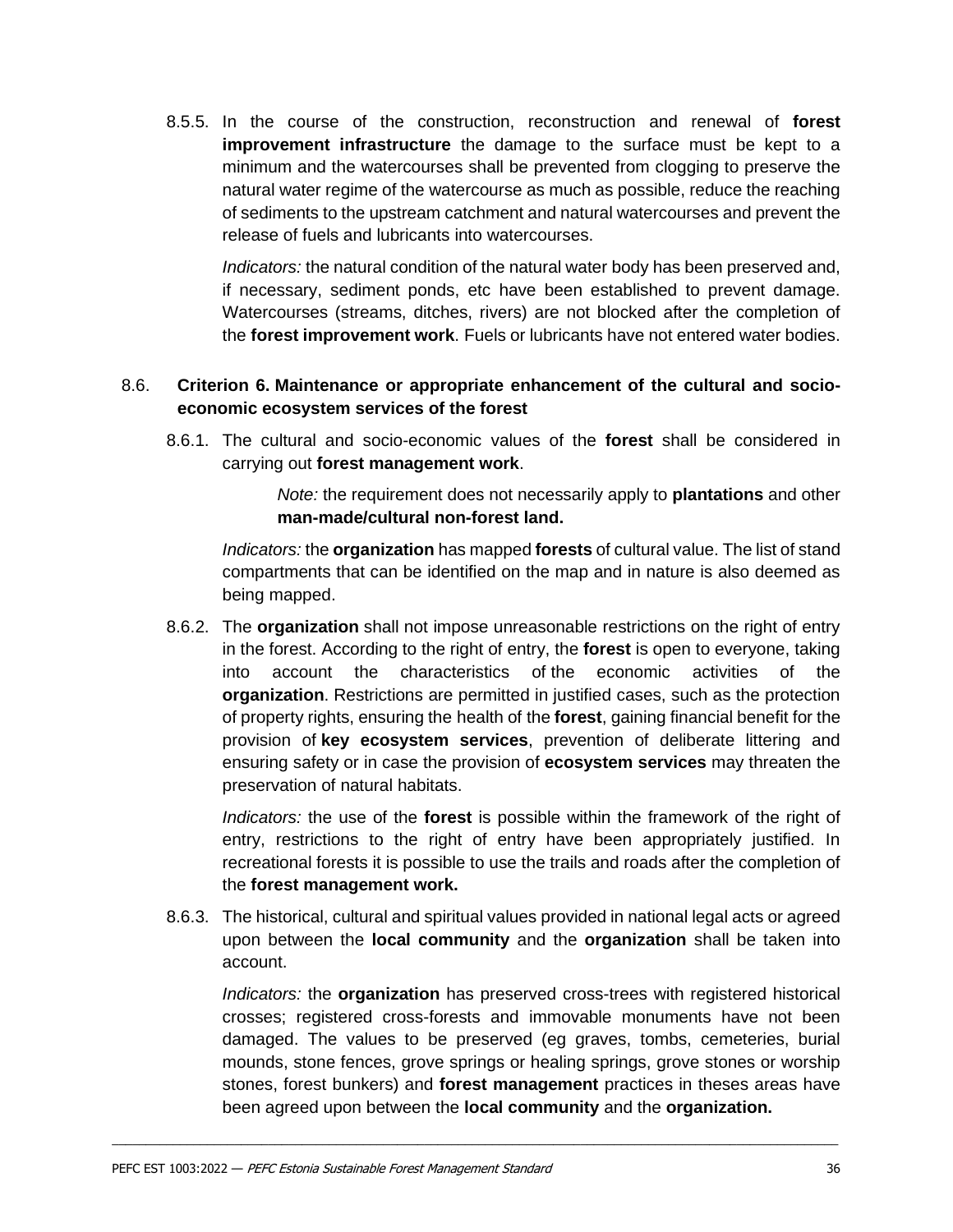8.5.5. In the course of the construction, reconstruction and renewal of **forest improvement infrastructure** the damage to the surface must be kept to a minimum and the watercourses shall be prevented from clogging to preserve the natural water regime of the watercourse as much as possible, reduce the reaching of sediments to the upstream catchment and natural watercourses and prevent the release of fuels and lubricants into watercourses.

*Indicators:* the natural condition of the natural water body has been preserved and, if necessary, sediment ponds, etc have been established to prevent damage. Watercourses (streams, ditches, rivers) are not blocked after the completion of the **forest improvement work**. Fuels or lubricants have not entered water bodies.

#### <span id="page-34-0"></span>8.6. **Criterion 6. Maintenance or appropriate enhancement of the cultural and socioeconomic ecosystem services of the forest**

8.6.1. The cultural and socio-economic values of the **forest** shall be considered in carrying out **forest management work**.

> *Note:* the requirement does not necessarily apply to **plantations** and other **man-made/cultural non-forest land.**

*Indicators:* the **organization** has mapped **forests** of cultural value. The list of stand compartments that can be identified on the map and in nature is also deemed as being mapped.

8.6.2. The **organization** shall not impose unreasonable restrictions on the right of entry in the forest. According to the right of entry, the **forest** is open to everyone, taking into account the characteristics of the economic activities of the **organization**. Restrictions are permitted in justified cases, such as the protection of property rights, ensuring the health of the **forest**, gaining financial benefit for the provision of **key ecosystem services**, prevention of deliberate littering and ensuring safety or in case the provision of **ecosystem services** may threaten the preservation of natural habitats.

*Indicators:* the use of the **forest** is possible within the framework of the right of entry, restrictions to the right of entry have been appropriately justified. In recreational forests it is possible to use the trails and roads after the completion of the **forest management work.**

8.6.3. The historical, cultural and spiritual values provided in national legal acts or agreed upon between the **local community** and the **organization** shall be taken into account.

\_\_\_\_\_\_\_\_\_\_\_\_\_\_\_\_\_\_\_\_\_\_\_\_\_\_\_\_\_\_\_\_\_\_\_\_\_\_\_\_\_\_\_\_\_\_\_\_\_\_\_\_\_\_\_\_\_\_\_\_\_\_\_\_\_\_\_\_\_\_\_\_\_\_\_\_\_\_\_\_\_\_\_\_\_\_\_\_\_\_\_\_\_\_\_\_\_\_\_\_\_\_\_\_\_\_\_

*Indicators:* the **organization** has preserved cross-trees with registered historical crosses; registered cross-forests and immovable monuments have not been damaged. The values to be preserved (eg graves, tombs, cemeteries, burial mounds, stone fences, grove springs or healing springs, grove stones or worship stones, forest bunkers) and **forest management** practices in theses areas have been agreed upon between the **local community** and the **organization.**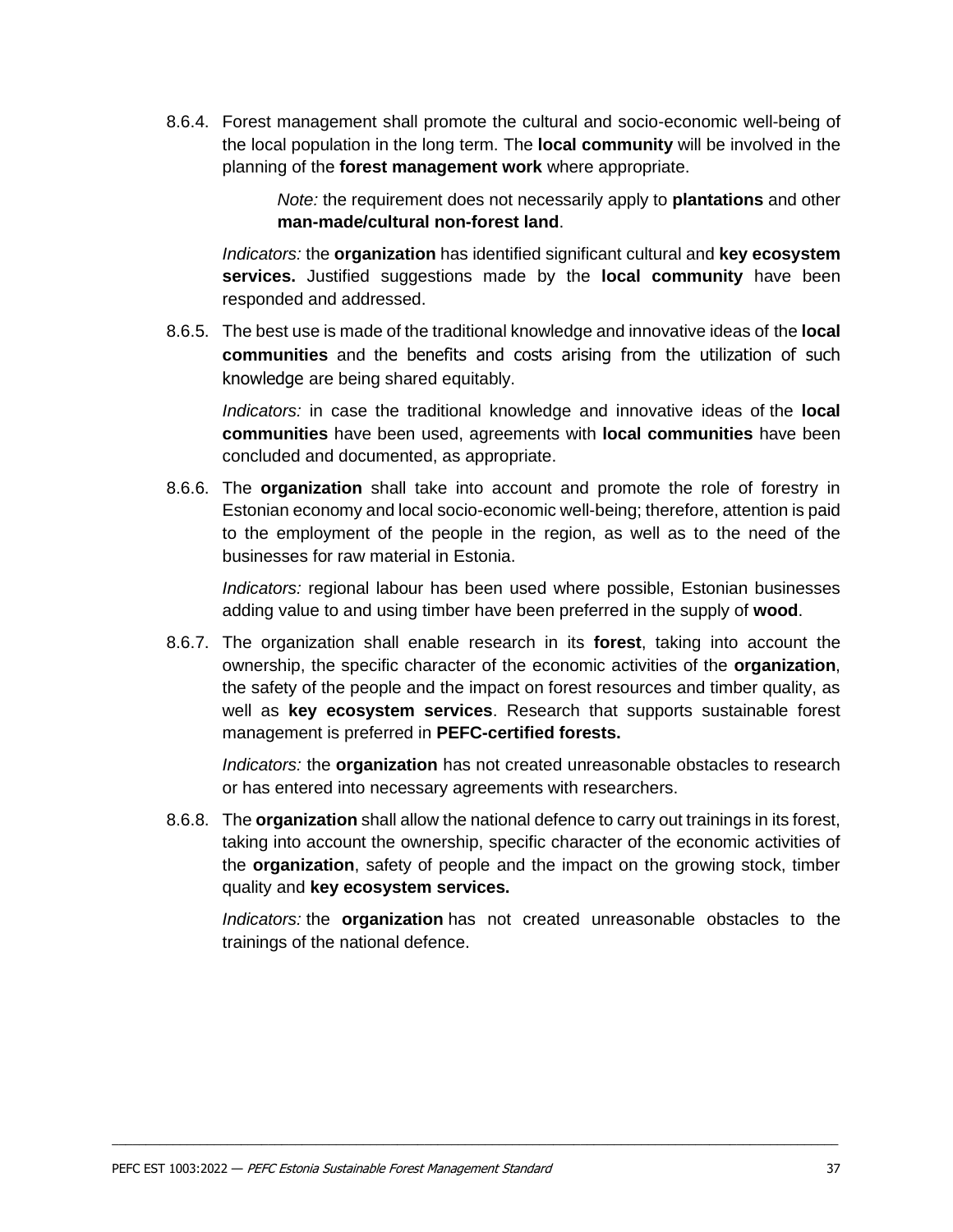8.6.4. Forest management shall promote the cultural and socio-economic well-being of the local population in the long term. The **local community** will be involved in the planning of the **forest management work** where appropriate.

> *Note:* the requirement does not necessarily apply to **plantations** and other **man-made/cultural non-forest land**.

*Indicators:* the **organization** has identified significant cultural and **key ecosystem services.** Justified suggestions made by the **local community** have been responded and addressed.

8.6.5. The best use is made of the traditional knowledge and innovative ideas of the **local communities** and the benefits and costs arising from the utilization of such knowledge are being shared equitably.

*Indicators:* in case the traditional knowledge and innovative ideas of the **local communities** have been used, agreements with **local communities** have been concluded and documented, as appropriate.

8.6.6. The **organization** shall take into account and promote the role of forestry in Estonian economy and local socio-economic well-being; therefore, attention is paid to the employment of the people in the region, as well as to the need of the businesses for raw material in Estonia.

*Indicators:* regional labour has been used where possible, Estonian businesses adding value to and using timber have been preferred in the supply of **wood**.

8.6.7. The organization shall enable research in its **forest**, taking into account the ownership, the specific character of the economic activities of the **organization**, the safety of the people and the impact on forest resources and timber quality, as well as **key ecosystem services**. Research that supports sustainable forest management is preferred in **PEFC-certified forests.**

*Indicators:* the **organization** has not created unreasonable obstacles to research or has entered into necessary agreements with researchers.

8.6.8. The **organization** shall allow the national defence to carry out trainings in its forest, taking into account the ownership, specific character of the economic activities of the **organization**, safety of people and the impact on the growing stock, timber quality and **key ecosystem services.**

\_\_\_\_\_\_\_\_\_\_\_\_\_\_\_\_\_\_\_\_\_\_\_\_\_\_\_\_\_\_\_\_\_\_\_\_\_\_\_\_\_\_\_\_\_\_\_\_\_\_\_\_\_\_\_\_\_\_\_\_\_\_\_\_\_\_\_\_\_\_\_\_\_\_\_\_\_\_\_\_\_\_\_\_\_\_\_\_\_\_\_\_\_\_\_\_\_\_\_\_\_\_\_\_\_\_\_

*Indicators:* the **organization** has not created unreasonable obstacles to the trainings of the national defence.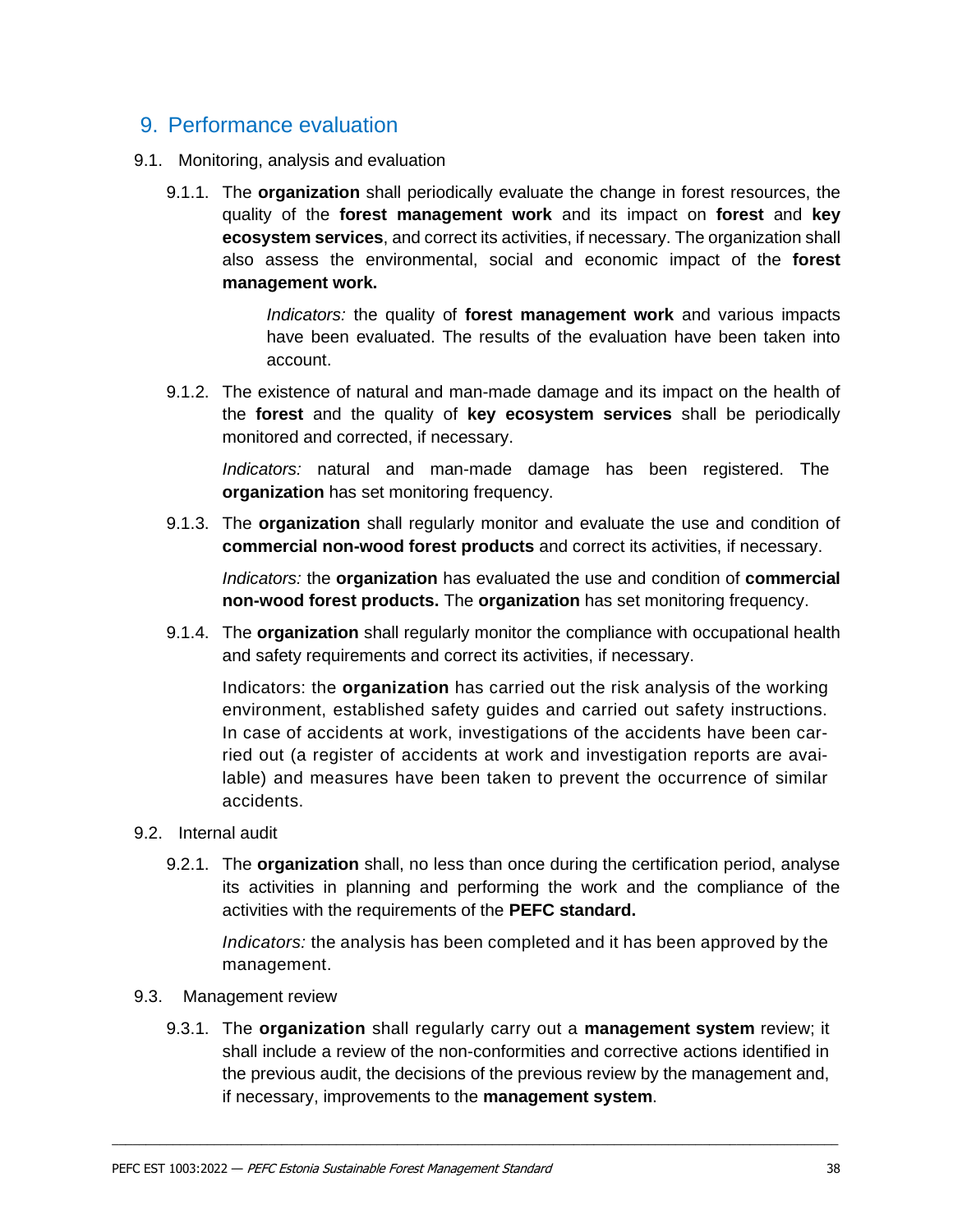## <span id="page-36-0"></span>9. Performance evaluation

- 9.1. Monitoring, analysis and evaluation
	- 9.1.1. The **organization** shall periodically evaluate the change in forest resources, the quality of the **forest management work** and its impact on **forest** and **key ecosystem services**, and correct its activities, if necessary. The organization shall also assess the environmental, social and economic impact of the **forest management work.**

*Indicators:* the quality of **forest management work** and various impacts have been evaluated. The results of the evaluation have been taken into account.

9.1.2. The existence of natural and man-made damage and its impact on the health of the **forest** and the quality of **key ecosystem services** shall be periodically monitored and corrected, if necessary.

*Indicators:* natural and man-made damage has been registered. The **organization** has set monitoring frequency.

9.1.3. The **organization** shall regularly monitor and evaluate the use and condition of **commercial non-wood forest products** and correct its activities, if necessary.

*Indicators:* the **organization** has evaluated the use and condition of **commercial non-wood forest products.** The **organization** has set monitoring frequency.

9.1.4. The **organization** shall regularly monitor the compliance with occupational health and safety requirements and correct its activities, if necessary.

Indicators: the **organization** has carried out the risk analysis of the working environment, established safety guides and carried out safety instructions. In case of accidents at work, investigations of the accidents have been carried out (a register of accidents at work and investigation reports are available) and measures have been taken to prevent the occurrence of similar accidents.

#### 9.2. Internal audit

9.2.1. The **organization** shall, no less than once during the certification period, analyse its activities in planning and performing the work and the compliance of the activities with the requirements of the **PEFC standard.**

*Indicators:* the analysis has been completed and it has been approved by the management.

- 9.3. Management review
	- 9.3.1. The **organization** shall regularly carry out a **management system** review; it shall include a review of the non-conformities and corrective actions identified in the previous audit, the decisions of the previous review by the management and, if necessary, improvements to the **management system**.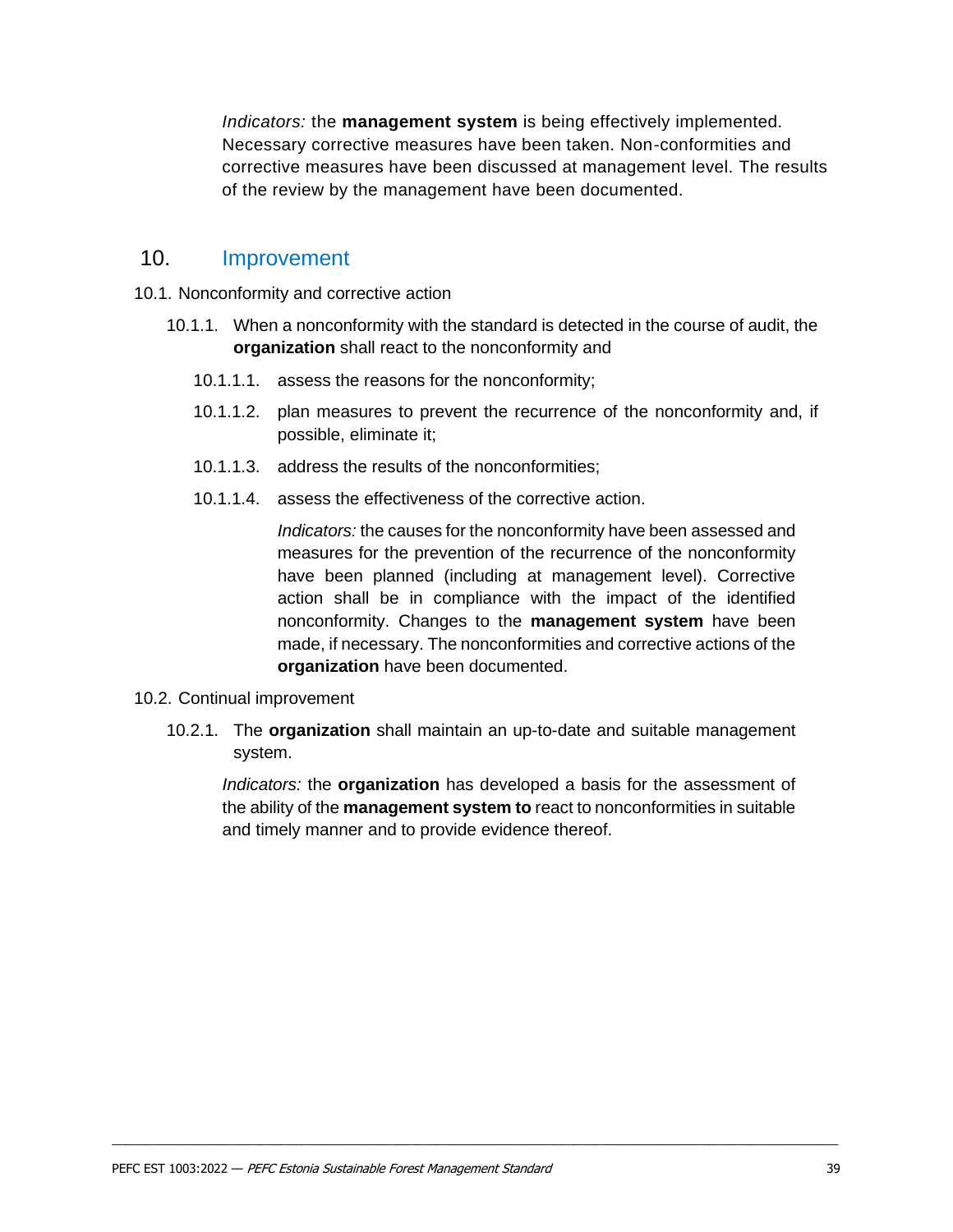*Indicators:* the **management system** is being effectively implemented. Necessary corrective measures have been taken. Non-conformities and corrective measures have been discussed at management level. The results of the review by the management have been documented.

## <span id="page-37-0"></span>10. Improvement

- 10.1. Nonconformity and corrective action
	- 10.1.1. When a nonconformity with the standard is detected in the course of audit, the **organization** shall react to the nonconformity and
		- 10.1.1.1. assess the reasons for the nonconformity;
		- 10.1.1.2. plan measures to prevent the recurrence of the nonconformity and, if possible, eliminate it;
		- 10.1.1.3. address the results of the nonconformities;
		- 10.1.1.4. assess the effectiveness of the corrective action.

*Indicators:* the causes for the nonconformity have been assessed and measures for the prevention of the recurrence of the nonconformity have been planned (including at management level). Corrective action shall be in compliance with the impact of the identified nonconformity. Changes to the **management system** have been made, if necessary. The nonconformities and corrective actions of the **organization** have been documented.

- 10.2. Continual improvement
	- 10.2.1. The **organization** shall maintain an up-to-date and suitable management system.

\_\_\_\_\_\_\_\_\_\_\_\_\_\_\_\_\_\_\_\_\_\_\_\_\_\_\_\_\_\_\_\_\_\_\_\_\_\_\_\_\_\_\_\_\_\_\_\_\_\_\_\_\_\_\_\_\_\_\_\_\_\_\_\_\_\_\_\_\_\_\_\_\_\_\_\_\_\_\_\_\_\_\_\_\_\_\_\_\_\_\_\_\_\_\_\_\_\_\_\_\_\_\_\_\_\_\_

*Indicators:* the **organization** has developed a basis for the assessment of the ability of the **management system to** react to nonconformities in suitable and timely manner and to provide evidence thereof.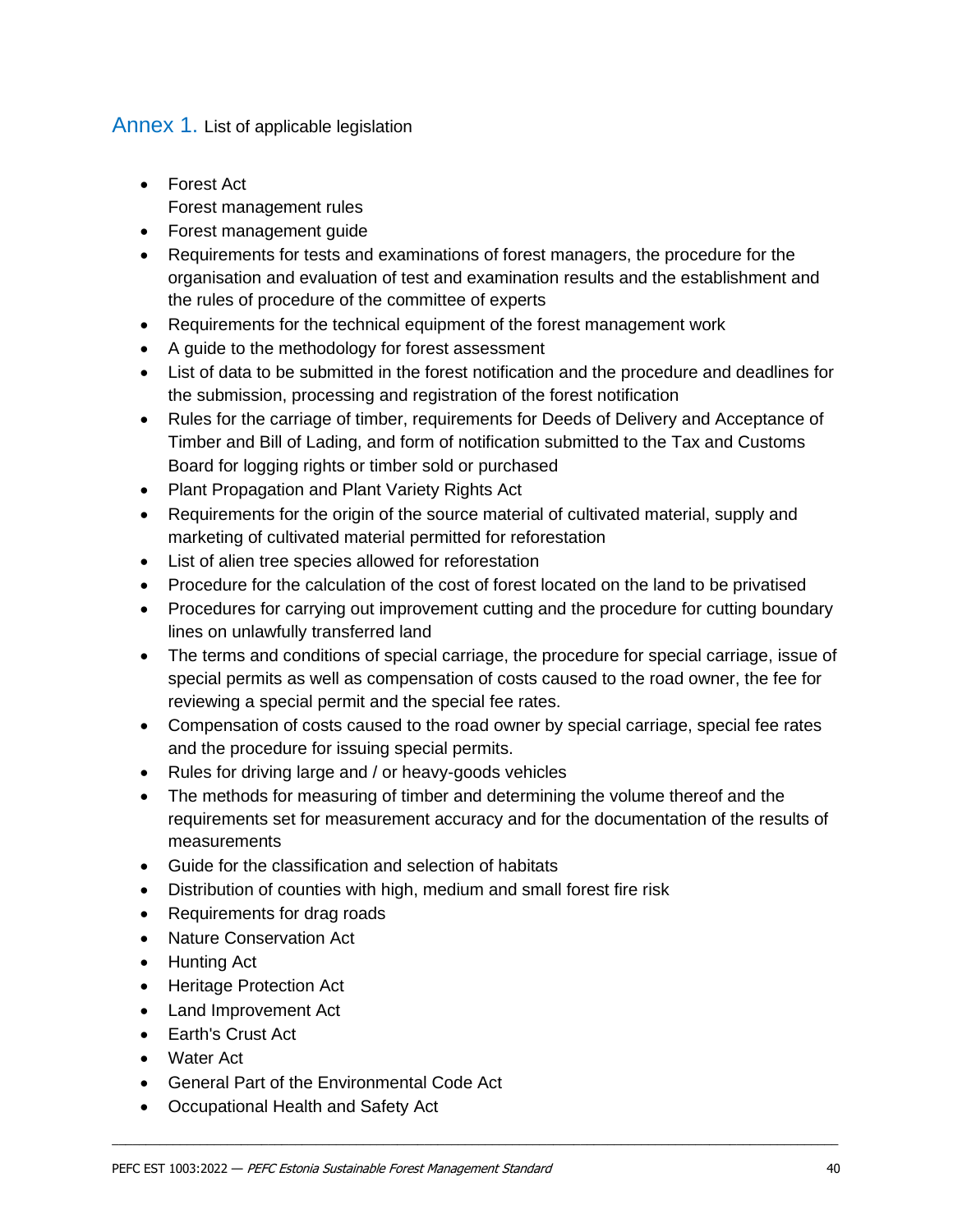## <span id="page-38-0"></span>Annex 1. List of applicable legislation

- Forest Act Forest management rules
- Forest management guide
- Requirements for tests and examinations of forest managers, the procedure for the organisation and evaluation of test and examination results and the establishment and the rules of procedure of the committee of experts
- Requirements for the technical equipment of the forest management work
- A guide to the methodology for forest assessment
- List of data to be submitted in the forest notification and the procedure and deadlines for the submission, processing and registration of the forest notification
- Rules for the carriage of timber, requirements for Deeds of Delivery and Acceptance of Timber and Bill of Lading, and form of notification submitted to the Tax and Customs Board for logging rights or timber sold or purchased
- Plant Propagation and Plant Variety Rights Act
- Requirements for the origin of the source material of cultivated material, supply and marketing of cultivated material permitted for reforestation
- List of alien tree species allowed for reforestation
- Procedure for the calculation of the cost of forest located on the land to be privatised
- Procedures for carrying out improvement cutting and the procedure for cutting boundary lines on unlawfully transferred land
- The terms and conditions of special carriage, the procedure for special carriage, issue of special permits as well as compensation of costs caused to the road owner, the fee for reviewing a special permit and the special fee rates.
- Compensation of costs caused to the road owner by special carriage, special fee rates and the procedure for issuing special permits.
- Rules for driving large and / or heavy-goods vehicles
- The methods for measuring of timber and determining the volume thereof and the requirements set for measurement accuracy and for the documentation of the results of measurements

- Guide for the classification and selection of habitats
- Distribution of counties with high, medium and small forest fire risk
- Requirements for drag roads
- Nature Conservation Act
- Hunting Act
- Heritage Protection Act
- Land Improvement Act
- Earth's Crust Act
- Water Act
- General Part of the Environmental Code Act
- Occupational Health and Safety Act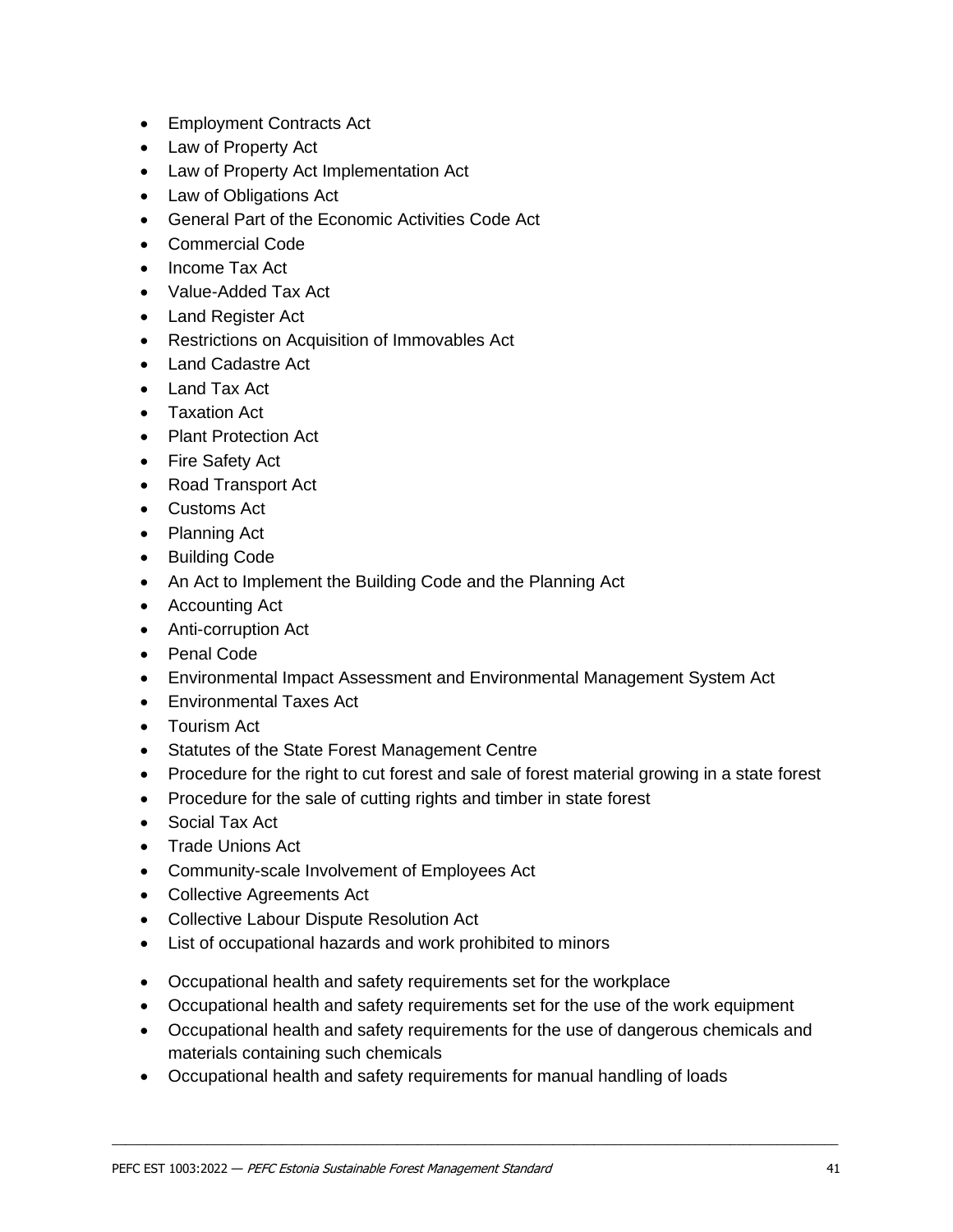- Employment Contracts Act
- Law of Property Act
- Law of Property Act Implementation Act
- Law of Obligations Act
- General Part of the Economic Activities Code Act
- Commercial Code
- Income Tax Act
- Value-Added Tax Act
- Land Register Act
- Restrictions on Acquisition of Immovables Act
- Land Cadastre Act
- Land Tax Act
- Taxation Act
- Plant Protection Act
- Fire Safety Act
- Road Transport Act
- Customs Act
- Planning Act
- Building Code
- An Act to Implement the Building Code and the Planning Act
- Accounting Act
- Anti-corruption Act
- Penal Code
- Environmental Impact Assessment and Environmental Management System Act
- Environmental Taxes Act
- Tourism Act
- Statutes of the State Forest Management Centre
- Procedure for the right to cut forest and sale of forest material growing in a state forest
- Procedure for the sale of cutting rights and timber in state forest
- Social Tax Act
- Trade Unions Act
- Community-scale Involvement of Employees Act
- Collective Agreements Act
- Collective Labour Dispute Resolution Act
- List of occupational hazards and work prohibited to minors
- Occupational health and safety requirements set for the workplace
- Occupational health and safety requirements set for the use of the work equipment
- Occupational health and safety requirements for the use of dangerous chemicals and materials containing such chemicals

\_\_\_\_\_\_\_\_\_\_\_\_\_\_\_\_\_\_\_\_\_\_\_\_\_\_\_\_\_\_\_\_\_\_\_\_\_\_\_\_\_\_\_\_\_\_\_\_\_\_\_\_\_\_\_\_\_\_\_\_\_\_\_\_\_\_\_\_\_\_\_\_\_\_\_\_\_\_\_\_\_\_\_\_\_\_\_\_\_\_\_\_\_\_\_\_\_\_\_\_\_\_\_\_\_\_\_

• Occupational health and safety requirements for manual handling of loads